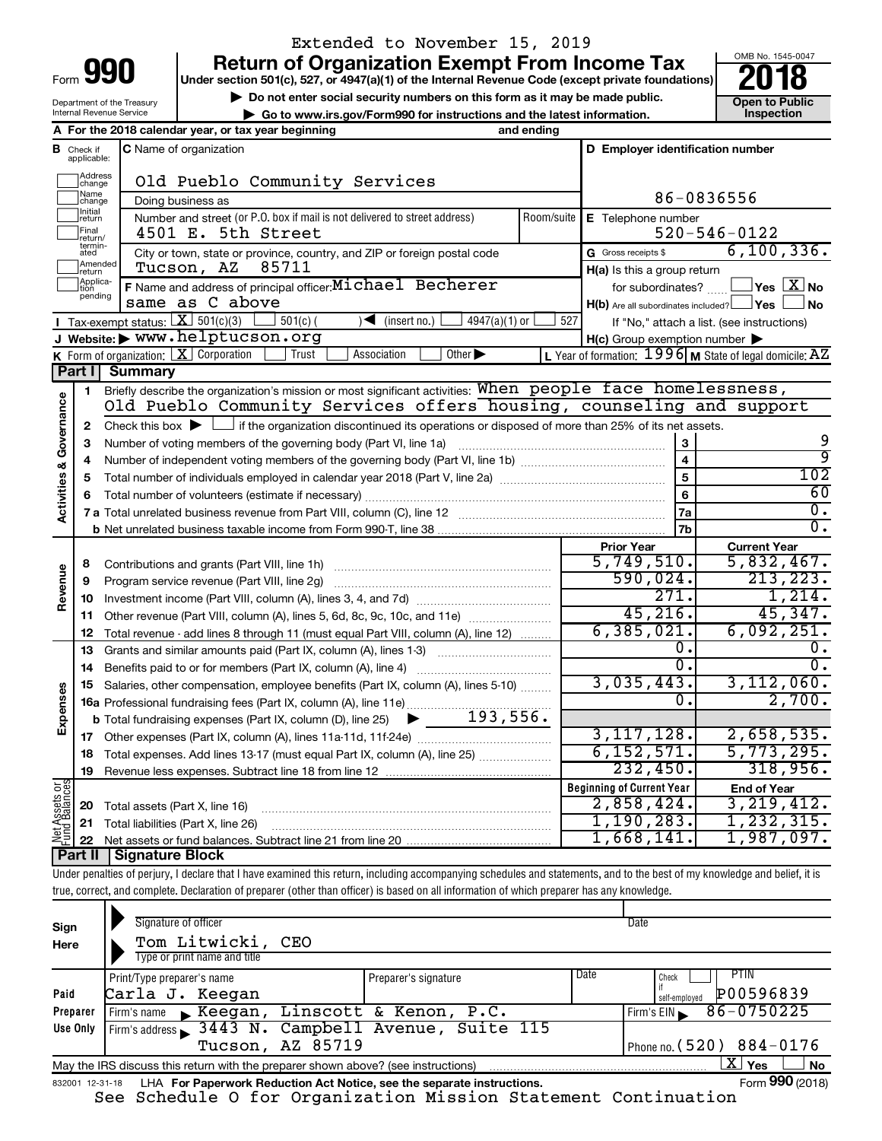| Form |  |
|------|--|
|      |  |
|      |  |

# Extended to November 15, 2019

**990** Return of Organization Exempt From Income Tax **Punce 1845-004 Puncer section 501(c), 527, or 4947(a)(1)** of the Internal Revenue Code (except private foundations) **2018** 

▶ Do not enter social security numbers on this form as it may be made public. <br>**● Go to www.irs.gov/Form990 for instructions and the latest information.** Inspection **| Go to www.irs.gov/Form990 for instructions and the latest information. Inspection**



Department of the Treasury Internal Revenue Service

|                                    |                               | A For the 2018 calendar year, or tax year beginning                                                                                                                        | and ending |                                                         |                                                             |
|------------------------------------|-------------------------------|----------------------------------------------------------------------------------------------------------------------------------------------------------------------------|------------|---------------------------------------------------------|-------------------------------------------------------------|
|                                    | <b>B</b> Check if applicable: | <b>C</b> Name of organization                                                                                                                                              |            | D Employer identification number                        |                                                             |
|                                    | Address<br>change             | Old Pueblo Community Services                                                                                                                                              |            |                                                         |                                                             |
|                                    | Name<br>change                | Doing business as                                                                                                                                                          |            |                                                         | 86-0836556                                                  |
|                                    | Initial<br>return             | Number and street (or P.O. box if mail is not delivered to street address)                                                                                                 | Room/suite | E Telephone number                                      |                                                             |
|                                    | Final<br>return/              | 4501 E. 5th Street                                                                                                                                                         |            |                                                         | $520 - 546 - 0122$                                          |
|                                    | termin-<br>ated               | City or town, state or province, country, and ZIP or foreign postal code                                                                                                   |            | G Gross receipts \$                                     | 6, 100, 336.                                                |
|                                    | Amended<br>return             | 85711<br>Tucson, AZ                                                                                                                                                        |            | H(a) Is this a group return                             |                                                             |
|                                    | Applica-<br>tion<br>pending   | F Name and address of principal officer: Michael Becherer                                                                                                                  |            | for subordinates?                                       | $\sqrt{}$ Yes $\boxed{\text{X}}$ No                         |
|                                    |                               | same as C above                                                                                                                                                            |            | $H(b)$ Are all subordinates included? $\Box$ Yes $\Box$ | <b>No</b>                                                   |
|                                    |                               | <b>I</b> Tax-exempt status: $X \overline{301(c)(3)}$<br>$501(c)$ (<br>$\sqrt{\bullet}$ (insert no.)  <br>4947(a)(1) or                                                     | 527        |                                                         | If "No," attach a list. (see instructions)                  |
|                                    |                               | J Website: > www.helptucson.org                                                                                                                                            |            | $H(c)$ Group exemption number $\blacktriangleright$     |                                                             |
|                                    |                               | Other $\blacktriangleright$<br><b>K</b> Form of organization: $X$ Corporation<br>Association<br>Trust                                                                      |            |                                                         | L Year of formation: $1996$ M State of legal domicile: $AZ$ |
|                                    | Part I                        | <b>Summary</b><br>Briefly describe the organization's mission or most significant activities: When people face homelessness,                                               |            |                                                         |                                                             |
|                                    | $\mathbf{1}$                  | Old Pueblo Community Services offers housing, counseling and support                                                                                                       |            |                                                         |                                                             |
|                                    |                               | Check this box $\blacktriangleright$ $\Box$ if the organization discontinued its operations or disposed of more than 25% of its net assets.                                |            |                                                         |                                                             |
|                                    | 2<br>3                        |                                                                                                                                                                            |            |                                                         | 9                                                           |
|                                    | 4                             |                                                                                                                                                                            |            | $\overline{\mathbf{4}}$                                 | ब्र                                                         |
|                                    | 5                             |                                                                                                                                                                            |            | 5                                                       | $\overline{102}$                                            |
|                                    | 6                             |                                                                                                                                                                            |            | 6                                                       | 60                                                          |
| <b>Activities &amp; Governance</b> |                               |                                                                                                                                                                            |            | 7a                                                      | σ.                                                          |
|                                    |                               |                                                                                                                                                                            |            | 7b                                                      | σ.                                                          |
|                                    |                               |                                                                                                                                                                            |            | <b>Prior Year</b>                                       | <b>Current Year</b>                                         |
|                                    | 8                             |                                                                                                                                                                            |            | 5,749,510.                                              | 5,832,467.                                                  |
|                                    | 9                             | Program service revenue (Part VIII, line 2g)                                                                                                                               |            | 590,024.                                                | 213, 223.                                                   |
| Revenue                            | 10                            |                                                                                                                                                                            |            | 271.                                                    | 1,214.                                                      |
|                                    | 11                            | Other revenue (Part VIII, column (A), lines 5, 6d, 8c, 9c, 10c, and 11e)                                                                                                   |            | 45, 216.                                                | 45,347.                                                     |
|                                    | 12                            | Total revenue - add lines 8 through 11 (must equal Part VIII, column (A), line 12)                                                                                         |            | 6, 385, 021.                                            | 6,092,251.                                                  |
|                                    | 13                            | Grants and similar amounts paid (Part IX, column (A), lines 1-3)                                                                                                           |            | 0.                                                      | 0.                                                          |
|                                    | 14                            |                                                                                                                                                                            |            | Ο.                                                      | $\overline{0}$ .                                            |
|                                    | 15                            | Salaries, other compensation, employee benefits (Part IX, column (A), lines 5-10)                                                                                          |            | 3,035,443.                                              | 3,112,060.                                                  |
| Expenses                           |                               | 16a Professional fundraising fees (Part IX, column (A), line 11e)                                                                                                          |            | 0.                                                      | 2,700.                                                      |
|                                    |                               | 193,556.<br>▶<br><b>b</b> Total fundraising expenses (Part IX, column (D), line 25)                                                                                        |            |                                                         |                                                             |
|                                    | 17                            |                                                                                                                                                                            |            | 3, 117, 128.                                            | 2,658,535.                                                  |
|                                    | 18                            | Total expenses. Add lines 13-17 (must equal Part IX, column (A), line 25)                                                                                                  |            | 6, 152, 571.                                            | 5,773,295.                                                  |
|                                    | 19                            |                                                                                                                                                                            |            | 232,450.                                                | 318,956.                                                    |
|                                    |                               |                                                                                                                                                                            |            | <b>Beginning of Current Year</b>                        | <b>End of Year</b>                                          |
| Net Assets or<br>Fund Balances     | 20                            | Total assets (Part X, line 16)                                                                                                                                             |            | 2,858,424.                                              | 3, 219, 412.                                                |
|                                    | 21                            | Total liabilities (Part X, line 26)                                                                                                                                        |            | 1,190,283.                                              | 1, 232, 315.                                                |
|                                    | 22                            |                                                                                                                                                                            |            | 1,668,141.                                              | 1,987,097.                                                  |
|                                    |                               | Part II   Signature Block                                                                                                                                                  |            |                                                         |                                                             |
|                                    |                               | Under penalties of perjury, I declare that I have examined this return, including accompanying schedules and statements, and to the best of my knowledge and belief, it is |            |                                                         |                                                             |

true, correct, and complete. Declaration of preparer (other than officer) is based on all information of which preparer has any knowledge.

| Sign<br>Here | Signature of officer<br>Tom Litwicki, CEO<br>Type or print name and title                                    |                      |      | Date                                |  |  |  |
|--------------|--------------------------------------------------------------------------------------------------------------|----------------------|------|-------------------------------------|--|--|--|
| Paid         | Print/Type preparer's name<br>Carla J. Keegan                                                                | Preparer's signature | Date | Check<br>P00596839<br>self-emploved |  |  |  |
| Preparer     | Firm's name Keegan, Linscott & Kenon, P.C.                                                                   |                      |      | 86-0750225<br>Firm's EIN            |  |  |  |
| Use Only     | Firm's address 3443 N. Campbell Avenue, Suite 115                                                            |                      |      |                                     |  |  |  |
|              | Tucson, AZ 85719                                                                                             |                      |      | Phone no. $(520)$ 884-0176          |  |  |  |
|              | X.<br><b>No</b><br>Yes<br>May the IRS discuss this return with the preparer shown above? (see instructions)  |                      |      |                                     |  |  |  |
|              | Form 990 (2018)<br>LHA For Paperwork Reduction Act Notice, see the separate instructions.<br>832001 12-31-18 |                      |      |                                     |  |  |  |

See Schedule O for Organization Mission Statement Continuation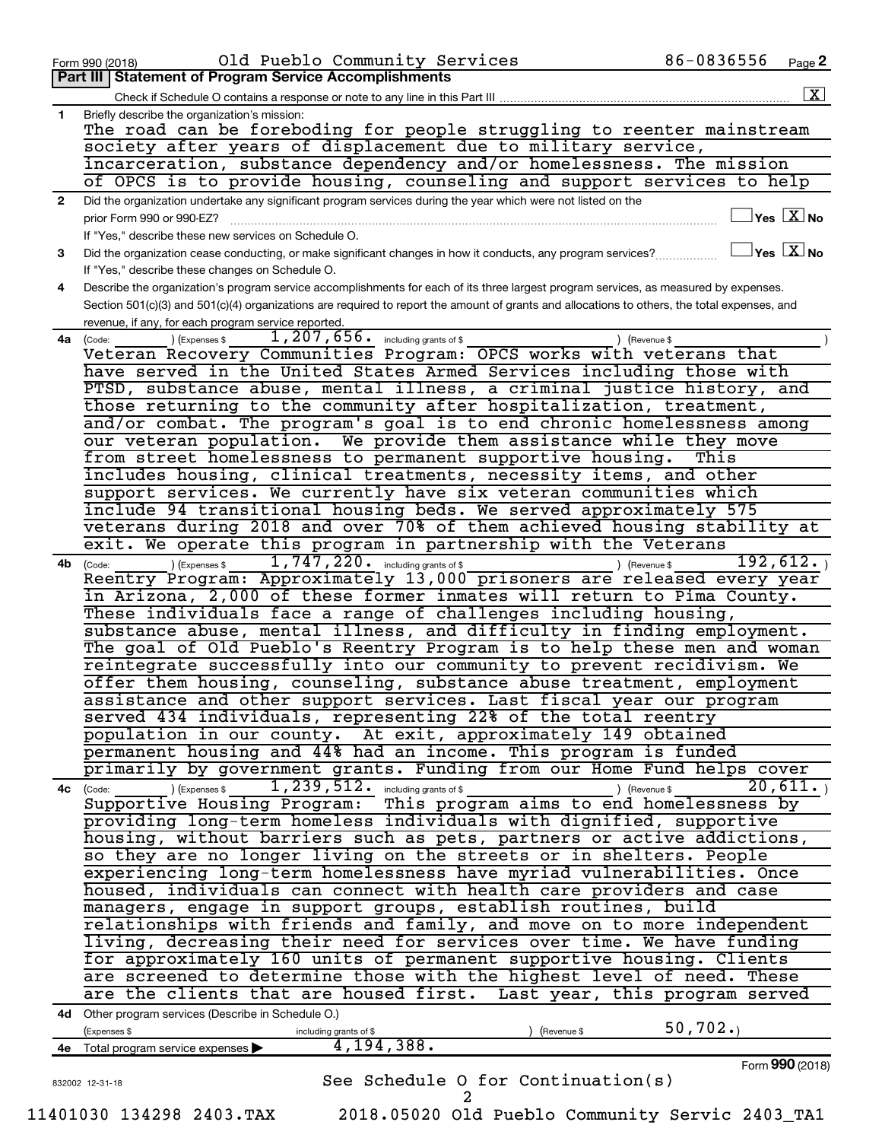| $\mathbf{2}$<br>3<br>4<br>4a (Code:<br>4b | Part III   Statement of Program Service Accomplishments<br>$\boxed{\textbf{X}}$<br>Briefly describe the organization's mission:<br>The road can be foreboding for people struggling to reenter mainstream<br>society after years of displacement due to military service,<br>incarceration, substance dependency and/or homelessness. The mission<br>of OPCS is to provide housing, counseling and support services to help<br>Did the organization undertake any significant program services during the year which were not listed on the<br>$\exists$ Yes $\boxed{\text{X}}$ No<br>prior Form 990 or 990-EZ?<br>If "Yes," describe these new services on Schedule O.<br>$\mathbin{\sqcup}$ Yes $\mathbin{\lfloor} \mathbf{X} \mathbin{\rfloor}$ No<br>Did the organization cease conducting, or make significant changes in how it conducts, any program services?<br>If "Yes," describe these changes on Schedule O.<br>Describe the organization's program service accomplishments for each of its three largest program services, as measured by expenses.<br>Section 501(c)(3) and 501(c)(4) organizations are required to report the amount of grants and allocations to others, the total expenses, and<br>revenue, if any, for each program service reported.<br>1, 207, 656. including grants of \$<br>(Expenses \$<br>Gevenue \$<br>Veteran Recovery Communities Program: OPCS works with veterans that<br>have served in the United States Armed Services including those with<br>PTSD, substance abuse, mental illness, a criminal justice history, and<br>those returning to the community after hospitalization, treatment,<br>and/or combat. The program's goal is to end chronic homelessness among<br>our veteran population. We provide them assistance while they move |
|-------------------------------------------|---------------------------------------------------------------------------------------------------------------------------------------------------------------------------------------------------------------------------------------------------------------------------------------------------------------------------------------------------------------------------------------------------------------------------------------------------------------------------------------------------------------------------------------------------------------------------------------------------------------------------------------------------------------------------------------------------------------------------------------------------------------------------------------------------------------------------------------------------------------------------------------------------------------------------------------------------------------------------------------------------------------------------------------------------------------------------------------------------------------------------------------------------------------------------------------------------------------------------------------------------------------------------------------------------------------------------------------------------------------------------------------------------------------------------------------------------------------------------------------------------------------------------------------------------------------------------------------------------------------------------------------------------------------------------------------------------------------------------------------------------------------------------------------------|
|                                           |                                                                                                                                                                                                                                                                                                                                                                                                                                                                                                                                                                                                                                                                                                                                                                                                                                                                                                                                                                                                                                                                                                                                                                                                                                                                                                                                                                                                                                                                                                                                                                                                                                                                                                                                                                                             |
|                                           |                                                                                                                                                                                                                                                                                                                                                                                                                                                                                                                                                                                                                                                                                                                                                                                                                                                                                                                                                                                                                                                                                                                                                                                                                                                                                                                                                                                                                                                                                                                                                                                                                                                                                                                                                                                             |
|                                           |                                                                                                                                                                                                                                                                                                                                                                                                                                                                                                                                                                                                                                                                                                                                                                                                                                                                                                                                                                                                                                                                                                                                                                                                                                                                                                                                                                                                                                                                                                                                                                                                                                                                                                                                                                                             |
|                                           |                                                                                                                                                                                                                                                                                                                                                                                                                                                                                                                                                                                                                                                                                                                                                                                                                                                                                                                                                                                                                                                                                                                                                                                                                                                                                                                                                                                                                                                                                                                                                                                                                                                                                                                                                                                             |
|                                           |                                                                                                                                                                                                                                                                                                                                                                                                                                                                                                                                                                                                                                                                                                                                                                                                                                                                                                                                                                                                                                                                                                                                                                                                                                                                                                                                                                                                                                                                                                                                                                                                                                                                                                                                                                                             |
|                                           |                                                                                                                                                                                                                                                                                                                                                                                                                                                                                                                                                                                                                                                                                                                                                                                                                                                                                                                                                                                                                                                                                                                                                                                                                                                                                                                                                                                                                                                                                                                                                                                                                                                                                                                                                                                             |
|                                           |                                                                                                                                                                                                                                                                                                                                                                                                                                                                                                                                                                                                                                                                                                                                                                                                                                                                                                                                                                                                                                                                                                                                                                                                                                                                                                                                                                                                                                                                                                                                                                                                                                                                                                                                                                                             |
|                                           |                                                                                                                                                                                                                                                                                                                                                                                                                                                                                                                                                                                                                                                                                                                                                                                                                                                                                                                                                                                                                                                                                                                                                                                                                                                                                                                                                                                                                                                                                                                                                                                                                                                                                                                                                                                             |
|                                           |                                                                                                                                                                                                                                                                                                                                                                                                                                                                                                                                                                                                                                                                                                                                                                                                                                                                                                                                                                                                                                                                                                                                                                                                                                                                                                                                                                                                                                                                                                                                                                                                                                                                                                                                                                                             |
|                                           |                                                                                                                                                                                                                                                                                                                                                                                                                                                                                                                                                                                                                                                                                                                                                                                                                                                                                                                                                                                                                                                                                                                                                                                                                                                                                                                                                                                                                                                                                                                                                                                                                                                                                                                                                                                             |
|                                           |                                                                                                                                                                                                                                                                                                                                                                                                                                                                                                                                                                                                                                                                                                                                                                                                                                                                                                                                                                                                                                                                                                                                                                                                                                                                                                                                                                                                                                                                                                                                                                                                                                                                                                                                                                                             |
|                                           |                                                                                                                                                                                                                                                                                                                                                                                                                                                                                                                                                                                                                                                                                                                                                                                                                                                                                                                                                                                                                                                                                                                                                                                                                                                                                                                                                                                                                                                                                                                                                                                                                                                                                                                                                                                             |
|                                           |                                                                                                                                                                                                                                                                                                                                                                                                                                                                                                                                                                                                                                                                                                                                                                                                                                                                                                                                                                                                                                                                                                                                                                                                                                                                                                                                                                                                                                                                                                                                                                                                                                                                                                                                                                                             |
|                                           |                                                                                                                                                                                                                                                                                                                                                                                                                                                                                                                                                                                                                                                                                                                                                                                                                                                                                                                                                                                                                                                                                                                                                                                                                                                                                                                                                                                                                                                                                                                                                                                                                                                                                                                                                                                             |
|                                           |                                                                                                                                                                                                                                                                                                                                                                                                                                                                                                                                                                                                                                                                                                                                                                                                                                                                                                                                                                                                                                                                                                                                                                                                                                                                                                                                                                                                                                                                                                                                                                                                                                                                                                                                                                                             |
|                                           |                                                                                                                                                                                                                                                                                                                                                                                                                                                                                                                                                                                                                                                                                                                                                                                                                                                                                                                                                                                                                                                                                                                                                                                                                                                                                                                                                                                                                                                                                                                                                                                                                                                                                                                                                                                             |
|                                           |                                                                                                                                                                                                                                                                                                                                                                                                                                                                                                                                                                                                                                                                                                                                                                                                                                                                                                                                                                                                                                                                                                                                                                                                                                                                                                                                                                                                                                                                                                                                                                                                                                                                                                                                                                                             |
|                                           |                                                                                                                                                                                                                                                                                                                                                                                                                                                                                                                                                                                                                                                                                                                                                                                                                                                                                                                                                                                                                                                                                                                                                                                                                                                                                                                                                                                                                                                                                                                                                                                                                                                                                                                                                                                             |
|                                           |                                                                                                                                                                                                                                                                                                                                                                                                                                                                                                                                                                                                                                                                                                                                                                                                                                                                                                                                                                                                                                                                                                                                                                                                                                                                                                                                                                                                                                                                                                                                                                                                                                                                                                                                                                                             |
|                                           |                                                                                                                                                                                                                                                                                                                                                                                                                                                                                                                                                                                                                                                                                                                                                                                                                                                                                                                                                                                                                                                                                                                                                                                                                                                                                                                                                                                                                                                                                                                                                                                                                                                                                                                                                                                             |
|                                           |                                                                                                                                                                                                                                                                                                                                                                                                                                                                                                                                                                                                                                                                                                                                                                                                                                                                                                                                                                                                                                                                                                                                                                                                                                                                                                                                                                                                                                                                                                                                                                                                                                                                                                                                                                                             |
|                                           |                                                                                                                                                                                                                                                                                                                                                                                                                                                                                                                                                                                                                                                                                                                                                                                                                                                                                                                                                                                                                                                                                                                                                                                                                                                                                                                                                                                                                                                                                                                                                                                                                                                                                                                                                                                             |
|                                           |                                                                                                                                                                                                                                                                                                                                                                                                                                                                                                                                                                                                                                                                                                                                                                                                                                                                                                                                                                                                                                                                                                                                                                                                                                                                                                                                                                                                                                                                                                                                                                                                                                                                                                                                                                                             |
|                                           | from street homelessness to permanent supportive housing.<br>This                                                                                                                                                                                                                                                                                                                                                                                                                                                                                                                                                                                                                                                                                                                                                                                                                                                                                                                                                                                                                                                                                                                                                                                                                                                                                                                                                                                                                                                                                                                                                                                                                                                                                                                           |
|                                           | includes housing, clinical treatments, necessity items, and other                                                                                                                                                                                                                                                                                                                                                                                                                                                                                                                                                                                                                                                                                                                                                                                                                                                                                                                                                                                                                                                                                                                                                                                                                                                                                                                                                                                                                                                                                                                                                                                                                                                                                                                           |
|                                           | support services. We currently have six veteran communities which                                                                                                                                                                                                                                                                                                                                                                                                                                                                                                                                                                                                                                                                                                                                                                                                                                                                                                                                                                                                                                                                                                                                                                                                                                                                                                                                                                                                                                                                                                                                                                                                                                                                                                                           |
|                                           | include 94 transitional housing beds. We served approximately 575                                                                                                                                                                                                                                                                                                                                                                                                                                                                                                                                                                                                                                                                                                                                                                                                                                                                                                                                                                                                                                                                                                                                                                                                                                                                                                                                                                                                                                                                                                                                                                                                                                                                                                                           |
|                                           | veterans during 2018 and over 70% of them achieved housing stability at                                                                                                                                                                                                                                                                                                                                                                                                                                                                                                                                                                                                                                                                                                                                                                                                                                                                                                                                                                                                                                                                                                                                                                                                                                                                                                                                                                                                                                                                                                                                                                                                                                                                                                                     |
|                                           | exit. We operate this program in partnership with the Veterans                                                                                                                                                                                                                                                                                                                                                                                                                                                                                                                                                                                                                                                                                                                                                                                                                                                                                                                                                                                                                                                                                                                                                                                                                                                                                                                                                                                                                                                                                                                                                                                                                                                                                                                              |
|                                           | 1,747,220. including grants of \$<br>192,612.<br>(Expenses \$<br>) (Revenue \$                                                                                                                                                                                                                                                                                                                                                                                                                                                                                                                                                                                                                                                                                                                                                                                                                                                                                                                                                                                                                                                                                                                                                                                                                                                                                                                                                                                                                                                                                                                                                                                                                                                                                                              |
|                                           | (Code:<br>Reentry Program: Approximately 13,000 prisoners are released every year                                                                                                                                                                                                                                                                                                                                                                                                                                                                                                                                                                                                                                                                                                                                                                                                                                                                                                                                                                                                                                                                                                                                                                                                                                                                                                                                                                                                                                                                                                                                                                                                                                                                                                           |
|                                           | in Arizona, 2,000 of these former inmates will return to Pima County.                                                                                                                                                                                                                                                                                                                                                                                                                                                                                                                                                                                                                                                                                                                                                                                                                                                                                                                                                                                                                                                                                                                                                                                                                                                                                                                                                                                                                                                                                                                                                                                                                                                                                                                       |
|                                           |                                                                                                                                                                                                                                                                                                                                                                                                                                                                                                                                                                                                                                                                                                                                                                                                                                                                                                                                                                                                                                                                                                                                                                                                                                                                                                                                                                                                                                                                                                                                                                                                                                                                                                                                                                                             |
|                                           | These individuals face a range of challenges including housing,                                                                                                                                                                                                                                                                                                                                                                                                                                                                                                                                                                                                                                                                                                                                                                                                                                                                                                                                                                                                                                                                                                                                                                                                                                                                                                                                                                                                                                                                                                                                                                                                                                                                                                                             |
|                                           | substance abuse, mental illness, and difficulty in finding employment.                                                                                                                                                                                                                                                                                                                                                                                                                                                                                                                                                                                                                                                                                                                                                                                                                                                                                                                                                                                                                                                                                                                                                                                                                                                                                                                                                                                                                                                                                                                                                                                                                                                                                                                      |
|                                           | The goal of Old Pueblo's Reentry Program is to help these men and woman                                                                                                                                                                                                                                                                                                                                                                                                                                                                                                                                                                                                                                                                                                                                                                                                                                                                                                                                                                                                                                                                                                                                                                                                                                                                                                                                                                                                                                                                                                                                                                                                                                                                                                                     |
|                                           | reintegrate successfully into our community to prevent recidivism. We                                                                                                                                                                                                                                                                                                                                                                                                                                                                                                                                                                                                                                                                                                                                                                                                                                                                                                                                                                                                                                                                                                                                                                                                                                                                                                                                                                                                                                                                                                                                                                                                                                                                                                                       |
|                                           | offer them housing, counseling, substance abuse treatment, employment                                                                                                                                                                                                                                                                                                                                                                                                                                                                                                                                                                                                                                                                                                                                                                                                                                                                                                                                                                                                                                                                                                                                                                                                                                                                                                                                                                                                                                                                                                                                                                                                                                                                                                                       |
|                                           | assistance and other support services. Last fiscal year our program                                                                                                                                                                                                                                                                                                                                                                                                                                                                                                                                                                                                                                                                                                                                                                                                                                                                                                                                                                                                                                                                                                                                                                                                                                                                                                                                                                                                                                                                                                                                                                                                                                                                                                                         |
|                                           | served 434 individuals, representing 22% of the total reentry                                                                                                                                                                                                                                                                                                                                                                                                                                                                                                                                                                                                                                                                                                                                                                                                                                                                                                                                                                                                                                                                                                                                                                                                                                                                                                                                                                                                                                                                                                                                                                                                                                                                                                                               |
|                                           | population in our county. At exit, approximately 149 obtained                                                                                                                                                                                                                                                                                                                                                                                                                                                                                                                                                                                                                                                                                                                                                                                                                                                                                                                                                                                                                                                                                                                                                                                                                                                                                                                                                                                                                                                                                                                                                                                                                                                                                                                               |
|                                           | permanent housing and 44% had an income. This program is funded                                                                                                                                                                                                                                                                                                                                                                                                                                                                                                                                                                                                                                                                                                                                                                                                                                                                                                                                                                                                                                                                                                                                                                                                                                                                                                                                                                                                                                                                                                                                                                                                                                                                                                                             |
|                                           | primarily by government grants. Funding from our Home Fund helps cover                                                                                                                                                                                                                                                                                                                                                                                                                                                                                                                                                                                                                                                                                                                                                                                                                                                                                                                                                                                                                                                                                                                                                                                                                                                                                                                                                                                                                                                                                                                                                                                                                                                                                                                      |
|                                           | $\overline{1,239,512 \cdot \frac{1}{2}}$ including grants of \$<br>20,611.<br>(Expenses \$<br>) (Revenue \$<br>4c (Code:                                                                                                                                                                                                                                                                                                                                                                                                                                                                                                                                                                                                                                                                                                                                                                                                                                                                                                                                                                                                                                                                                                                                                                                                                                                                                                                                                                                                                                                                                                                                                                                                                                                                    |
|                                           | Supportive Housing Program: This program aims to end homelessness by                                                                                                                                                                                                                                                                                                                                                                                                                                                                                                                                                                                                                                                                                                                                                                                                                                                                                                                                                                                                                                                                                                                                                                                                                                                                                                                                                                                                                                                                                                                                                                                                                                                                                                                        |
|                                           | providing long-term homeless individuals with dignified, supportive                                                                                                                                                                                                                                                                                                                                                                                                                                                                                                                                                                                                                                                                                                                                                                                                                                                                                                                                                                                                                                                                                                                                                                                                                                                                                                                                                                                                                                                                                                                                                                                                                                                                                                                         |
|                                           | housing, without barriers such as pets, partners or active addictions,                                                                                                                                                                                                                                                                                                                                                                                                                                                                                                                                                                                                                                                                                                                                                                                                                                                                                                                                                                                                                                                                                                                                                                                                                                                                                                                                                                                                                                                                                                                                                                                                                                                                                                                      |
|                                           | so they are no longer living on the streets or in shelters. People                                                                                                                                                                                                                                                                                                                                                                                                                                                                                                                                                                                                                                                                                                                                                                                                                                                                                                                                                                                                                                                                                                                                                                                                                                                                                                                                                                                                                                                                                                                                                                                                                                                                                                                          |
|                                           | experiencing long-term homelessness have myriad vulnerabilities. Once                                                                                                                                                                                                                                                                                                                                                                                                                                                                                                                                                                                                                                                                                                                                                                                                                                                                                                                                                                                                                                                                                                                                                                                                                                                                                                                                                                                                                                                                                                                                                                                                                                                                                                                       |
|                                           | housed, individuals can connect with health care providers and case                                                                                                                                                                                                                                                                                                                                                                                                                                                                                                                                                                                                                                                                                                                                                                                                                                                                                                                                                                                                                                                                                                                                                                                                                                                                                                                                                                                                                                                                                                                                                                                                                                                                                                                         |
|                                           | managers, engage in support groups, establish routines, build                                                                                                                                                                                                                                                                                                                                                                                                                                                                                                                                                                                                                                                                                                                                                                                                                                                                                                                                                                                                                                                                                                                                                                                                                                                                                                                                                                                                                                                                                                                                                                                                                                                                                                                               |
|                                           |                                                                                                                                                                                                                                                                                                                                                                                                                                                                                                                                                                                                                                                                                                                                                                                                                                                                                                                                                                                                                                                                                                                                                                                                                                                                                                                                                                                                                                                                                                                                                                                                                                                                                                                                                                                             |
|                                           | relationships with friends and family, and move on to more independent                                                                                                                                                                                                                                                                                                                                                                                                                                                                                                                                                                                                                                                                                                                                                                                                                                                                                                                                                                                                                                                                                                                                                                                                                                                                                                                                                                                                                                                                                                                                                                                                                                                                                                                      |
|                                           | living, decreasing their need for services over time. We have funding                                                                                                                                                                                                                                                                                                                                                                                                                                                                                                                                                                                                                                                                                                                                                                                                                                                                                                                                                                                                                                                                                                                                                                                                                                                                                                                                                                                                                                                                                                                                                                                                                                                                                                                       |
|                                           |                                                                                                                                                                                                                                                                                                                                                                                                                                                                                                                                                                                                                                                                                                                                                                                                                                                                                                                                                                                                                                                                                                                                                                                                                                                                                                                                                                                                                                                                                                                                                                                                                                                                                                                                                                                             |
|                                           | for approximately 160 units of permanent supportive housing. Clients                                                                                                                                                                                                                                                                                                                                                                                                                                                                                                                                                                                                                                                                                                                                                                                                                                                                                                                                                                                                                                                                                                                                                                                                                                                                                                                                                                                                                                                                                                                                                                                                                                                                                                                        |
|                                           | are screened to determine those with the highest level of need. These                                                                                                                                                                                                                                                                                                                                                                                                                                                                                                                                                                                                                                                                                                                                                                                                                                                                                                                                                                                                                                                                                                                                                                                                                                                                                                                                                                                                                                                                                                                                                                                                                                                                                                                       |
|                                           |                                                                                                                                                                                                                                                                                                                                                                                                                                                                                                                                                                                                                                                                                                                                                                                                                                                                                                                                                                                                                                                                                                                                                                                                                                                                                                                                                                                                                                                                                                                                                                                                                                                                                                                                                                                             |
|                                           | are the clients that are housed first. Last year, this program served<br>4d Other program services (Describe in Schedule O.)                                                                                                                                                                                                                                                                                                                                                                                                                                                                                                                                                                                                                                                                                                                                                                                                                                                                                                                                                                                                                                                                                                                                                                                                                                                                                                                                                                                                                                                                                                                                                                                                                                                                |
|                                           | 50, 702.<br>(Expenses \$<br>) (Revenue \$                                                                                                                                                                                                                                                                                                                                                                                                                                                                                                                                                                                                                                                                                                                                                                                                                                                                                                                                                                                                                                                                                                                                                                                                                                                                                                                                                                                                                                                                                                                                                                                                                                                                                                                                                   |
|                                           | including grants of \$<br>4, 194, 388.                                                                                                                                                                                                                                                                                                                                                                                                                                                                                                                                                                                                                                                                                                                                                                                                                                                                                                                                                                                                                                                                                                                                                                                                                                                                                                                                                                                                                                                                                                                                                                                                                                                                                                                                                      |
|                                           | 4e Total program service expenses >                                                                                                                                                                                                                                                                                                                                                                                                                                                                                                                                                                                                                                                                                                                                                                                                                                                                                                                                                                                                                                                                                                                                                                                                                                                                                                                                                                                                                                                                                                                                                                                                                                                                                                                                                         |
|                                           |                                                                                                                                                                                                                                                                                                                                                                                                                                                                                                                                                                                                                                                                                                                                                                                                                                                                                                                                                                                                                                                                                                                                                                                                                                                                                                                                                                                                                                                                                                                                                                                                                                                                                                                                                                                             |
| 11401030 134298 2403.TAX                  | Form 990 (2018)<br>See Schedule 0 for Continuation(s)<br>832002 12-31-18                                                                                                                                                                                                                                                                                                                                                                                                                                                                                                                                                                                                                                                                                                                                                                                                                                                                                                                                                                                                                                                                                                                                                                                                                                                                                                                                                                                                                                                                                                                                                                                                                                                                                                                    |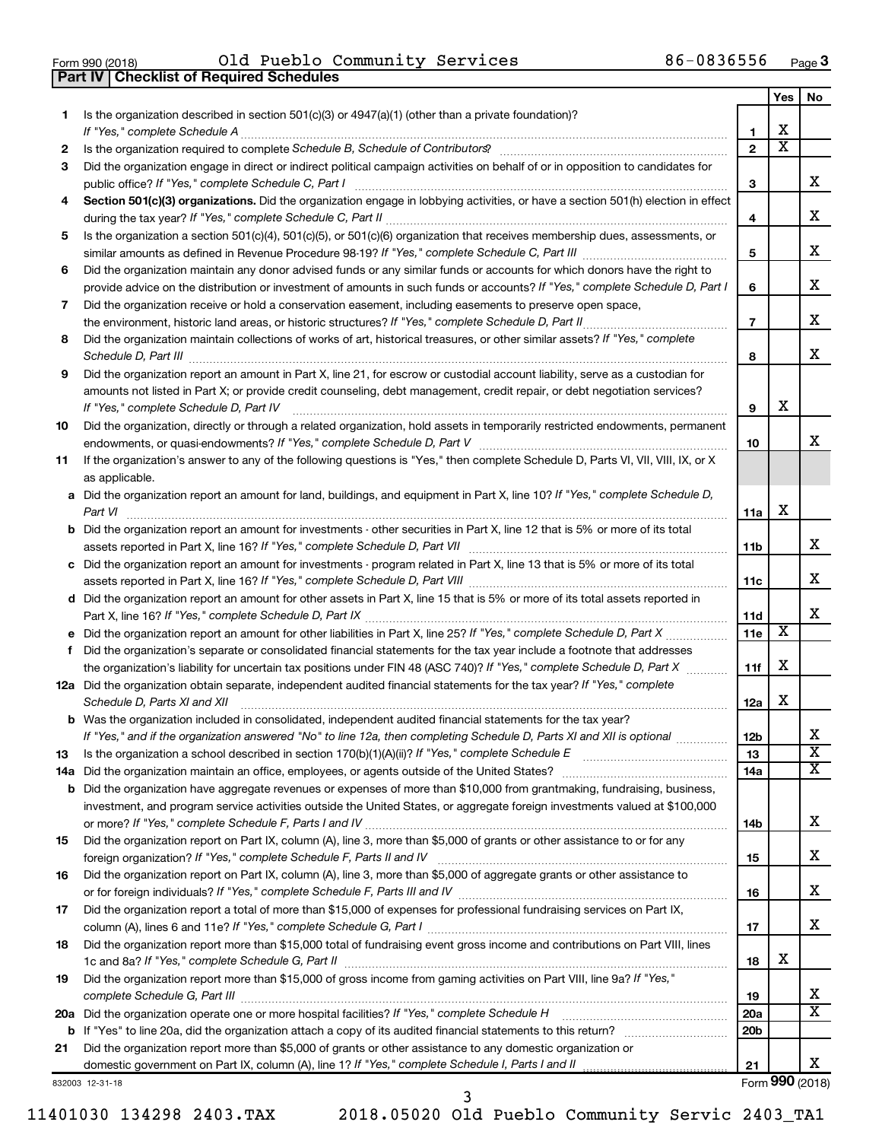| Form 990 (2018) |  |  |
|-----------------|--|--|

**Part IV Checklist of Required Schedules**

Form 990 (2018) Page Old Pueblo Community Services 86-0836556

|    |                                                                                                                                                                                                                                                                                                      |                 | Yes                     | No                      |
|----|------------------------------------------------------------------------------------------------------------------------------------------------------------------------------------------------------------------------------------------------------------------------------------------------------|-----------------|-------------------------|-------------------------|
| 1  | Is the organization described in section 501(c)(3) or 4947(a)(1) (other than a private foundation)?                                                                                                                                                                                                  |                 |                         |                         |
|    | If "Yes," complete Schedule A                                                                                                                                                                                                                                                                        | 1               | х                       |                         |
| 2  |                                                                                                                                                                                                                                                                                                      | $\overline{2}$  | $\overline{\textbf{x}}$ |                         |
| 3  | Did the organization engage in direct or indirect political campaign activities on behalf of or in opposition to candidates for                                                                                                                                                                      |                 |                         |                         |
|    | public office? If "Yes," complete Schedule C, Part I                                                                                                                                                                                                                                                 | 3               |                         | x                       |
| 4  | Section 501(c)(3) organizations. Did the organization engage in lobbying activities, or have a section 501(h) election in effect                                                                                                                                                                     | 4               |                         | x                       |
| 5  | Is the organization a section 501(c)(4), 501(c)(5), or 501(c)(6) organization that receives membership dues, assessments, or                                                                                                                                                                         |                 |                         |                         |
|    |                                                                                                                                                                                                                                                                                                      | 5               |                         | x                       |
| 6  | Did the organization maintain any donor advised funds or any similar funds or accounts for which donors have the right to<br>provide advice on the distribution or investment of amounts in such funds or accounts? If "Yes," complete Schedule D, Part I                                            | 6               |                         | х                       |
| 7  | Did the organization receive or hold a conservation easement, including easements to preserve open space,                                                                                                                                                                                            |                 |                         |                         |
|    | the environment, historic land areas, or historic structures? If "Yes," complete Schedule D, Part II.                                                                                                                                                                                                | $\overline{7}$  |                         | х                       |
| 8  | Did the organization maintain collections of works of art, historical treasures, or other similar assets? If "Yes," complete                                                                                                                                                                         |                 |                         |                         |
|    | Schedule D, Part III                                                                                                                                                                                                                                                                                 | 8               |                         | x                       |
| 9  | Did the organization report an amount in Part X, line 21, for escrow or custodial account liability, serve as a custodian for<br>amounts not listed in Part X; or provide credit counseling, debt management, credit repair, or debt negotiation services?<br>If "Yes," complete Schedule D, Part IV | 9               | x                       |                         |
| 10 | Did the organization, directly or through a related organization, hold assets in temporarily restricted endowments, permanent                                                                                                                                                                        |                 |                         |                         |
|    |                                                                                                                                                                                                                                                                                                      | 10              |                         | x                       |
| 11 | If the organization's answer to any of the following questions is "Yes," then complete Schedule D, Parts VI, VII, VIII, IX, or X<br>as applicable.                                                                                                                                                   |                 |                         |                         |
|    | a Did the organization report an amount for land, buildings, and equipment in Part X, line 10? If "Yes," complete Schedule D,                                                                                                                                                                        |                 |                         |                         |
|    | Part VI                                                                                                                                                                                                                                                                                              | 11a             | х                       |                         |
|    | <b>b</b> Did the organization report an amount for investments - other securities in Part X, line 12 that is 5% or more of its total                                                                                                                                                                 |                 |                         |                         |
|    |                                                                                                                                                                                                                                                                                                      | 11b             |                         | x                       |
|    | c Did the organization report an amount for investments - program related in Part X, line 13 that is 5% or more of its total                                                                                                                                                                         |                 |                         |                         |
|    |                                                                                                                                                                                                                                                                                                      | 11c             |                         | x.                      |
|    | d Did the organization report an amount for other assets in Part X, line 15 that is 5% or more of its total assets reported in                                                                                                                                                                       |                 |                         |                         |
|    |                                                                                                                                                                                                                                                                                                      | 11d             |                         | x                       |
|    | e Did the organization report an amount for other liabilities in Part X, line 25? If "Yes," complete Schedule D, Part X                                                                                                                                                                              | 11e             | $\overline{\textbf{x}}$ |                         |
| f. | Did the organization's separate or consolidated financial statements for the tax year include a footnote that addresses                                                                                                                                                                              |                 |                         |                         |
|    | the organization's liability for uncertain tax positions under FIN 48 (ASC 740)? If "Yes," complete Schedule D, Part X                                                                                                                                                                               | 11f             | х                       |                         |
|    | 12a Did the organization obtain separate, independent audited financial statements for the tax year? If "Yes," complete<br>Schedule D, Parts XI and XII                                                                                                                                              | 12a             | х                       |                         |
|    | <b>b</b> Was the organization included in consolidated, independent audited financial statements for the tax year?                                                                                                                                                                                   |                 |                         |                         |
|    | If "Yes," and if the organization answered "No" to line 12a, then completing Schedule D, Parts XI and XII is optional                                                                                                                                                                                | 12b             |                         | ▵                       |
| 13 | Is the organization a school described in section 170(b)(1)(A)(ii)? If "Yes," complete Schedule E                                                                                                                                                                                                    | 13              |                         | $\overline{\textbf{X}}$ |
|    | 14a Did the organization maintain an office, employees, or agents outside of the United States?                                                                                                                                                                                                      | 14a             |                         | x                       |
|    | <b>b</b> Did the organization have aggregate revenues or expenses of more than \$10,000 from grantmaking, fundraising, business,                                                                                                                                                                     |                 |                         |                         |
|    | investment, and program service activities outside the United States, or aggregate foreign investments valued at \$100,000                                                                                                                                                                           |                 |                         |                         |
|    |                                                                                                                                                                                                                                                                                                      | 14b             |                         | х                       |
| 15 | Did the organization report on Part IX, column (A), line 3, more than \$5,000 of grants or other assistance to or for any                                                                                                                                                                            |                 |                         | x                       |
|    |                                                                                                                                                                                                                                                                                                      | 15              |                         |                         |
| 16 | Did the organization report on Part IX, column (A), line 3, more than \$5,000 of aggregate grants or other assistance to                                                                                                                                                                             | 16              |                         | x                       |
| 17 | Did the organization report a total of more than \$15,000 of expenses for professional fundraising services on Part IX,                                                                                                                                                                              |                 |                         |                         |
|    |                                                                                                                                                                                                                                                                                                      | 17              |                         | X.                      |
| 18 | Did the organization report more than \$15,000 total of fundraising event gross income and contributions on Part VIII, lines                                                                                                                                                                         |                 |                         |                         |
|    |                                                                                                                                                                                                                                                                                                      | 18              | х                       |                         |
| 19 | Did the organization report more than \$15,000 of gross income from gaming activities on Part VIII, line 9a? If "Yes,"                                                                                                                                                                               |                 |                         |                         |
|    |                                                                                                                                                                                                                                                                                                      | 19              |                         | x                       |
|    | 20a Did the organization operate one or more hospital facilities? If "Yes," complete Schedule H                                                                                                                                                                                                      | 20a             |                         | $\overline{\texttt{X}}$ |
|    |                                                                                                                                                                                                                                                                                                      | 20 <sub>b</sub> |                         |                         |
| 21 | Did the organization report more than \$5,000 of grants or other assistance to any domestic organization or                                                                                                                                                                                          |                 |                         |                         |
|    |                                                                                                                                                                                                                                                                                                      | 21              |                         | х                       |
|    | 332003 12-31-18                                                                                                                                                                                                                                                                                      |                 | Form 990 (2018)         |                         |

832003 12-31-18

11401030 134298 2403.TAX 2018.05020 Old Pueblo Community Servic 2403\_TA1

3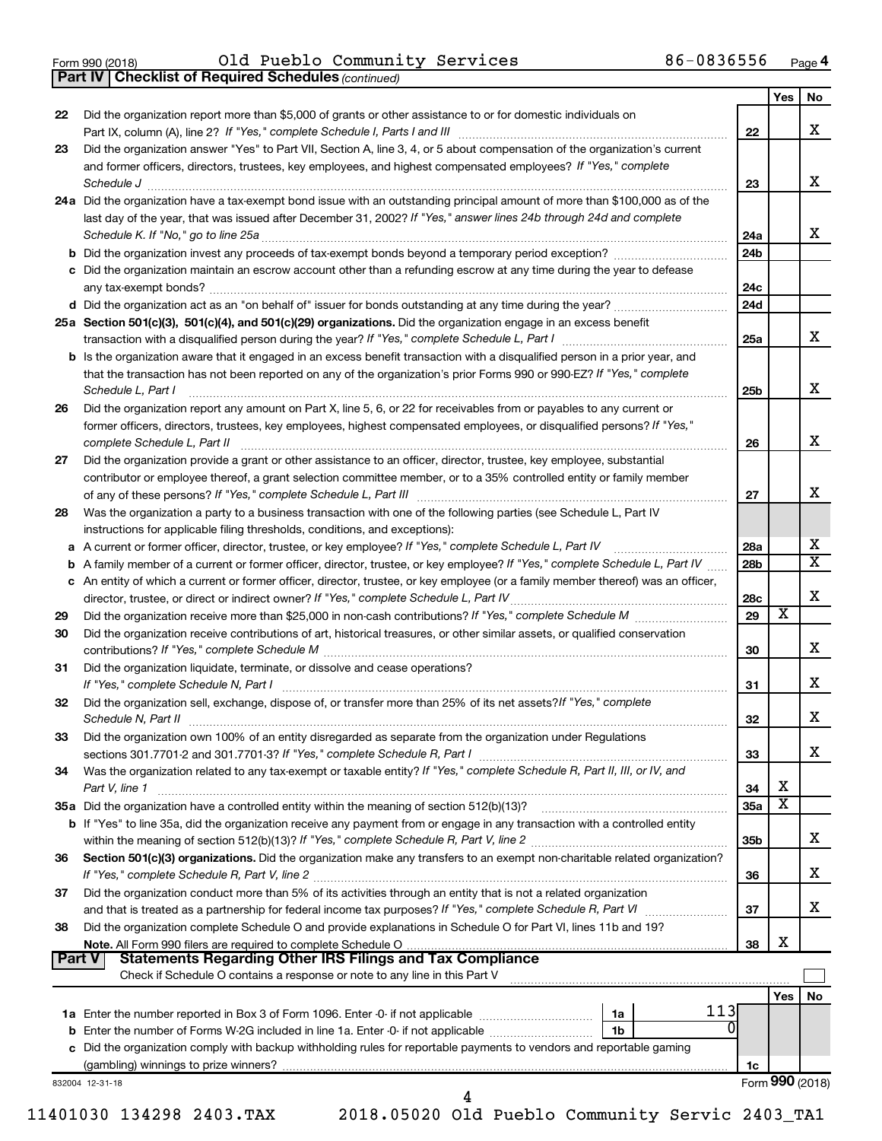**Part IV Checklist of Required Schedules**

Form 990 (2018) Page Old Pueblo Community Services 86-0836556

*(continued)*

|               |                                                                                                                                     |                 | Yes | No.                     |
|---------------|-------------------------------------------------------------------------------------------------------------------------------------|-----------------|-----|-------------------------|
| 22            | Did the organization report more than \$5,000 of grants or other assistance to or for domestic individuals on                       |                 |     |                         |
|               |                                                                                                                                     | 22              |     | х                       |
| 23            | Did the organization answer "Yes" to Part VII, Section A, line 3, 4, or 5 about compensation of the organization's current          |                 |     |                         |
|               | and former officers, directors, trustees, key employees, and highest compensated employees? If "Yes," complete                      |                 |     |                         |
|               | Schedule J <b>Execute Schedule Schedule Schedule Schedule</b> J <b>Execute Schedule J Execute Schedule J</b>                        | 23              |     | x                       |
|               | 24a Did the organization have a tax-exempt bond issue with an outstanding principal amount of more than \$100,000 as of the         |                 |     |                         |
|               | last day of the year, that was issued after December 31, 2002? If "Yes," answer lines 24b through 24d and complete                  |                 |     |                         |
|               |                                                                                                                                     | 24a             |     | х                       |
|               |                                                                                                                                     | 24 <sub>b</sub> |     |                         |
|               | c Did the organization maintain an escrow account other than a refunding escrow at any time during the year to defease              |                 |     |                         |
|               |                                                                                                                                     | 24c             |     |                         |
|               |                                                                                                                                     | 24d             |     |                         |
|               | 25a Section 501(c)(3), 501(c)(4), and 501(c)(29) organizations. Did the organization engage in an excess benefit                    |                 |     |                         |
|               |                                                                                                                                     | 25a             |     | x                       |
|               | <b>b</b> Is the organization aware that it engaged in an excess benefit transaction with a disqualified person in a prior year, and |                 |     |                         |
|               | that the transaction has not been reported on any of the organization's prior Forms 990 or 990-EZ? If "Yes," complete               |                 |     |                         |
|               | Schedule L, Part I                                                                                                                  | 25b             |     | х                       |
| 26            | Did the organization report any amount on Part X, line 5, 6, or 22 for receivables from or payables to any current or               |                 |     |                         |
|               | former officers, directors, trustees, key employees, highest compensated employees, or disqualified persons? If "Yes,"              |                 |     |                         |
|               | complete Schedule L, Part II                                                                                                        | 26              |     | х                       |
| 27            | Did the organization provide a grant or other assistance to an officer, director, trustee, key employee, substantial                |                 |     |                         |
|               | contributor or employee thereof, a grant selection committee member, or to a 35% controlled entity or family member                 |                 |     |                         |
|               |                                                                                                                                     | 27              |     | x                       |
| 28            | Was the organization a party to a business transaction with one of the following parties (see Schedule L, Part IV                   |                 |     |                         |
|               | instructions for applicable filing thresholds, conditions, and exceptions):                                                         |                 |     |                         |
| а             |                                                                                                                                     | 28a             |     | х                       |
| b             | A family member of a current or former officer, director, trustee, or key employee? If "Yes," complete Schedule L, Part IV          | 28 <sub>b</sub> |     | $\overline{\texttt{x}}$ |
|               | c An entity of which a current or former officer, director, trustee, or key employee (or a family member thereof) was an officer,   |                 |     |                         |
|               |                                                                                                                                     | 28c             |     | х                       |
| 29            |                                                                                                                                     | 29              | X   |                         |
| 30            | Did the organization receive contributions of art, historical treasures, or other similar assets, or qualified conservation         |                 |     |                         |
|               |                                                                                                                                     | 30              |     | x                       |
| 31            | Did the organization liquidate, terminate, or dissolve and cease operations?                                                        |                 |     |                         |
|               |                                                                                                                                     | 31              |     | x                       |
| 32            | Did the organization sell, exchange, dispose of, or transfer more than 25% of its net assets? If "Yes," complete                    |                 |     |                         |
|               |                                                                                                                                     | 32              |     | х                       |
| 33            | Did the organization own 100% of an entity disregarded as separate from the organization under Regulations                          |                 |     |                         |
|               |                                                                                                                                     | 33              |     | x                       |
| 34            | Was the organization related to any tax-exempt or taxable entity? If "Yes," complete Schedule R, Part II, III, or IV, and           |                 |     |                         |
|               | Part V, line 1                                                                                                                      | 34              | X   |                         |
|               | 35a Did the organization have a controlled entity within the meaning of section 512(b)(13)?                                         | <b>35a</b>      | X   |                         |
|               | b If "Yes" to line 35a, did the organization receive any payment from or engage in any transaction with a controlled entity         |                 |     |                         |
|               |                                                                                                                                     | 35 <sub>b</sub> |     | x                       |
| 36            | Section 501(c)(3) organizations. Did the organization make any transfers to an exempt non-charitable related organization?          |                 |     |                         |
|               |                                                                                                                                     | 36              |     | х                       |
| 37            | Did the organization conduct more than 5% of its activities through an entity that is not a related organization                    |                 |     |                         |
|               |                                                                                                                                     | 37              |     | x                       |
| 38            | Did the organization complete Schedule O and provide explanations in Schedule O for Part VI, lines 11b and 19?                      |                 |     |                         |
|               | Note. All Form 990 filers are required to complete Schedule O                                                                       | 38              | х   |                         |
| <b>Part V</b> |                                                                                                                                     |                 |     |                         |
|               | Check if Schedule O contains a response or note to any line in this Part V                                                          |                 |     |                         |
|               |                                                                                                                                     |                 | Yes | No                      |
|               | 113<br>1a                                                                                                                           |                 |     |                         |
|               | b Enter the number of Forms W-2G included in line 1a. Enter -0- if not applicable<br>1b                                             |                 |     |                         |
|               | c Did the organization comply with backup withholding rules for reportable payments to vendors and reportable gaming                |                 |     |                         |
|               |                                                                                                                                     | 1c              |     |                         |
|               | 832004 12-31-18                                                                                                                     |                 |     | Form 990 (2018)         |
|               | 4                                                                                                                                   |                 |     |                         |

11401030 134298 2403.TAX 2018.05020 Old Pueblo Community Servic 2403\_TA1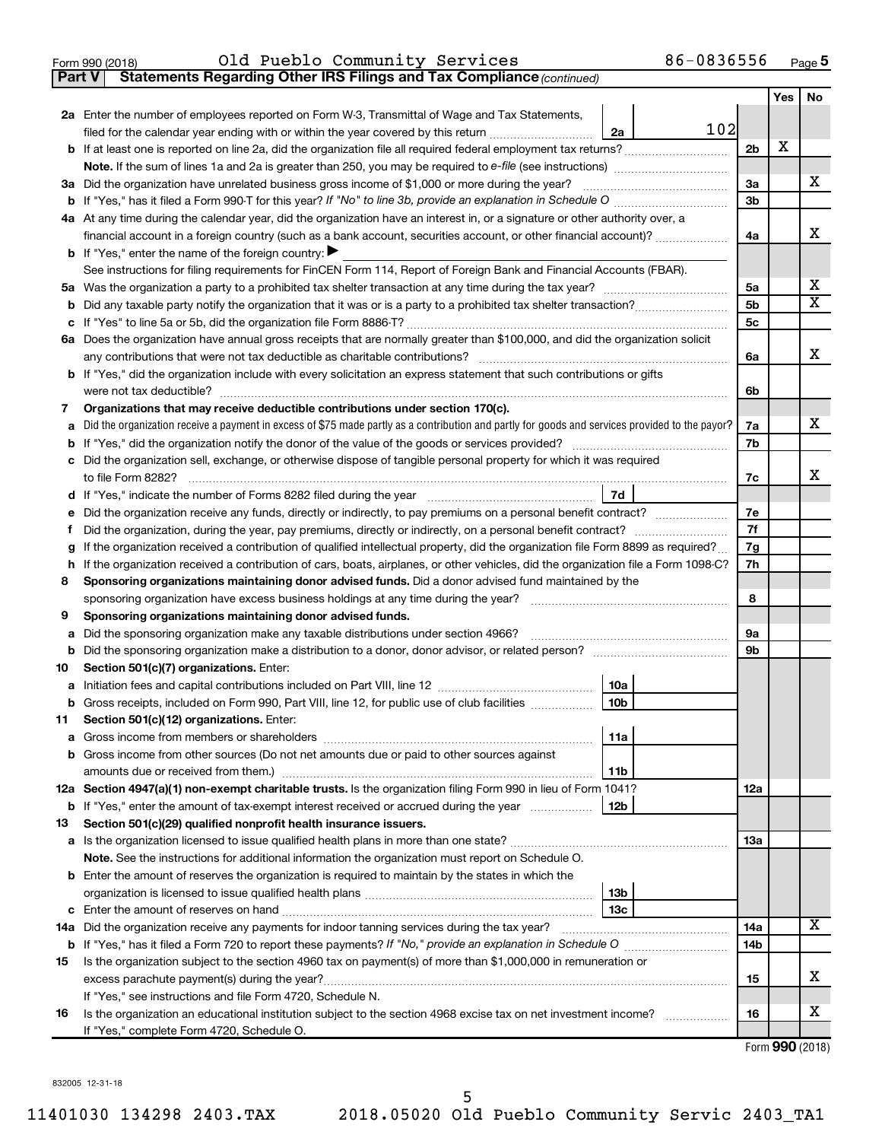|  | Form 990 (2018) |
|--|-----------------|
|  |                 |

**Part V** Statements Regarding Other IRS Filings and Tax Compliance (continued)

|    |                                                                                                                                                 |                | Yes | No                      |  |
|----|-------------------------------------------------------------------------------------------------------------------------------------------------|----------------|-----|-------------------------|--|
|    | 2a Enter the number of employees reported on Form W-3, Transmittal of Wage and Tax Statements,                                                  |                |     |                         |  |
|    | 102<br>filed for the calendar year ending with or within the year covered by this return<br>2a                                                  |                |     |                         |  |
| b  |                                                                                                                                                 | 2 <sub>b</sub> | х   |                         |  |
|    |                                                                                                                                                 |                |     |                         |  |
|    | 3a Did the organization have unrelated business gross income of \$1,000 or more during the year?                                                | 3a<br>3b       |     | х                       |  |
|    |                                                                                                                                                 |                |     |                         |  |
|    | 4a At any time during the calendar year, did the organization have an interest in, or a signature or other authority over, a                    |                |     |                         |  |
|    | financial account in a foreign country (such as a bank account, securities account, or other financial account)?                                | 4a             |     | x                       |  |
|    | <b>b</b> If "Yes," enter the name of the foreign country:                                                                                       |                |     |                         |  |
|    | See instructions for filing requirements for FinCEN Form 114, Report of Foreign Bank and Financial Accounts (FBAR).                             |                |     | x                       |  |
|    |                                                                                                                                                 | 5a             |     | $\overline{\mathbf{X}}$ |  |
| b  |                                                                                                                                                 | 5b<br>5с       |     |                         |  |
| с  |                                                                                                                                                 |                |     |                         |  |
|    | 6a Does the organization have annual gross receipts that are normally greater than \$100,000, and did the organization solicit                  | 6a             |     | x                       |  |
|    | <b>b</b> If "Yes," did the organization include with every solicitation an express statement that such contributions or gifts                   |                |     |                         |  |
|    |                                                                                                                                                 | 6b             |     |                         |  |
| 7  | Organizations that may receive deductible contributions under section 170(c).                                                                   |                |     |                         |  |
| a  | Did the organization receive a payment in excess of \$75 made partly as a contribution and partly for goods and services provided to the payor? | 7a             |     | х                       |  |
| b  |                                                                                                                                                 | 7b             |     |                         |  |
| с  | Did the organization sell, exchange, or otherwise dispose of tangible personal property for which it was required                               |                |     |                         |  |
|    |                                                                                                                                                 | 7c             |     | x                       |  |
| d  | 7d                                                                                                                                              |                |     |                         |  |
| е  | Did the organization receive any funds, directly or indirectly, to pay premiums on a personal benefit contract?                                 | 7e             |     |                         |  |
| f. |                                                                                                                                                 | 7f             |     |                         |  |
| g  | If the organization received a contribution of qualified intellectual property, did the organization file Form 8899 as required?                | 7g             |     |                         |  |
| h  | If the organization received a contribution of cars, boats, airplanes, or other vehicles, did the organization file a Form 1098-C?              | 7h             |     |                         |  |
| 8  | Sponsoring organizations maintaining donor advised funds. Did a donor advised fund maintained by the                                            |                |     |                         |  |
|    | sponsoring organization have excess business holdings at any time during the year?                                                              | 8              |     |                         |  |
| 9  | Sponsoring organizations maintaining donor advised funds.                                                                                       |                |     |                         |  |
| а  | Did the sponsoring organization make any taxable distributions under section 4966?                                                              | 9а             |     |                         |  |
| b  |                                                                                                                                                 | 9b             |     |                         |  |
| 10 | Section 501(c)(7) organizations. Enter:                                                                                                         |                |     |                         |  |
| a  | 10a                                                                                                                                             |                |     |                         |  |
|    | 10 <sub>b</sub><br>b Gross receipts, included on Form 990, Part VIII, line 12, for public use of club facilities                                |                |     |                         |  |
| 11 | Section 501(c)(12) organizations. Enter:                                                                                                        |                |     |                         |  |
|    | 11a                                                                                                                                             |                |     |                         |  |
|    | <b>b</b> Gross income from other sources (Do not net amounts due or paid to other sources against                                               |                |     |                         |  |
|    | 11b<br>12a Section 4947(a)(1) non-exempt charitable trusts. Is the organization filing Form 990 in lieu of Form 1041?                           | 12a            |     |                         |  |
|    | <b>b</b> If "Yes," enter the amount of tax-exempt interest received or accrued during the year<br>12b                                           |                |     |                         |  |
| 13 | Section 501(c)(29) qualified nonprofit health insurance issuers.                                                                                |                |     |                         |  |
|    |                                                                                                                                                 | 1За            |     |                         |  |
|    | Note. See the instructions for additional information the organization must report on Schedule O.                                               |                |     |                         |  |
|    | <b>b</b> Enter the amount of reserves the organization is required to maintain by the states in which the                                       |                |     |                         |  |
|    | 13 <sub>b</sub>                                                                                                                                 |                |     |                         |  |
|    | 13с                                                                                                                                             |                |     |                         |  |
|    | 14a Did the organization receive any payments for indoor tanning services during the tax year?                                                  | 14a            |     | x                       |  |
|    |                                                                                                                                                 | 14b            |     |                         |  |
| 15 | Is the organization subject to the section 4960 tax on payment(s) of more than \$1,000,000 in remuneration or                                   |                |     |                         |  |
|    | excess parachute payment(s) during the year?                                                                                                    | 15             |     | X                       |  |
|    | If "Yes," see instructions and file Form 4720, Schedule N.                                                                                      |                |     |                         |  |
| 16 | Is the organization an educational institution subject to the section 4968 excise tax on net investment income?                                 | 16             |     | x                       |  |
|    | If "Yes," complete Form 4720, Schedule O.                                                                                                       |                |     |                         |  |

|  | Form 990 (2018) |
|--|-----------------|

832005 12-31-18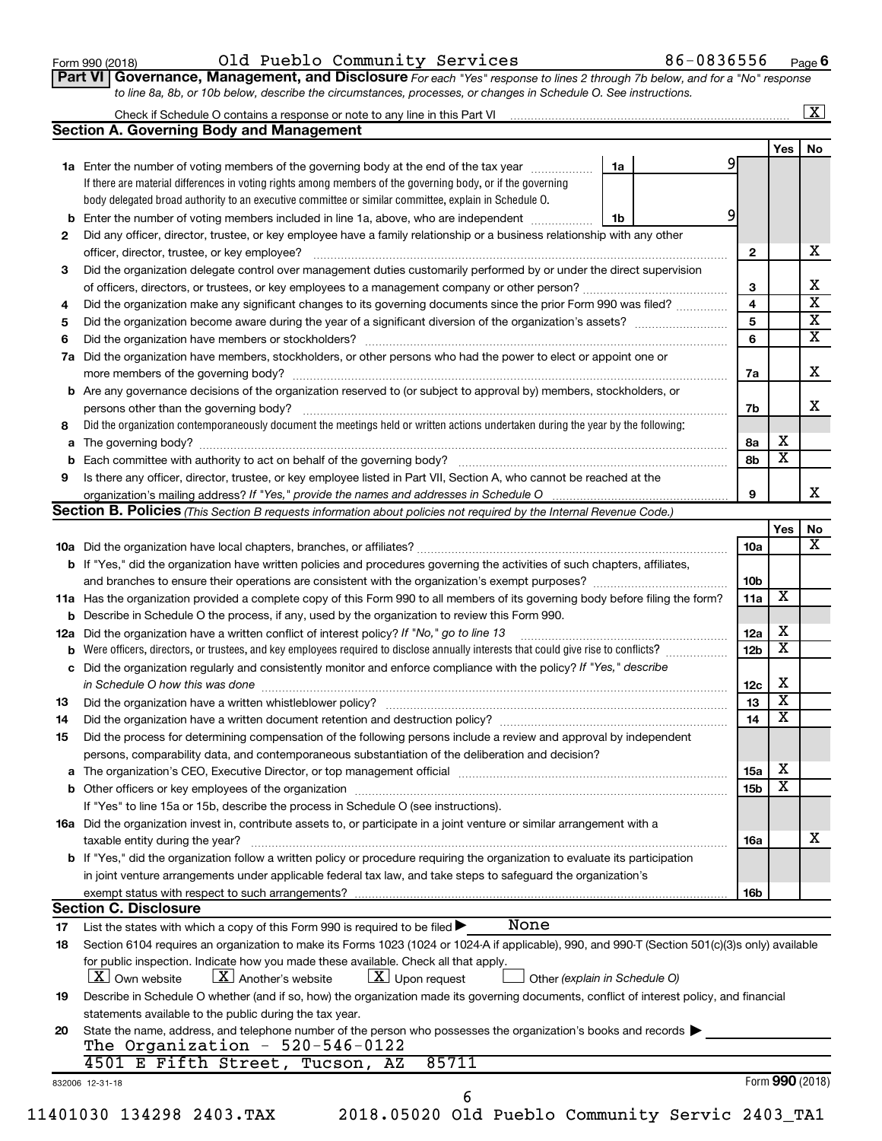| Form 990 (2018) |  |
|-----------------|--|
|-----------------|--|

 $_{\rm Form}$   $990$  (2018) O $1$ d Pueblo Community Services 86-0836556  $_{\rm Page}$ 

**Part VI** Governance, Management, and Disclosure For each "Yes" response to lines 2 through 7b below, and for a "No" response *to line 8a, 8b, or 10b below, describe the circumstances, processes, or changes in Schedule O. See instructions.*

|     | Check if Schedule O contains a response or note to any line in this Part VI                                                                     |    |  |                         |                         | х                                                |
|-----|-------------------------------------------------------------------------------------------------------------------------------------------------|----|--|-------------------------|-------------------------|--------------------------------------------------|
|     | <b>Section A. Governing Body and Management</b>                                                                                                 |    |  |                         |                         |                                                  |
|     |                                                                                                                                                 |    |  |                         | Yes                     | No                                               |
|     | 1a Enter the number of voting members of the governing body at the end of the tax year                                                          | 1a |  | 9                       |                         |                                                  |
|     | If there are material differences in voting rights among members of the governing body, or if the governing                                     |    |  |                         |                         |                                                  |
|     | body delegated broad authority to an executive committee or similar committee, explain in Schedule O.                                           |    |  |                         |                         |                                                  |
| b   | Enter the number of voting members included in line 1a, above, who are independent                                                              | 1b |  | 9                       |                         |                                                  |
| 2   | Did any officer, director, trustee, or key employee have a family relationship or a business relationship with any other                        |    |  |                         |                         |                                                  |
|     | officer, director, trustee, or key employee?                                                                                                    |    |  | $\mathbf{2}$            |                         | х                                                |
| 3   | Did the organization delegate control over management duties customarily performed by or under the direct supervision                           |    |  |                         |                         |                                                  |
|     | of officers, directors, or trustees, or key employees to a management company or other person?                                                  |    |  | 3                       |                         | х                                                |
| 4   | Did the organization make any significant changes to its governing documents since the prior Form 990 was filed?                                |    |  | $\overline{\mathbf{4}}$ |                         | $\overline{\text{x}}$<br>$\overline{\mathbf{X}}$ |
| 5   |                                                                                                                                                 |    |  |                         |                         |                                                  |
| 6   |                                                                                                                                                 |    |  | 6                       |                         | $\overline{\textbf{x}}$                          |
| 7a  | Did the organization have members, stockholders, or other persons who had the power to elect or appoint one or                                  |    |  |                         |                         |                                                  |
|     |                                                                                                                                                 |    |  | 7a                      |                         | х                                                |
|     | <b>b</b> Are any governance decisions of the organization reserved to (or subject to approval by) members, stockholders, or                     |    |  |                         |                         |                                                  |
|     | persons other than the governing body?                                                                                                          |    |  | 7b                      |                         | х                                                |
| 8   | Did the organization contemporaneously document the meetings held or written actions undertaken during the year by the following:               |    |  |                         |                         |                                                  |
| а   |                                                                                                                                                 |    |  | 8а                      | х                       |                                                  |
| b   |                                                                                                                                                 |    |  | 8b                      | $\overline{\textbf{x}}$ |                                                  |
| 9   | Is there any officer, director, trustee, or key employee listed in Part VII, Section A, who cannot be reached at the                            |    |  |                         |                         |                                                  |
|     | organization's mailing address? If "Yes," provide the names and addresses in Schedule O                                                         |    |  | 9                       |                         | х                                                |
|     | Section B. Policies (This Section B requests information about policies not required by the Internal Revenue Code.)                             |    |  |                         |                         |                                                  |
|     |                                                                                                                                                 |    |  |                         | Yes                     | No                                               |
|     |                                                                                                                                                 |    |  | 10a                     |                         | х                                                |
|     | b If "Yes," did the organization have written policies and procedures governing the activities of such chapters, affiliates,                    |    |  |                         |                         |                                                  |
|     |                                                                                                                                                 |    |  | 10 <sub>b</sub>         |                         |                                                  |
|     | 11a Has the organization provided a complete copy of this Form 990 to all members of its governing body before filing the form?                 |    |  | 11a                     | х                       |                                                  |
| b   | Describe in Schedule O the process, if any, used by the organization to review this Form 990.                                                   |    |  |                         |                         |                                                  |
| 12a | Did the organization have a written conflict of interest policy? If "No," go to line 13                                                         |    |  | 12a                     | х                       |                                                  |
| b   | Were officers, directors, or trustees, and key employees required to disclose annually interests that could give rise to conflicts?             |    |  | 12 <sub>b</sub>         | $\overline{\text{x}}$   |                                                  |
| с   | Did the organization regularly and consistently monitor and enforce compliance with the policy? If "Yes," describe                              |    |  |                         |                         |                                                  |
|     | in Schedule O how this was done                                                                                                                 |    |  | 12c                     | х                       |                                                  |
| 13  |                                                                                                                                                 |    |  | 13                      | $\overline{\textbf{x}}$ |                                                  |
| 14  |                                                                                                                                                 |    |  | 14                      | $\overline{\textbf{x}}$ |                                                  |
| 15  | Did the process for determining compensation of the following persons include a review and approval by independent                              |    |  |                         |                         |                                                  |
|     | persons, comparability data, and contemporaneous substantiation of the deliberation and decision?                                               |    |  |                         |                         |                                                  |
| а   |                                                                                                                                                 |    |  | 15a                     | х                       |                                                  |
|     |                                                                                                                                                 |    |  | 15 <sub>b</sub>         | $\overline{\textbf{x}}$ |                                                  |
|     | If "Yes" to line 15a or 15b, describe the process in Schedule O (see instructions).                                                             |    |  |                         |                         |                                                  |
|     | 16a Did the organization invest in, contribute assets to, or participate in a joint venture or similar arrangement with a                       |    |  |                         |                         |                                                  |
|     | taxable entity during the year?                                                                                                                 |    |  | <b>16a</b>              |                         | х                                                |
|     | b If "Yes," did the organization follow a written policy or procedure requiring the organization to evaluate its participation                  |    |  |                         |                         |                                                  |
|     | in joint venture arrangements under applicable federal tax law, and take steps to safeguard the organization's                                  |    |  |                         |                         |                                                  |
|     | exempt status with respect to such arrangements?                                                                                                |    |  | 16 <sub>b</sub>         |                         |                                                  |
|     | <b>Section C. Disclosure</b>                                                                                                                    |    |  |                         |                         |                                                  |
| 17  | None<br>List the states with which a copy of this Form 990 is required to be filed $\blacktriangleright$                                        |    |  |                         |                         |                                                  |
| 18  | Section 6104 requires an organization to make its Forms 1023 (1024 or 1024 A if applicable), 990, and 990-T (Section 501(c)(3)s only) available |    |  |                         |                         |                                                  |
|     | for public inspection. Indicate how you made these available. Check all that apply.                                                             |    |  |                         |                         |                                                  |
|     | $X$ Another's website<br>$X$ Upon request<br>  X   Own website<br>Other (explain in Schedule O)                                                 |    |  |                         |                         |                                                  |
| 19  | Describe in Schedule O whether (and if so, how) the organization made its governing documents, conflict of interest policy, and financial       |    |  |                         |                         |                                                  |
|     | statements available to the public during the tax year.                                                                                         |    |  |                         |                         |                                                  |
| 20  | State the name, address, and telephone number of the person who possesses the organization's books and records                                  |    |  |                         |                         |                                                  |
|     | The Organization - $520-546-0122$                                                                                                               |    |  |                         |                         |                                                  |
|     | 4501 E Fifth Street, Tucson, AZ<br>85711                                                                                                        |    |  |                         |                         |                                                  |
|     | 832006 12-31-18                                                                                                                                 |    |  |                         |                         | Form 990 (2018)                                  |
|     | 6                                                                                                                                               |    |  |                         |                         |                                                  |

11401030 134298 2403.TAX 2018.05020 Old Pueblo Community Servic 2403\_TA1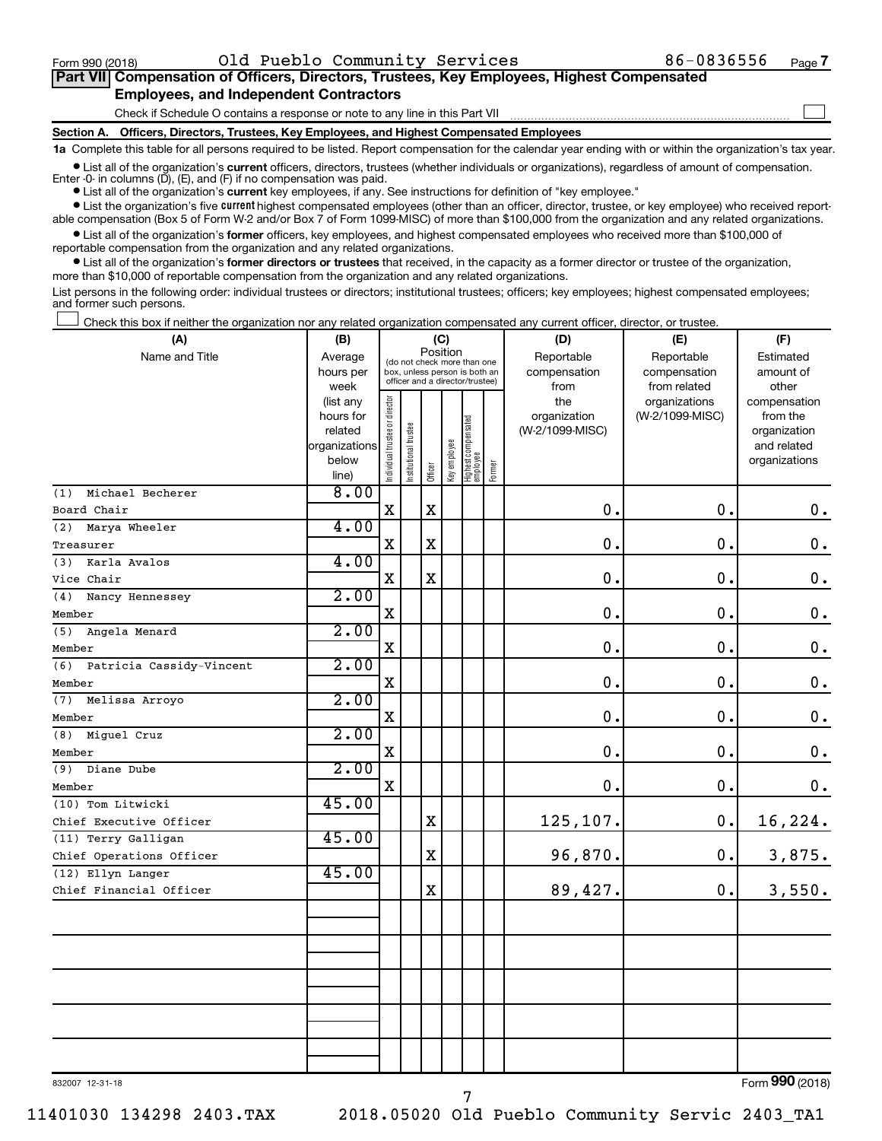$\Box$ 

| Part VII Compensation of Officers, Directors, Trustees, Key Employees, Highest Compensated |  |  |  |
|--------------------------------------------------------------------------------------------|--|--|--|
| <b>Employees, and Independent Contractors</b>                                              |  |  |  |

Check if Schedule O contains a response or note to any line in this Part VII

**Section A. Officers, Directors, Trustees, Key Employees, and Highest Compensated Employees**

**1a**  Complete this table for all persons required to be listed. Report compensation for the calendar year ending with or within the organization's tax year.

**•** List all of the organization's current officers, directors, trustees (whether individuals or organizations), regardless of amount of compensation. Enter -0- in columns  $(D)$ ,  $(E)$ , and  $(F)$  if no compensation was paid.

**•** List all of the organization's **current** key employees, if any. See instructions for definition of "key employee."

**•** List the organization's five current highest compensated employees (other than an officer, director, trustee, or key employee) who received reportable compensation (Box 5 of Form W-2 and/or Box 7 of Form 1099-MISC) of more than \$100,000 from the organization and any related organizations.

**•** List all of the organization's former officers, key employees, and highest compensated employees who received more than \$100,000 of reportable compensation from the organization and any related organizations.

**•** List all of the organization's former directors or trustees that received, in the capacity as a former director or trustee of the organization, more than \$10,000 of reportable compensation from the organization and any related organizations.

List persons in the following order: individual trustees or directors; institutional trustees; officers; key employees; highest compensated employees; and former such persons.

Check this box if neither the organization nor any related organization compensated any current officer, director, or trustee.  $\Box$ 

| (A)                             | (B)                      | (C)                                     |                                                                  |             |              |                                   |        | (D)             | (E)             | (F)                         |  |  |
|---------------------------------|--------------------------|-----------------------------------------|------------------------------------------------------------------|-------------|--------------|-----------------------------------|--------|-----------------|-----------------|-----------------------------|--|--|
| Name and Title                  | Average                  | Position<br>(do not check more than one |                                                                  |             |              |                                   |        | Reportable      | Reportable      | Estimated                   |  |  |
|                                 | hours per                |                                         | box, unless person is both an<br>officer and a director/trustee) |             |              |                                   |        | compensation    | compensation    | amount of                   |  |  |
|                                 | week                     |                                         |                                                                  |             |              |                                   |        | from            | from related    | other                       |  |  |
|                                 | (list any                |                                         |                                                                  |             |              |                                   |        | the             | organizations   | compensation                |  |  |
|                                 | hours for                |                                         |                                                                  |             |              |                                   |        | organization    | (W-2/1099-MISC) | from the                    |  |  |
|                                 | related<br>organizations |                                         |                                                                  |             |              |                                   |        | (W-2/1099-MISC) |                 | organization<br>and related |  |  |
|                                 | below                    |                                         |                                                                  |             |              |                                   |        |                 |                 | organizations               |  |  |
|                                 | line)                    | Individual trustee or director          | Institutional trustee                                            | Officer     | Key employee | Highest compensated<br>  employee | Former |                 |                 |                             |  |  |
| Michael Becherer<br>(1)         | 8.00                     |                                         |                                                                  |             |              |                                   |        |                 |                 |                             |  |  |
| Board Chair                     |                          | X                                       |                                                                  | $\mathbf X$ |              |                                   |        | $\mathbf 0$ .   | 0.              | 0.                          |  |  |
| (2) Marya Wheeler               | 4.00                     |                                         |                                                                  |             |              |                                   |        |                 |                 |                             |  |  |
| Treasurer                       |                          | $\mathbf X$                             |                                                                  | $\mathbf X$ |              |                                   |        | $\mathbf 0$ .   | 0.              | $\mathbf 0$ .               |  |  |
| (3)<br>Karla Avalos             | 4.00                     |                                         |                                                                  |             |              |                                   |        |                 |                 |                             |  |  |
| Vice Chair                      |                          | $\mathbf X$                             |                                                                  | $\mathbf X$ |              |                                   |        | $\mathbf 0$ .   | $\mathbf 0$ .   | $\boldsymbol{0}$ .          |  |  |
| (4)<br>Nancy Hennessey          | 2.00                     |                                         |                                                                  |             |              |                                   |        |                 |                 |                             |  |  |
| Member                          |                          | $\mathbf X$                             |                                                                  |             |              |                                   |        | $\mathbf 0$ .   | 0.              | $\boldsymbol{0}$ .          |  |  |
| (5)<br>Angela Menard            | 2.00                     |                                         |                                                                  |             |              |                                   |        |                 |                 |                             |  |  |
| Member                          |                          | X                                       |                                                                  |             |              |                                   |        | $\mathbf 0$ .   | 0.              | $\boldsymbol{0}$ .          |  |  |
| (6)<br>Patricia Cassidy-Vincent | 2.00                     |                                         |                                                                  |             |              |                                   |        |                 |                 |                             |  |  |
| Member                          |                          | $\mathbf X$                             |                                                                  |             |              |                                   |        | $\mathbf 0$ .   | 0.              | $\boldsymbol{0}$ .          |  |  |
| (7)<br>Melissa Arroyo           | 2.00                     |                                         |                                                                  |             |              |                                   |        |                 |                 |                             |  |  |
| Member                          |                          | $\mathbf X$                             |                                                                  |             |              |                                   |        | $\mathbf 0$ .   | $\mathbf 0$ .   | $\mathbf 0$ .               |  |  |
| (8)<br>Miguel Cruz              | 2.00                     |                                         |                                                                  |             |              |                                   |        |                 |                 |                             |  |  |
| Member                          |                          | $\mathbf X$                             |                                                                  |             |              |                                   |        | 0.              | $\mathbf 0$ .   | $\boldsymbol{0}$ .          |  |  |
| (9)<br>Diane Dube               | 2.00                     |                                         |                                                                  |             |              |                                   |        |                 |                 |                             |  |  |
| Member                          |                          | X                                       |                                                                  |             |              |                                   |        | 0.              | $\mathbf 0$ .   | 0.                          |  |  |
| (10) Tom Litwicki               | 45.00                    |                                         |                                                                  |             |              |                                   |        |                 |                 |                             |  |  |
| Chief Executive Officer         |                          |                                         |                                                                  | $\mathbf X$ |              |                                   |        | 125,107.        | $\mathbf 0$ .   | 16,224.                     |  |  |
| (11) Terry Galligan             | 45.00                    |                                         |                                                                  |             |              |                                   |        |                 |                 |                             |  |  |
| Chief Operations Officer        |                          |                                         |                                                                  | $\mathbf X$ |              |                                   |        | 96,870.         | $\mathbf 0$ .   | 3,875.                      |  |  |
| (12) Ellyn Langer               | 45.00                    |                                         |                                                                  |             |              |                                   |        |                 |                 |                             |  |  |
| Chief Financial Officer         |                          |                                         |                                                                  | $\mathbf X$ |              |                                   |        | 89,427.         | 0.              | 3,550.                      |  |  |
|                                 |                          |                                         |                                                                  |             |              |                                   |        |                 |                 |                             |  |  |
|                                 |                          |                                         |                                                                  |             |              |                                   |        |                 |                 |                             |  |  |
|                                 |                          |                                         |                                                                  |             |              |                                   |        |                 |                 |                             |  |  |
|                                 |                          |                                         |                                                                  |             |              |                                   |        |                 |                 |                             |  |  |
|                                 |                          |                                         |                                                                  |             |              |                                   |        |                 |                 |                             |  |  |
|                                 |                          |                                         |                                                                  |             |              |                                   |        |                 |                 |                             |  |  |
|                                 |                          |                                         |                                                                  |             |              |                                   |        |                 |                 |                             |  |  |
|                                 |                          |                                         |                                                                  |             |              |                                   |        |                 |                 |                             |  |  |
|                                 |                          |                                         |                                                                  |             |              |                                   |        |                 |                 |                             |  |  |
|                                 |                          |                                         |                                                                  |             |              |                                   |        |                 |                 |                             |  |  |

7

832007 12-31-18

Form (2018) **990**

11401030 134298 2403.TAX 2018.05020 Old Pueblo Community Servic 2403\_TA1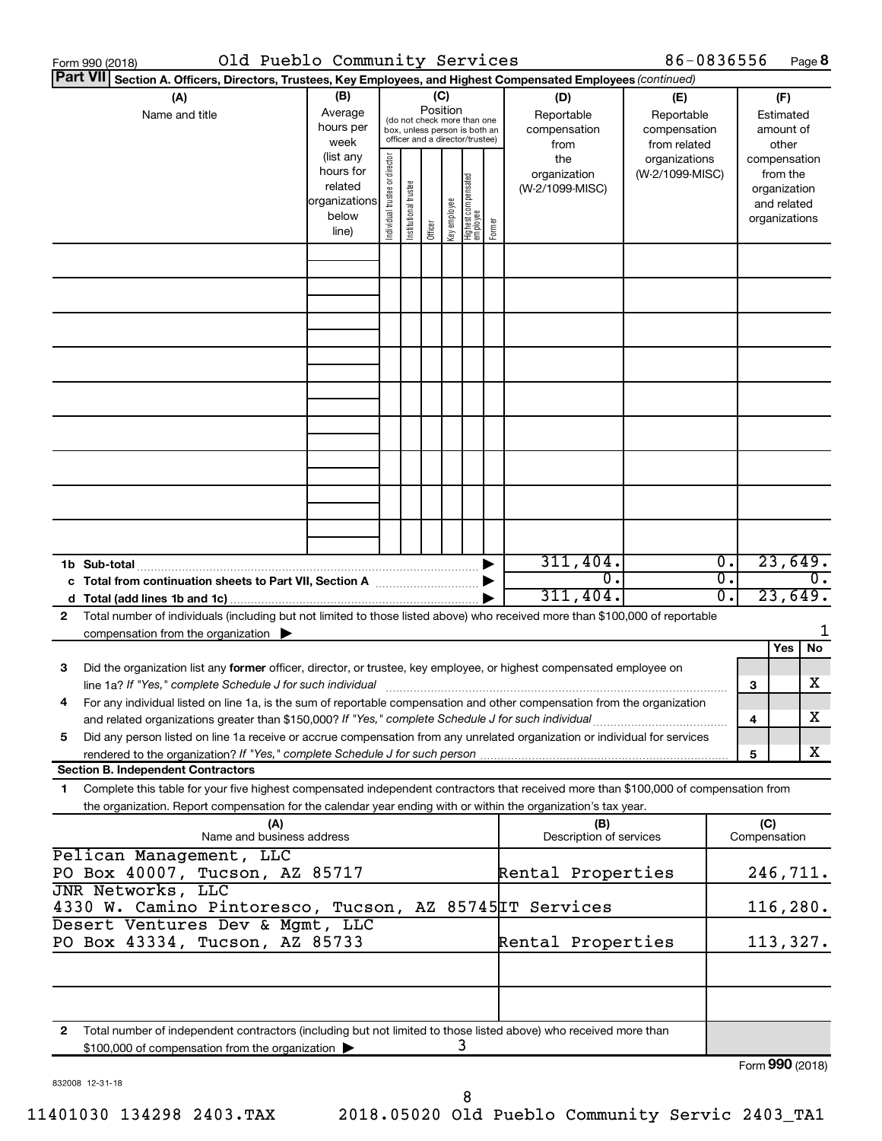|              | Old Pueblo Community Services<br>Form 990 (2018)                                                                                                                                                                                                                                                               |                                                                                                                                        |                                |                       |         |                 |                                   |        |                                           | 86-0836556                                        |                |                                        |                                                                          | Page 8           |
|--------------|----------------------------------------------------------------------------------------------------------------------------------------------------------------------------------------------------------------------------------------------------------------------------------------------------------------|----------------------------------------------------------------------------------------------------------------------------------------|--------------------------------|-----------------------|---------|-----------------|-----------------------------------|--------|-------------------------------------------|---------------------------------------------------|----------------|----------------------------------------|--------------------------------------------------------------------------|------------------|
|              | Part VII Section A. Officers, Directors, Trustees, Key Employees, and Highest Compensated Employees (continued)<br>(A)<br>Name and title                                                                                                                                                                       | (B)<br>Average<br>(do not check more than one<br>hours per<br>box, unless person is both an<br>officer and a director/trustee)<br>week |                                |                       |         | (C)<br>Position |                                   |        | (D)<br>Reportable<br>compensation<br>from | (E)<br>Reportable<br>compensation<br>from related |                | (F)<br>Estimated<br>amount of<br>other |                                                                          |                  |
|              |                                                                                                                                                                                                                                                                                                                | (list any<br>hours for<br>related<br> organizations<br>below<br>line)                                                                  | Individual trustee or director | Institutional trustee | Officer | Key employee    | Highest compensated<br>  employee | Former | the<br>organization<br>(W-2/1099-MISC)    | organizations<br>(W-2/1099-MISC)                  |                |                                        | compensation<br>from the<br>organization<br>and related<br>organizations |                  |
|              |                                                                                                                                                                                                                                                                                                                |                                                                                                                                        |                                |                       |         |                 |                                   |        |                                           |                                                   |                |                                        |                                                                          |                  |
|              |                                                                                                                                                                                                                                                                                                                |                                                                                                                                        |                                |                       |         |                 |                                   |        |                                           |                                                   |                |                                        |                                                                          |                  |
|              |                                                                                                                                                                                                                                                                                                                |                                                                                                                                        |                                |                       |         |                 |                                   |        |                                           |                                                   |                |                                        |                                                                          |                  |
|              |                                                                                                                                                                                                                                                                                                                |                                                                                                                                        |                                |                       |         |                 |                                   |        |                                           |                                                   |                |                                        |                                                                          |                  |
|              |                                                                                                                                                                                                                                                                                                                |                                                                                                                                        |                                |                       |         |                 |                                   |        |                                           |                                                   |                |                                        |                                                                          |                  |
|              | 1b Sub-total<br>c Total from continuation sheets to Part VII, Section A [11, 11, 11, 11, 11]                                                                                                                                                                                                                   |                                                                                                                                        |                                |                       |         |                 |                                   |        | 311,404.<br>$\overline{0}$ .<br>311,404.  |                                                   | Ο.<br>σ.<br>σ. |                                        | 23,649.<br>23,649.                                                       | $\overline{0}$ . |
| $\mathbf{2}$ | Total number of individuals (including but not limited to those listed above) who received more than \$100,000 of reportable<br>compensation from the organization $\blacktriangleright$                                                                                                                       |                                                                                                                                        |                                |                       |         |                 |                                   |        |                                           |                                                   |                |                                        | Yes                                                                      | 1<br>No          |
| 3            | Did the organization list any former officer, director, or trustee, key employee, or highest compensated employee on<br>line 1a? If "Yes," complete Schedule J for such individual<br>For any individual listed on line 1a, is the sum of reportable compensation and other compensation from the organization |                                                                                                                                        |                                |                       |         |                 |                                   |        |                                           |                                                   |                | 3                                      |                                                                          | x                |
| 5            | Did any person listed on line 1a receive or accrue compensation from any unrelated organization or individual for services<br>rendered to the organization? If "Yes," complete Schedule J for such person                                                                                                      |                                                                                                                                        |                                |                       |         |                 |                                   |        |                                           |                                                   |                | 4<br>5                                 |                                                                          | x<br>x           |
| 1            | <b>Section B. Independent Contractors</b><br>Complete this table for your five highest compensated independent contractors that received more than \$100,000 of compensation from                                                                                                                              |                                                                                                                                        |                                |                       |         |                 |                                   |        |                                           |                                                   |                |                                        |                                                                          |                  |
|              | the organization. Report compensation for the calendar year ending with or within the organization's tax year.<br>(A)<br>Name and business address                                                                                                                                                             |                                                                                                                                        |                                |                       |         |                 |                                   |        | (B)<br>Description of services            |                                                   |                | (C)<br>Compensation                    |                                                                          |                  |
|              | Pelican Management, LLC<br>PO Box 40007, Tucson, AZ 85717<br>JNR Networks, LLC                                                                                                                                                                                                                                 |                                                                                                                                        |                                |                       |         |                 |                                   |        | Rental Properties                         |                                                   |                | 246,711.                               |                                                                          |                  |
|              | 4330 W. Camino Pintoresco, Tucson, AZ 85745 IT Services<br>Desert Ventures Dev & Mgmt, LLC<br>PO Box 43334, Tucson, AZ 85733                                                                                                                                                                                   |                                                                                                                                        |                                |                       |         |                 |                                   |        | Rental Properties                         |                                                   |                |                                        | 116, 280.<br>113,327.                                                    |                  |
|              |                                                                                                                                                                                                                                                                                                                |                                                                                                                                        |                                |                       |         |                 |                                   |        |                                           |                                                   |                |                                        |                                                                          |                  |
| 2            | Total number of independent contractors (including but not limited to those listed above) who received more than<br>\$100,000 of compensation from the organization                                                                                                                                            |                                                                                                                                        |                                |                       |         |                 | 3                                 |        |                                           |                                                   |                |                                        |                                                                          |                  |
|              |                                                                                                                                                                                                                                                                                                                |                                                                                                                                        |                                |                       |         |                 |                                   |        |                                           |                                                   |                | Form 990 (2018)                        |                                                                          |                  |

832008 12-31-18

Form **990** (2018)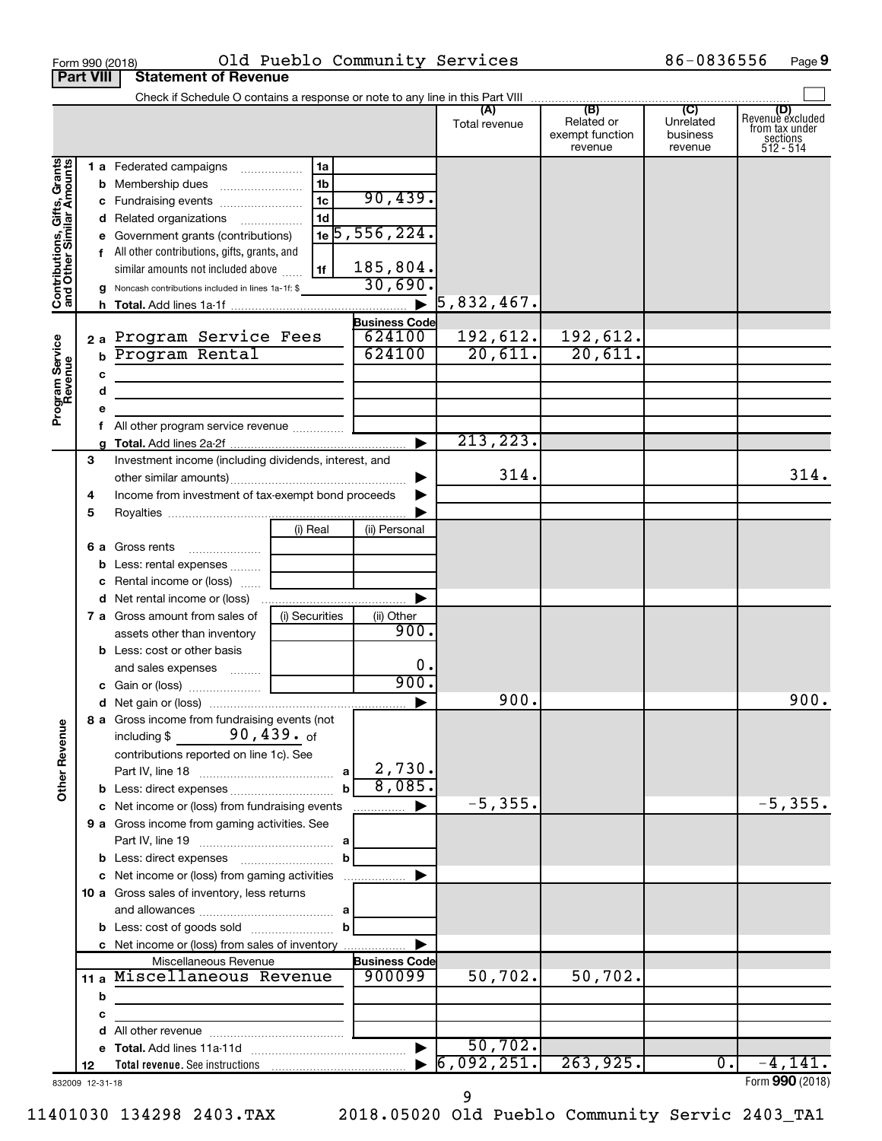|                                                           |                  | Old Pueblo Community Services<br>Form 990 (2018)                                       |                |                                |                |                                          | 86-0836556                       | Page 9                                                      |
|-----------------------------------------------------------|------------------|----------------------------------------------------------------------------------------|----------------|--------------------------------|----------------|------------------------------------------|----------------------------------|-------------------------------------------------------------|
|                                                           | <b>Part VIII</b> | <b>Statement of Revenue</b>                                                            |                |                                |                |                                          |                                  |                                                             |
|                                                           |                  |                                                                                        |                |                                |                |                                          |                                  |                                                             |
|                                                           |                  |                                                                                        |                |                                | Total revenue  | Related or<br>exempt function<br>revenue | Unrelated<br>business<br>revenue | Revenue excluded<br>trom tax under<br>sections<br>512 - 514 |
|                                                           |                  | 1 a Federated campaigns                                                                | 1a             |                                |                |                                          |                                  |                                                             |
| Contributions, Gifts, Grants<br>and Other Similar Amounts |                  |                                                                                        | 1 <sub>b</sub> |                                |                |                                          |                                  |                                                             |
|                                                           |                  | c Fundraising events                                                                   | 1c             | 90,439.                        |                |                                          |                                  |                                                             |
|                                                           |                  | d Related organizations                                                                | 1d             |                                |                |                                          |                                  |                                                             |
|                                                           |                  | e Government grants (contributions)                                                    |                | $1e$ 5, 556, 224.              |                |                                          |                                  |                                                             |
|                                                           |                  | f All other contributions, gifts, grants, and                                          |                |                                |                |                                          |                                  |                                                             |
|                                                           |                  | similar amounts not included above                                                     | 1f             | 185,804.                       |                |                                          |                                  |                                                             |
|                                                           |                  | g Noncash contributions included in lines 1a-1f: \$                                    |                | 30,690.                        |                |                                          |                                  |                                                             |
|                                                           |                  |                                                                                        |                | $\blacktriangleright$          | $ 5,832,467$ . |                                          |                                  |                                                             |
|                                                           |                  |                                                                                        |                | <b>Business Code</b>           |                |                                          |                                  |                                                             |
|                                                           |                  | 2a Program Service Fees                                                                |                | 624100                         | 192,612.       | 192,612.                                 |                                  |                                                             |
|                                                           | $\mathbf b$      | Program Rental                                                                         |                | 624100                         | 20,611.        | 20,611.                                  |                                  |                                                             |
|                                                           | c                |                                                                                        |                |                                |                |                                          |                                  |                                                             |
| Program Service<br>Revenue                                | d                | <u> 1989 - Johann John Stein, mars an deus Amerikaansk kommunister (</u>               |                |                                |                |                                          |                                  |                                                             |
|                                                           | е                |                                                                                        |                |                                |                |                                          |                                  |                                                             |
|                                                           | f.               | All other program service revenue                                                      |                |                                | 213,223.       |                                          |                                  |                                                             |
|                                                           | a                |                                                                                        |                |                                |                |                                          |                                  |                                                             |
|                                                           | З                | Investment income (including dividends, interest, and                                  |                |                                | 314.           |                                          |                                  | 314.                                                        |
|                                                           | 4                | Income from investment of tax-exempt bond proceeds                                     |                | ▶                              |                |                                          |                                  |                                                             |
|                                                           | 5                |                                                                                        |                |                                |                |                                          |                                  |                                                             |
|                                                           |                  | (i) Real                                                                               |                | (ii) Personal                  |                |                                          |                                  |                                                             |
|                                                           |                  | <b>6 a</b> Gross rents                                                                 |                |                                |                |                                          |                                  |                                                             |
|                                                           |                  | <b>b</b> Less: rental expenses                                                         |                |                                |                |                                          |                                  |                                                             |
|                                                           |                  | c Rental income or (loss)                                                              |                |                                |                |                                          |                                  |                                                             |
|                                                           |                  | <b>d</b> Net rental income or (loss)                                                   |                | ▶                              |                |                                          |                                  |                                                             |
|                                                           |                  | (i) Securities<br>7 a Gross amount from sales of                                       |                | (ii) Other                     |                |                                          |                                  |                                                             |
|                                                           |                  | assets other than inventory                                                            |                | 900.                           |                |                                          |                                  |                                                             |
|                                                           |                  | <b>b</b> Less: cost or other basis                                                     |                |                                |                |                                          |                                  |                                                             |
|                                                           |                  | and sales expenses                                                                     |                | 0.                             |                |                                          |                                  |                                                             |
|                                                           |                  |                                                                                        |                | 900.                           |                |                                          |                                  |                                                             |
|                                                           |                  |                                                                                        |                |                                | 900.           |                                          |                                  | 900.                                                        |
| <b>Other Revenue</b>                                      |                  | 8 a Gross income from fundraising events (not<br>90,439. <sub>of</sub><br>including \$ |                |                                |                |                                          |                                  |                                                             |
|                                                           |                  | contributions reported on line 1c). See                                                |                |                                |                |                                          |                                  |                                                             |
|                                                           |                  |                                                                                        |                | 2,730.                         |                |                                          |                                  |                                                             |
|                                                           |                  |                                                                                        |                | 8,085.                         |                |                                          |                                  |                                                             |
|                                                           |                  | c Net income or (loss) from fundraising events                                         |                | ▶                              | $-5, 355.$     |                                          |                                  | $-5, 355.$                                                  |
|                                                           |                  | 9 a Gross income from gaming activities. See                                           |                |                                |                |                                          |                                  |                                                             |
|                                                           |                  |                                                                                        |                |                                |                |                                          |                                  |                                                             |
|                                                           |                  |                                                                                        |                |                                |                |                                          |                                  |                                                             |
|                                                           |                  | c Net income or (loss) from gaming activities                                          |                | ▶                              |                |                                          |                                  |                                                             |
|                                                           |                  | 10 a Gross sales of inventory, less returns                                            |                |                                |                |                                          |                                  |                                                             |
|                                                           |                  |                                                                                        |                |                                |                |                                          |                                  |                                                             |
|                                                           |                  |                                                                                        | $\mathbf b$    |                                |                |                                          |                                  |                                                             |
|                                                           |                  | c Net income or (loss) from sales of inventory                                         |                |                                |                |                                          |                                  |                                                             |
|                                                           |                  | Miscellaneous Revenue<br>Miscellaneous Revenue                                         |                | <b>Business Code</b><br>900099 | 50,702.        | 50,702.                                  |                                  |                                                             |
|                                                           | 11 $a$           |                                                                                        |                |                                |                |                                          |                                  |                                                             |
|                                                           | b                |                                                                                        |                |                                |                |                                          |                                  |                                                             |
|                                                           | c                |                                                                                        |                |                                |                |                                          |                                  |                                                             |
|                                                           | d                |                                                                                        |                |                                | 50,702.        |                                          |                                  |                                                             |
|                                                           | 12               |                                                                                        |                |                                | 6,092,251.     | 263,925.                                 | $\overline{0}$ .                 | $-4,141.$                                                   |
|                                                           | 832009 12-31-18  |                                                                                        |                |                                |                |                                          |                                  | Form 990 (2018)                                             |

11401030 134298 2403.TAX 2018.05020 Old Pueblo Community Servic 2403\_TA1 9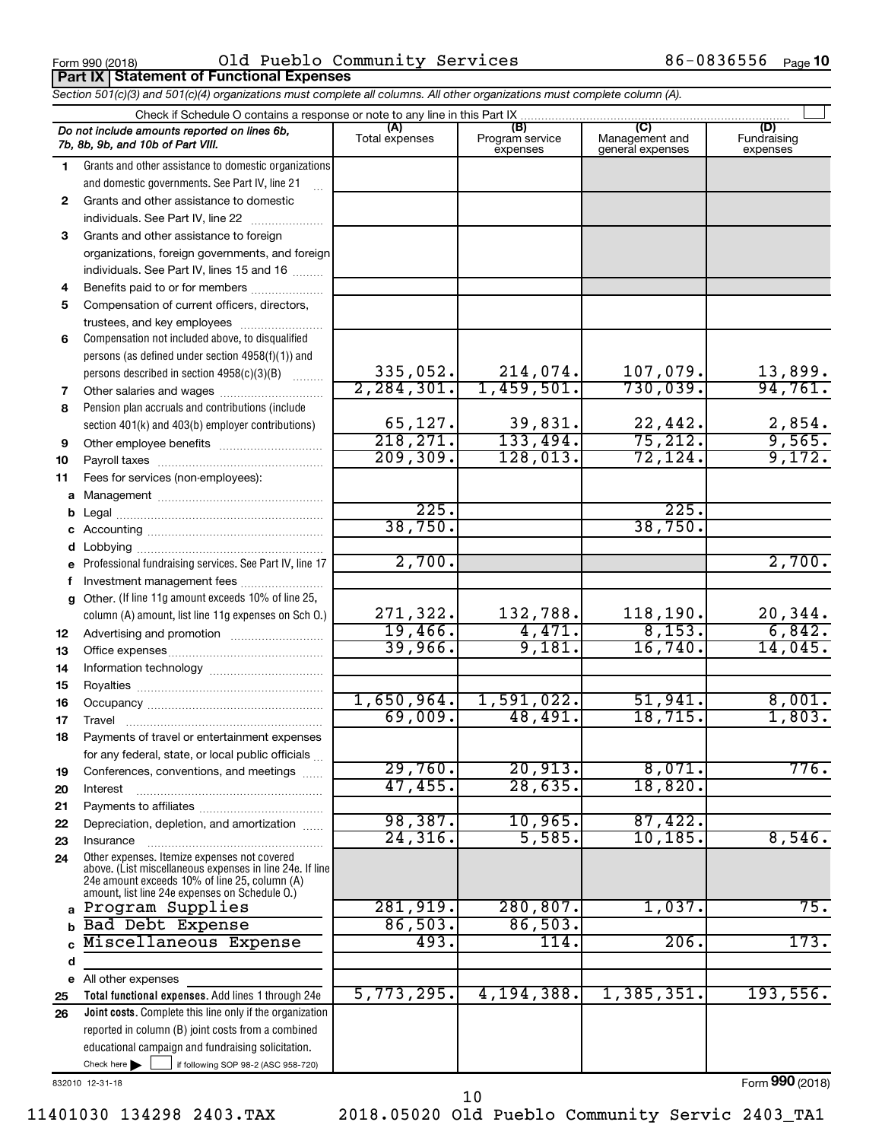**Part IX Statement of Functional Expenses**

 $_{\rm Form}$   $990$  (2018) O $1$ d Pueblo Community Services 86-0836556  $_{\rm Page}$ 

86-0836556 Page 10

|    | Section 501(c)(3) and 501(c)(4) organizations must complete all columns. All other organizations must complete column (A).                                  |                             |                                    |                                           |                                 |  |  |  |  |  |  |
|----|-------------------------------------------------------------------------------------------------------------------------------------------------------------|-----------------------------|------------------------------------|-------------------------------------------|---------------------------------|--|--|--|--|--|--|
|    | Check if Schedule O contains a response or note to any line in this Part IX.                                                                                |                             |                                    |                                           |                                 |  |  |  |  |  |  |
|    | Do not include amounts reported on lines 6b,<br>7b, 8b, 9b, and 10b of Part VIII.                                                                           | (A)<br>Total expenses       | (B)<br>Program service<br>expenses | (C)<br>Management and<br>general expenses | (D)<br>Fundraising<br>expenses  |  |  |  |  |  |  |
| 1  | Grants and other assistance to domestic organizations                                                                                                       |                             |                                    |                                           |                                 |  |  |  |  |  |  |
|    | and domestic governments. See Part IV, line 21                                                                                                              |                             |                                    |                                           |                                 |  |  |  |  |  |  |
| 2  | Grants and other assistance to domestic                                                                                                                     |                             |                                    |                                           |                                 |  |  |  |  |  |  |
|    | individuals. See Part IV, line 22                                                                                                                           |                             |                                    |                                           |                                 |  |  |  |  |  |  |
| З  | Grants and other assistance to foreign                                                                                                                      |                             |                                    |                                           |                                 |  |  |  |  |  |  |
|    | organizations, foreign governments, and foreign                                                                                                             |                             |                                    |                                           |                                 |  |  |  |  |  |  |
|    | individuals. See Part IV, lines 15 and 16                                                                                                                   |                             |                                    |                                           |                                 |  |  |  |  |  |  |
| 4  | Benefits paid to or for members                                                                                                                             |                             |                                    |                                           |                                 |  |  |  |  |  |  |
| 5  | Compensation of current officers, directors,                                                                                                                |                             |                                    |                                           |                                 |  |  |  |  |  |  |
|    | trustees, and key employees                                                                                                                                 |                             |                                    |                                           |                                 |  |  |  |  |  |  |
| 6  | Compensation not included above, to disqualified                                                                                                            |                             |                                    |                                           |                                 |  |  |  |  |  |  |
|    | persons (as defined under section 4958(f)(1)) and                                                                                                           |                             |                                    |                                           |                                 |  |  |  |  |  |  |
|    | persons described in section 4958(c)(3)(B)                                                                                                                  | $\frac{335,052}{2,284,301}$ | 214,074.                           | $\frac{107,079.}{730,039.}$               | $\frac{13,899}{94,761}$         |  |  |  |  |  |  |
| 7  | Other salaries and wages                                                                                                                                    |                             | 1,459,501.                         |                                           |                                 |  |  |  |  |  |  |
| 8  | Pension plan accruals and contributions (include                                                                                                            |                             |                                    |                                           |                                 |  |  |  |  |  |  |
|    | section 401(k) and 403(b) employer contributions)                                                                                                           | $\frac{65,127}{218,271}$    | $\frac{39,831}{133,494}$           | $\frac{22,442}{75,212}$                   | $\frac{2,854}{9,565}$<br>9,172. |  |  |  |  |  |  |
| 9  | Other employee benefits                                                                                                                                     |                             |                                    |                                           |                                 |  |  |  |  |  |  |
| 10 |                                                                                                                                                             | 209, 309.                   | 128,013.                           | 72, 124.                                  |                                 |  |  |  |  |  |  |
| 11 | Fees for services (non-employees):                                                                                                                          |                             |                                    |                                           |                                 |  |  |  |  |  |  |
| a  |                                                                                                                                                             |                             |                                    |                                           |                                 |  |  |  |  |  |  |
| b  |                                                                                                                                                             | 225.                        |                                    | 225.                                      |                                 |  |  |  |  |  |  |
|    |                                                                                                                                                             | 38,750.                     |                                    | 38,750.                                   |                                 |  |  |  |  |  |  |
|    |                                                                                                                                                             |                             |                                    |                                           |                                 |  |  |  |  |  |  |
| е  | Professional fundraising services. See Part IV, line 17                                                                                                     | 2,700.                      |                                    |                                           | 2,700.                          |  |  |  |  |  |  |
|    | Investment management fees                                                                                                                                  |                             |                                    |                                           |                                 |  |  |  |  |  |  |
| g  | Other. (If line 11g amount exceeds 10% of line 25,                                                                                                          |                             |                                    |                                           |                                 |  |  |  |  |  |  |
|    | column (A) amount, list line 11g expenses on Sch O.)                                                                                                        | 271,322.                    | 132,788.                           | 118,190.                                  | 20,344.                         |  |  |  |  |  |  |
| 12 |                                                                                                                                                             | 19,466.                     | 4,471.                             | 8,153.                                    | 6,842.                          |  |  |  |  |  |  |
| 13 |                                                                                                                                                             | 39,966.                     | 9,181.                             | 16,740.                                   | 14,045.                         |  |  |  |  |  |  |
| 14 |                                                                                                                                                             |                             |                                    |                                           |                                 |  |  |  |  |  |  |
| 15 |                                                                                                                                                             |                             |                                    |                                           |                                 |  |  |  |  |  |  |
| 16 |                                                                                                                                                             | 1,650,964.                  | 1,591,022.                         | 51,941.                                   | 8,001.                          |  |  |  |  |  |  |
| 17 |                                                                                                                                                             | 69,009.                     | 48,491.                            | 18, 715.                                  | 1,803.                          |  |  |  |  |  |  |
| 18 | Payments of travel or entertainment expenses                                                                                                                |                             |                                    |                                           |                                 |  |  |  |  |  |  |
|    | for any federal, state, or local public officials                                                                                                           |                             |                                    |                                           |                                 |  |  |  |  |  |  |
| 19 | Conferences, conventions, and meetings                                                                                                                      | 29,760.<br>47,455.          | 20,913.<br>28,635.                 | 8,071.<br>18,820.                         | 776.                            |  |  |  |  |  |  |
| 20 | Interest                                                                                                                                                    |                             |                                    |                                           |                                 |  |  |  |  |  |  |
| 21 |                                                                                                                                                             | 98,387.                     | 10,965.                            | 87,422.                                   |                                 |  |  |  |  |  |  |
| 22 | Depreciation, depletion, and amortization                                                                                                                   | 24, 316.                    | 5,585.                             | 10, 185.                                  | 8,546.                          |  |  |  |  |  |  |
| 23 | Insurance<br>Other expenses. Itemize expenses not covered                                                                                                   |                             |                                    |                                           |                                 |  |  |  |  |  |  |
| 24 | above. (List miscellaneous expenses in line 24e. If line<br>24e amount exceeds 10% of line 25, column (A)<br>amount, list line 24e expenses on Schedule O.) |                             |                                    |                                           |                                 |  |  |  |  |  |  |
| a  | Program Supplies                                                                                                                                            | 281,919.                    | 280, 807.                          | 1,037.                                    | $\overline{75}$ .               |  |  |  |  |  |  |
| h  | Bad Debt Expense                                                                                                                                            | 86,503.                     | 86,503.                            |                                           |                                 |  |  |  |  |  |  |
|    | Miscellaneous Expense                                                                                                                                       | 493.                        | $\overline{114}$ .                 | 206.                                      | 173.                            |  |  |  |  |  |  |
| d  |                                                                                                                                                             |                             |                                    |                                           |                                 |  |  |  |  |  |  |
| е  | All other expenses                                                                                                                                          |                             |                                    |                                           |                                 |  |  |  |  |  |  |
| 25 | Total functional expenses. Add lines 1 through 24e                                                                                                          | 5,773,295.                  | 4,194,388.                         | 1,385,351.                                | 193,556.                        |  |  |  |  |  |  |
| 26 | Joint costs. Complete this line only if the organization                                                                                                    |                             |                                    |                                           |                                 |  |  |  |  |  |  |
|    | reported in column (B) joint costs from a combined                                                                                                          |                             |                                    |                                           |                                 |  |  |  |  |  |  |
|    | educational campaign and fundraising solicitation.                                                                                                          |                             |                                    |                                           |                                 |  |  |  |  |  |  |
|    | Check here $\blacktriangleright$<br>if following SOP 98-2 (ASC 958-720)                                                                                     |                             |                                    |                                           |                                 |  |  |  |  |  |  |

832010 12-31-18

Form (2018) **990**

10

11401030 134298 2403.TAX 2018.05020 Old Pueblo Community Servic 2403\_TA1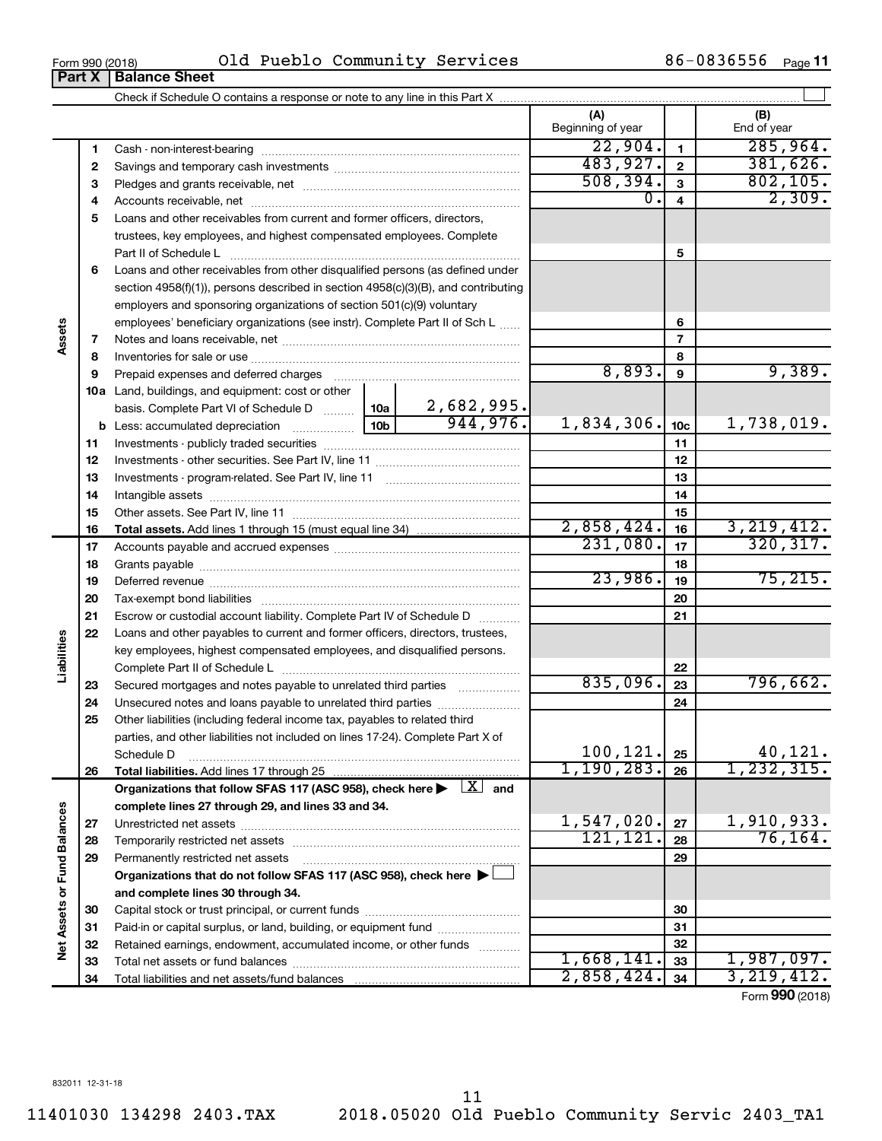**34**

Total liabilities and net assets/fund balances

**34**

2,858,424. 3,219,412.

**Part X** | Balance Sheet

**Assets**

**Liabilities**

Net Assets or Fund Balances

|                             |          |                                                                                                                                     |                 |                               | (A)<br>Beginning of year |                 | (B)<br>End of year      |
|-----------------------------|----------|-------------------------------------------------------------------------------------------------------------------------------------|-----------------|-------------------------------|--------------------------|-----------------|-------------------------|
|                             | 1        |                                                                                                                                     |                 |                               | 22,904.                  | $\mathbf{1}$    | 285,964.                |
|                             | 2        |                                                                                                                                     |                 | 483,927.                      | $\mathbf 2$              | 381,626.        |                         |
|                             | З        |                                                                                                                                     |                 |                               | 508, 394.                | 3               | 802, 105.               |
|                             | 4        |                                                                                                                                     |                 |                               | О.                       | 4               | 2,309.                  |
|                             | 5        | Loans and other receivables from current and former officers, directors,                                                            |                 |                               |                          |                 |                         |
|                             |          | trustees, key employees, and highest compensated employees. Complete                                                                |                 |                               |                          |                 |                         |
|                             |          | Part II of Schedule L                                                                                                               |                 |                               |                          | 5               |                         |
|                             | 6        | Loans and other receivables from other disqualified persons (as defined under                                                       |                 |                               |                          |                 |                         |
|                             |          | section $4958(f)(1)$ , persons described in section $4958(c)(3)(B)$ , and contributing                                              |                 |                               |                          |                 |                         |
|                             |          | employers and sponsoring organizations of section 501(c)(9) voluntary                                                               |                 |                               |                          |                 |                         |
|                             |          | employees' beneficiary organizations (see instr). Complete Part II of Sch L                                                         |                 | 6                             |                          |                 |                         |
|                             | 7        |                                                                                                                                     |                 | $\overline{7}$                |                          |                 |                         |
|                             | 8        |                                                                                                                                     |                 |                               |                          | 8               |                         |
|                             | 9        |                                                                                                                                     |                 |                               | 8,893.                   | 9               | 9,389.                  |
|                             |          | 10a Land, buildings, and equipment: cost or other                                                                                   |                 |                               |                          |                 |                         |
|                             |          | basis. Complete Part VI of Schedule D                                                                                               | 10a             | $\frac{2,682,995.}{944,976.}$ |                          |                 |                         |
|                             |          |                                                                                                                                     | 10 <sub>b</sub> |                               | 1,834,306.               | 10 <sub>c</sub> | 1,738,019.              |
|                             | 11       |                                                                                                                                     |                 | 11                            |                          |                 |                         |
|                             | 12       |                                                                                                                                     |                 | 12                            |                          |                 |                         |
|                             | 13       |                                                                                                                                     |                 |                               | 13                       |                 |                         |
|                             | 14       |                                                                                                                                     |                 |                               |                          | 14              |                         |
|                             | 15       |                                                                                                                                     |                 |                               | 15                       |                 |                         |
|                             | 16       |                                                                                                                                     |                 |                               | 2,858,424.               | 16              | 3, 219, 412.            |
|                             | 17       |                                                                                                                                     | 231,080.        | 17                            | 320, 317.                |                 |                         |
|                             | 18       |                                                                                                                                     |                 |                               | 18                       |                 |                         |
|                             | 19       |                                                                                                                                     |                 |                               | 23,986.                  | 19              | 75, 215.                |
|                             | 20       |                                                                                                                                     |                 |                               |                          | 20              |                         |
|                             | 21       | Escrow or custodial account liability. Complete Part IV of Schedule D                                                               |                 |                               |                          | 21              |                         |
|                             | 22       | Loans and other payables to current and former officers, directors, trustees,                                                       |                 |                               |                          |                 |                         |
| iabilities                  |          | key employees, highest compensated employees, and disqualified persons.                                                             |                 |                               |                          |                 |                         |
| ⊐                           |          |                                                                                                                                     |                 |                               |                          | 22              |                         |
|                             | 23       | Secured mortgages and notes payable to unrelated third parties                                                                      |                 |                               | 835,096.                 | 23              | 796,662.                |
|                             | 24       | Unsecured notes and loans payable to unrelated third parties                                                                        |                 |                               |                          | 24              |                         |
|                             | 25       | Other liabilities (including federal income tax, payables to related third                                                          |                 |                               |                          |                 |                         |
|                             |          | parties, and other liabilities not included on lines 17-24). Complete Part X of                                                     |                 |                               |                          |                 |                         |
|                             |          | Schedule D                                                                                                                          |                 |                               | 100, 121.<br>1,190,283.  | 25              | 40,121.<br>1, 232, 315. |
|                             | 26       | Total liabilities. Add lines 17 through 25                                                                                          |                 |                               |                          | 26              |                         |
|                             |          | Organizations that follow SFAS 117 (ASC 958), check here $\blacktriangleright \begin{array}{ c } \hline X & \hbox{and} \end{array}$ |                 |                               |                          |                 |                         |
|                             |          | complete lines 27 through 29, and lines 33 and 34.                                                                                  |                 |                               | 1,547,020.               | 27              | 1,910,933.              |
|                             | 27       |                                                                                                                                     |                 |                               | 121, 121.                | 28              | 76, 164.                |
|                             | 28<br>29 |                                                                                                                                     |                 |                               | 29                       |                 |                         |
|                             |          | Permanently restricted net assets                                                                                                   |                 |                               |                          |                 |                         |
| Net Assets or Fund Balances |          | Organizations that do not follow SFAS 117 (ASC 958), check here ▶<br>and complete lines 30 through 34.                              |                 |                               |                          |                 |                         |
|                             | 30       |                                                                                                                                     |                 |                               |                          | 30              |                         |
|                             | 31       | Paid-in or capital surplus, or land, building, or equipment fund                                                                    |                 |                               |                          | 31              |                         |
|                             | 32       | Retained earnings, endowment, accumulated income, or other funds                                                                    |                 |                               |                          | 32              |                         |
|                             | 33       |                                                                                                                                     |                 |                               | 1,668,141.               | 33              | 1,987,097.              |
|                             |          |                                                                                                                                     |                 |                               |                          |                 |                         |

 $\perp$ 

Form (2018) **990**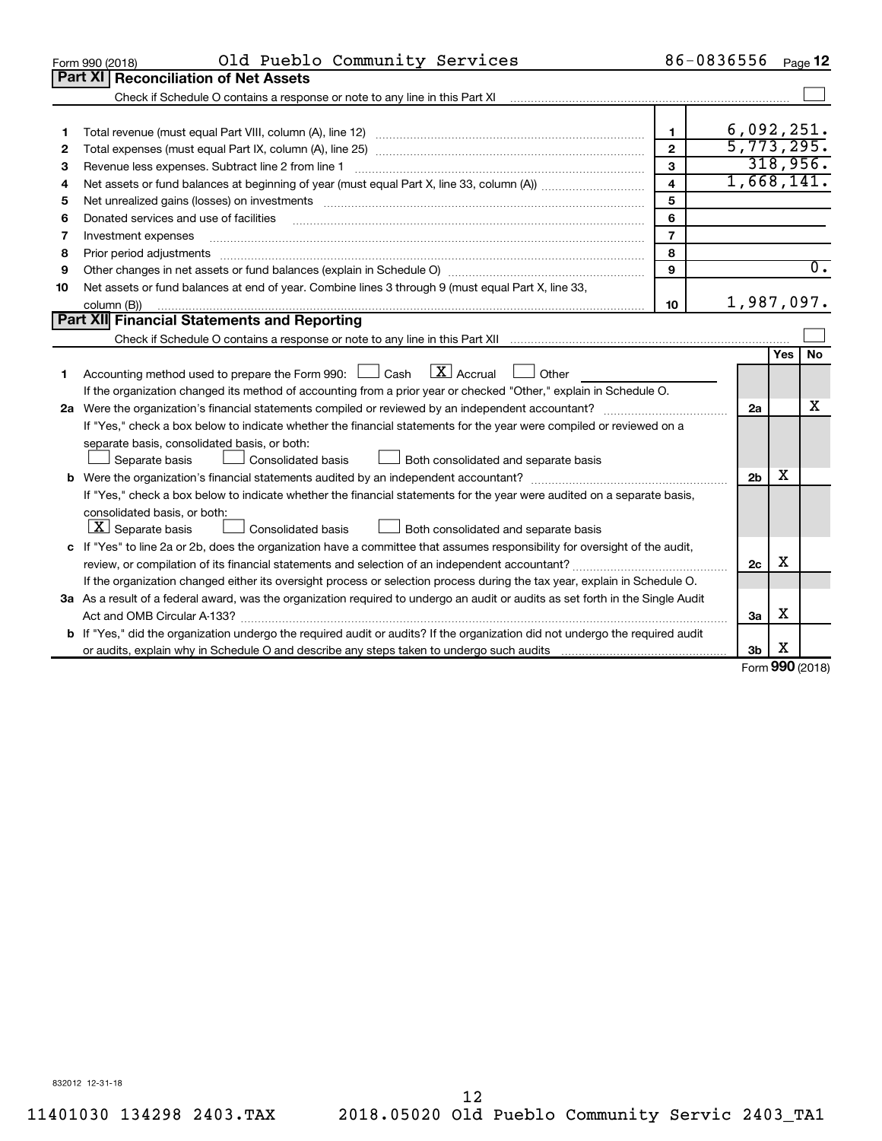|    | Old Pueblo Community Services<br>Form 990 (2018)                                                                                                                                                                               |                         | 86-0836556             |               | Page 12          |  |  |  |  |
|----|--------------------------------------------------------------------------------------------------------------------------------------------------------------------------------------------------------------------------------|-------------------------|------------------------|---------------|------------------|--|--|--|--|
|    | Part XI   Reconciliation of Net Assets                                                                                                                                                                                         |                         |                        |               |                  |  |  |  |  |
|    |                                                                                                                                                                                                                                |                         |                        |               |                  |  |  |  |  |
|    |                                                                                                                                                                                                                                |                         |                        |               |                  |  |  |  |  |
| 1  |                                                                                                                                                                                                                                | $\blacksquare$          | 6,092,251.             |               |                  |  |  |  |  |
| 2  |                                                                                                                                                                                                                                | $\overline{2}$          | 5,773,295.<br>318,956. |               |                  |  |  |  |  |
| З  | 3<br>Revenue less expenses. Subtract line 2 from line 1                                                                                                                                                                        |                         |                        |               |                  |  |  |  |  |
| 4  |                                                                                                                                                                                                                                | $\overline{\mathbf{4}}$ | 1,668,141.             |               |                  |  |  |  |  |
| 5  | Net unrealized gains (losses) on investments [11] matter than the control of the state of the state of the state of the state of the state of the state of the state of the state of the state of the state of the state of th | 5                       |                        |               |                  |  |  |  |  |
| 6  | Donated services and use of facilities                                                                                                                                                                                         | 6                       |                        |               |                  |  |  |  |  |
| 7  | Investment expenses                                                                                                                                                                                                            | $\overline{7}$          |                        |               |                  |  |  |  |  |
| 8  | Prior period adjustments                                                                                                                                                                                                       | 8                       |                        |               |                  |  |  |  |  |
| 9  |                                                                                                                                                                                                                                | 9                       |                        |               | $\overline{0}$ . |  |  |  |  |
| 10 | Net assets or fund balances at end of year. Combine lines 3 through 9 (must equal Part X, line 33,                                                                                                                             |                         |                        |               |                  |  |  |  |  |
|    | column (B))                                                                                                                                                                                                                    | 10                      | 1,987,097.             |               |                  |  |  |  |  |
|    | <b>Part XII</b> Financial Statements and Reporting                                                                                                                                                                             |                         |                        |               |                  |  |  |  |  |
|    |                                                                                                                                                                                                                                |                         |                        |               |                  |  |  |  |  |
|    |                                                                                                                                                                                                                                |                         |                        | <b>Yes</b>    | <b>No</b>        |  |  |  |  |
| 1  | $\mathbf{X}$ Accrual<br>Accounting method used to prepare the Form 990: [130] Cash<br>Other<br>$\Box$                                                                                                                          |                         |                        |               |                  |  |  |  |  |
|    | If the organization changed its method of accounting from a prior year or checked "Other," explain in Schedule O.                                                                                                              |                         |                        |               |                  |  |  |  |  |
|    |                                                                                                                                                                                                                                |                         | 2a                     |               | x                |  |  |  |  |
|    | If "Yes," check a box below to indicate whether the financial statements for the year were compiled or reviewed on a                                                                                                           |                         |                        |               |                  |  |  |  |  |
|    | separate basis, consolidated basis, or both:                                                                                                                                                                                   |                         |                        |               |                  |  |  |  |  |
|    | Both consolidated and separate basis<br>Separate basis<br>Consolidated basis                                                                                                                                                   |                         |                        |               |                  |  |  |  |  |
|    |                                                                                                                                                                                                                                |                         | 2 <sub>b</sub>         | X             |                  |  |  |  |  |
|    | If "Yes," check a box below to indicate whether the financial statements for the year were audited on a separate basis,                                                                                                        |                         |                        |               |                  |  |  |  |  |
|    | consolidated basis, or both:                                                                                                                                                                                                   |                         |                        |               |                  |  |  |  |  |
|    | $ \mathbf{X} $ Separate basis<br>Consolidated basis<br>Both consolidated and separate basis                                                                                                                                    |                         |                        |               |                  |  |  |  |  |
|    | c If "Yes" to line 2a or 2b, does the organization have a committee that assumes responsibility for oversight of the audit,                                                                                                    |                         |                        |               |                  |  |  |  |  |
|    |                                                                                                                                                                                                                                |                         | 2c                     | X             |                  |  |  |  |  |
|    | If the organization changed either its oversight process or selection process during the tax year, explain in Schedule O.                                                                                                      |                         |                        |               |                  |  |  |  |  |
|    | 3a As a result of a federal award, was the organization required to undergo an audit or audits as set forth in the Single Audit                                                                                                |                         |                        |               |                  |  |  |  |  |
|    |                                                                                                                                                                                                                                |                         | За                     | x             |                  |  |  |  |  |
|    | b If "Yes," did the organization undergo the required audit or audits? If the organization did not undergo the required audit                                                                                                  |                         |                        |               |                  |  |  |  |  |
|    |                                                                                                                                                                                                                                |                         | 3b                     | х<br>$\Omega$ |                  |  |  |  |  |

Form (2018) **990**

832012 12-31-18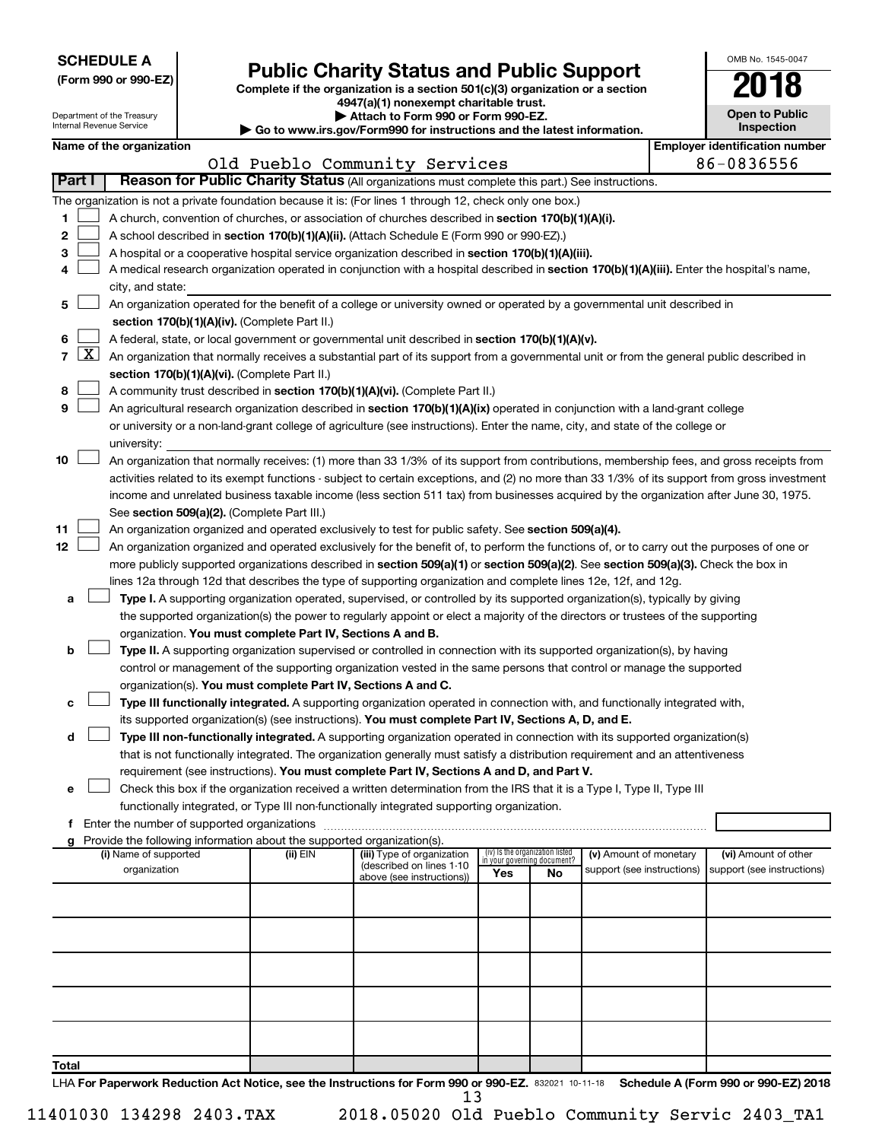| <b>SCHEDULE A</b> |  |
|-------------------|--|
|-------------------|--|

Department of the Treasury

| (Form 990 or 990-EZ) |  |  |  |  |
|----------------------|--|--|--|--|
|----------------------|--|--|--|--|

# **Public Charity Status and Public Support 2018**

Complete if the organization is a section 501(c)(3) organization or a section

**4947(a)(1) nonexempt charitable trust.**

| Attach to Form 990 or Form 990-EZ.                                            |
|-------------------------------------------------------------------------------|
| $n_{101}$ is $n_{21}/F_{21}$ and $000$ fax in thurships and the latest inform |

| OMB No. 1545-0047                   |
|-------------------------------------|
|                                     |
| <b>Open to Public</b><br>Inspection |
|                                     |

| Internal Revenue Service |                     |                                                                                                                                                                                                                                                                                        |  | Inspection<br>Go to www.irs.gov/Form990 for instructions and the latest information. |                                                                                                                                            |                                                                |     |                            |  |                                                     |  |  |  |
|--------------------------|---------------------|----------------------------------------------------------------------------------------------------------------------------------------------------------------------------------------------------------------------------------------------------------------------------------------|--|--------------------------------------------------------------------------------------|--------------------------------------------------------------------------------------------------------------------------------------------|----------------------------------------------------------------|-----|----------------------------|--|-----------------------------------------------------|--|--|--|
|                          |                     | Name of the organization                                                                                                                                                                                                                                                               |  |                                                                                      | Old Pueblo Community Services                                                                                                              |                                                                |     |                            |  | <b>Employer identification number</b><br>86-0836556 |  |  |  |
|                          | <b>Part I</b>       |                                                                                                                                                                                                                                                                                        |  |                                                                                      | Reason for Public Charity Status (All organizations must complete this part.) See instructions.                                            |                                                                |     |                            |  |                                                     |  |  |  |
|                          |                     |                                                                                                                                                                                                                                                                                        |  |                                                                                      | The organization is not a private foundation because it is: (For lines 1 through 12, check only one box.)                                  |                                                                |     |                            |  |                                                     |  |  |  |
| 1                        |                     |                                                                                                                                                                                                                                                                                        |  |                                                                                      | A church, convention of churches, or association of churches described in section 170(b)(1)(A)(i).                                         |                                                                |     |                            |  |                                                     |  |  |  |
| 2                        |                     |                                                                                                                                                                                                                                                                                        |  |                                                                                      | A school described in section 170(b)(1)(A)(ii). (Attach Schedule E (Form 990 or 990-EZ).)                                                  |                                                                |     |                            |  |                                                     |  |  |  |
| 3                        |                     |                                                                                                                                                                                                                                                                                        |  |                                                                                      | A hospital or a cooperative hospital service organization described in section 170(b)(1)(A)(iii).                                          |                                                                |     |                            |  |                                                     |  |  |  |
| 4                        |                     |                                                                                                                                                                                                                                                                                        |  |                                                                                      | A medical research organization operated in conjunction with a hospital described in section 170(b)(1)(A)(iii). Enter the hospital's name, |                                                                |     |                            |  |                                                     |  |  |  |
|                          |                     | city, and state:                                                                                                                                                                                                                                                                       |  |                                                                                      |                                                                                                                                            |                                                                |     |                            |  |                                                     |  |  |  |
| 5                        |                     |                                                                                                                                                                                                                                                                                        |  |                                                                                      | An organization operated for the benefit of a college or university owned or operated by a governmental unit described in                  |                                                                |     |                            |  |                                                     |  |  |  |
|                          |                     |                                                                                                                                                                                                                                                                                        |  | section 170(b)(1)(A)(iv). (Complete Part II.)                                        |                                                                                                                                            |                                                                |     |                            |  |                                                     |  |  |  |
| 6                        |                     | A federal, state, or local government or governmental unit described in section 170(b)(1)(A)(v).                                                                                                                                                                                       |  |                                                                                      |                                                                                                                                            |                                                                |     |                            |  |                                                     |  |  |  |
| 7                        | $\lfloor x \rfloor$ |                                                                                                                                                                                                                                                                                        |  |                                                                                      | An organization that normally receives a substantial part of its support from a governmental unit or from the general public described in  |                                                                |     |                            |  |                                                     |  |  |  |
|                          |                     |                                                                                                                                                                                                                                                                                        |  | section 170(b)(1)(A)(vi). (Complete Part II.)                                        |                                                                                                                                            |                                                                |     |                            |  |                                                     |  |  |  |
| 8                        |                     |                                                                                                                                                                                                                                                                                        |  |                                                                                      | A community trust described in section 170(b)(1)(A)(vi). (Complete Part II.)                                                               |                                                                |     |                            |  |                                                     |  |  |  |
| 9                        |                     |                                                                                                                                                                                                                                                                                        |  |                                                                                      | An agricultural research organization described in section 170(b)(1)(A)(ix) operated in conjunction with a land-grant college              |                                                                |     |                            |  |                                                     |  |  |  |
|                          |                     |                                                                                                                                                                                                                                                                                        |  |                                                                                      | or university or a non-land-grant college of agriculture (see instructions). Enter the name, city, and state of the college or             |                                                                |     |                            |  |                                                     |  |  |  |
|                          |                     | university:                                                                                                                                                                                                                                                                            |  |                                                                                      |                                                                                                                                            |                                                                |     |                            |  |                                                     |  |  |  |
| 10                       |                     |                                                                                                                                                                                                                                                                                        |  |                                                                                      | An organization that normally receives: (1) more than 33 1/3% of its support from contributions, membership fees, and gross receipts from  |                                                                |     |                            |  |                                                     |  |  |  |
|                          |                     |                                                                                                                                                                                                                                                                                        |  |                                                                                      |                                                                                                                                            |                                                                |     |                            |  |                                                     |  |  |  |
|                          |                     | activities related to its exempt functions - subject to certain exceptions, and (2) no more than 33 1/3% of its support from gross investment<br>income and unrelated business taxable income (less section 511 tax) from businesses acquired by the organization after June 30, 1975. |  |                                                                                      |                                                                                                                                            |                                                                |     |                            |  |                                                     |  |  |  |
|                          |                     |                                                                                                                                                                                                                                                                                        |  | See section 509(a)(2). (Complete Part III.)                                          |                                                                                                                                            |                                                                |     |                            |  |                                                     |  |  |  |
| 11                       |                     |                                                                                                                                                                                                                                                                                        |  |                                                                                      | An organization organized and operated exclusively to test for public safety. See section 509(a)(4).                                       |                                                                |     |                            |  |                                                     |  |  |  |
| 12                       |                     |                                                                                                                                                                                                                                                                                        |  |                                                                                      | An organization organized and operated exclusively for the benefit of, to perform the functions of, or to carry out the purposes of one or |                                                                |     |                            |  |                                                     |  |  |  |
|                          |                     |                                                                                                                                                                                                                                                                                        |  |                                                                                      | more publicly supported organizations described in section 509(a)(1) or section 509(a)(2). See section 509(a)(3). Check the box in         |                                                                |     |                            |  |                                                     |  |  |  |
|                          |                     |                                                                                                                                                                                                                                                                                        |  |                                                                                      | lines 12a through 12d that describes the type of supporting organization and complete lines 12e, 12f, and 12g.                             |                                                                |     |                            |  |                                                     |  |  |  |
| а                        |                     |                                                                                                                                                                                                                                                                                        |  |                                                                                      | Type I. A supporting organization operated, supervised, or controlled by its supported organization(s), typically by giving                |                                                                |     |                            |  |                                                     |  |  |  |
|                          |                     |                                                                                                                                                                                                                                                                                        |  |                                                                                      | the supported organization(s) the power to regularly appoint or elect a majority of the directors or trustees of the supporting            |                                                                |     |                            |  |                                                     |  |  |  |
|                          |                     |                                                                                                                                                                                                                                                                                        |  | organization. You must complete Part IV, Sections A and B.                           |                                                                                                                                            |                                                                |     |                            |  |                                                     |  |  |  |
| b                        |                     |                                                                                                                                                                                                                                                                                        |  |                                                                                      | Type II. A supporting organization supervised or controlled in connection with its supported organization(s), by having                    |                                                                |     |                            |  |                                                     |  |  |  |
|                          |                     |                                                                                                                                                                                                                                                                                        |  |                                                                                      | control or management of the supporting organization vested in the same persons that control or manage the supported                       |                                                                |     |                            |  |                                                     |  |  |  |
|                          |                     |                                                                                                                                                                                                                                                                                        |  | organization(s). You must complete Part IV, Sections A and C.                        |                                                                                                                                            |                                                                |     |                            |  |                                                     |  |  |  |
| с                        |                     |                                                                                                                                                                                                                                                                                        |  |                                                                                      | Type III functionally integrated. A supporting organization operated in connection with, and functionally integrated with,                 |                                                                |     |                            |  |                                                     |  |  |  |
|                          |                     |                                                                                                                                                                                                                                                                                        |  |                                                                                      | its supported organization(s) (see instructions). You must complete Part IV, Sections A, D, and E.                                         |                                                                |     |                            |  |                                                     |  |  |  |
| d                        |                     |                                                                                                                                                                                                                                                                                        |  |                                                                                      | Type III non-functionally integrated. A supporting organization operated in connection with its supported organization(s)                  |                                                                |     |                            |  |                                                     |  |  |  |
|                          |                     |                                                                                                                                                                                                                                                                                        |  |                                                                                      | that is not functionally integrated. The organization generally must satisfy a distribution requirement and an attentiveness               |                                                                |     |                            |  |                                                     |  |  |  |
|                          |                     |                                                                                                                                                                                                                                                                                        |  |                                                                                      | requirement (see instructions). You must complete Part IV, Sections A and D, and Part V.                                                   |                                                                |     |                            |  |                                                     |  |  |  |
| е                        |                     |                                                                                                                                                                                                                                                                                        |  |                                                                                      | Check this box if the organization received a written determination from the IRS that it is a Type I, Type II, Type III                    |                                                                |     |                            |  |                                                     |  |  |  |
|                          |                     |                                                                                                                                                                                                                                                                                        |  |                                                                                      | functionally integrated, or Type III non-functionally integrated supporting organization.                                                  |                                                                |     |                            |  |                                                     |  |  |  |
| f                        |                     | Enter the number of supported organizations                                                                                                                                                                                                                                            |  |                                                                                      |                                                                                                                                            |                                                                |     |                            |  |                                                     |  |  |  |
|                          |                     |                                                                                                                                                                                                                                                                                        |  | Provide the following information about the supported organization(s).               |                                                                                                                                            |                                                                |     |                            |  |                                                     |  |  |  |
|                          |                     | (i) Name of supported                                                                                                                                                                                                                                                                  |  | (ii) EIN                                                                             | (iii) Type of organization                                                                                                                 | (iv) Is the organization listed<br>in your governing document? |     | (v) Amount of monetary     |  | (vi) Amount of other                                |  |  |  |
|                          |                     | organization                                                                                                                                                                                                                                                                           |  |                                                                                      | (described on lines 1-10<br>above (see instructions))                                                                                      | Yes                                                            | No. | support (see instructions) |  | support (see instructions)                          |  |  |  |
|                          |                     |                                                                                                                                                                                                                                                                                        |  |                                                                                      |                                                                                                                                            |                                                                |     |                            |  |                                                     |  |  |  |
|                          |                     |                                                                                                                                                                                                                                                                                        |  |                                                                                      |                                                                                                                                            |                                                                |     |                            |  |                                                     |  |  |  |
|                          |                     |                                                                                                                                                                                                                                                                                        |  |                                                                                      |                                                                                                                                            |                                                                |     |                            |  |                                                     |  |  |  |
|                          |                     |                                                                                                                                                                                                                                                                                        |  |                                                                                      |                                                                                                                                            |                                                                |     |                            |  |                                                     |  |  |  |
|                          |                     |                                                                                                                                                                                                                                                                                        |  |                                                                                      |                                                                                                                                            |                                                                |     |                            |  |                                                     |  |  |  |
|                          |                     |                                                                                                                                                                                                                                                                                        |  |                                                                                      |                                                                                                                                            |                                                                |     |                            |  |                                                     |  |  |  |
|                          |                     |                                                                                                                                                                                                                                                                                        |  |                                                                                      |                                                                                                                                            |                                                                |     |                            |  |                                                     |  |  |  |
|                          |                     |                                                                                                                                                                                                                                                                                        |  |                                                                                      |                                                                                                                                            |                                                                |     |                            |  |                                                     |  |  |  |
|                          |                     |                                                                                                                                                                                                                                                                                        |  |                                                                                      |                                                                                                                                            |                                                                |     |                            |  |                                                     |  |  |  |
|                          |                     |                                                                                                                                                                                                                                                                                        |  |                                                                                      |                                                                                                                                            |                                                                |     |                            |  |                                                     |  |  |  |
| Total                    |                     |                                                                                                                                                                                                                                                                                        |  |                                                                                      |                                                                                                                                            |                                                                |     |                            |  |                                                     |  |  |  |

LHA For Paperwork Reduction Act Notice, see the Instructions for Form 990 or 990-EZ. 832021 10-11-18 Schedule A (Form 990 or 990-EZ) 2018 13

11401030 134298 2403.TAX 2018.05020 Old Pueblo Community Servic 2403\_TA1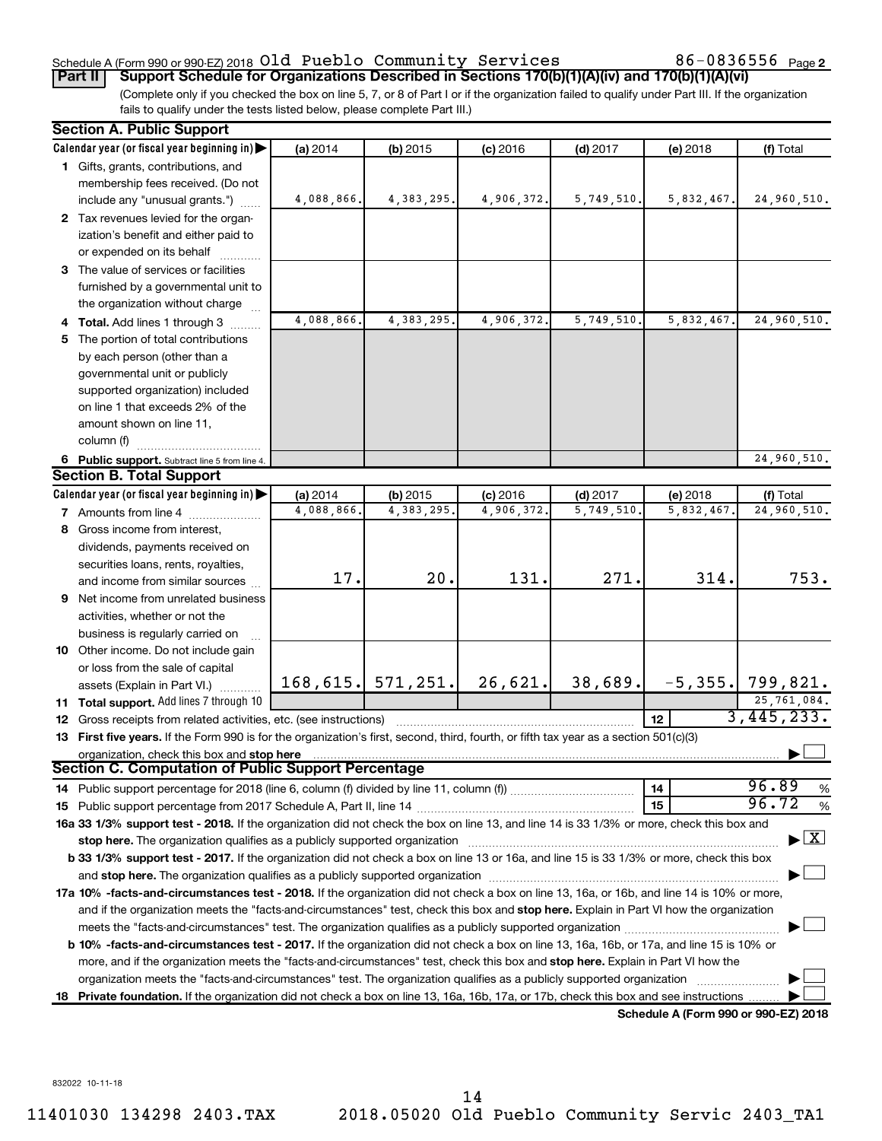### Schedule A (Form 990 or 990-EZ) 2018  $\mathsf{old}\;$  Pueblo <code>Community Services</code>  $86$ –0836556  $_\mathsf{Page}\;$

86-0836556 <sub>Page 2</sub>

(Complete only if you checked the box on line 5, 7, or 8 of Part I or if the organization failed to qualify under Part III. If the organization fails to qualify under the tests listed below, please complete Part III.) **Part II Support Schedule for Organizations Described in Sections 170(b)(1)(A)(iv) and 170(b)(1)(A)(vi)**

|    | <b>Section A. Public Support</b>                                                                                                                                                                                                                                                                                                                                           |            |                     |            |            |                                             |                                    |  |
|----|----------------------------------------------------------------------------------------------------------------------------------------------------------------------------------------------------------------------------------------------------------------------------------------------------------------------------------------------------------------------------|------------|---------------------|------------|------------|---------------------------------------------|------------------------------------|--|
|    | Calendar year (or fiscal year beginning in)                                                                                                                                                                                                                                                                                                                                | (a) 2014   | $(b)$ 2015          | $(c)$ 2016 | $(d)$ 2017 | (e) 2018                                    | (f) Total                          |  |
|    | 1 Gifts, grants, contributions, and                                                                                                                                                                                                                                                                                                                                        |            |                     |            |            |                                             |                                    |  |
|    | membership fees received. (Do not                                                                                                                                                                                                                                                                                                                                          |            |                     |            |            |                                             |                                    |  |
|    | include any "unusual grants.")                                                                                                                                                                                                                                                                                                                                             | 4,088,866. | 4, 383, 295.        | 4,906,372. | 5,749,510. | 5,832,467.                                  | 24,960,510.                        |  |
|    | 2 Tax revenues levied for the organ-                                                                                                                                                                                                                                                                                                                                       |            |                     |            |            |                                             |                                    |  |
|    | ization's benefit and either paid to                                                                                                                                                                                                                                                                                                                                       |            |                     |            |            |                                             |                                    |  |
|    | or expended on its behalf                                                                                                                                                                                                                                                                                                                                                  |            |                     |            |            |                                             |                                    |  |
|    | 3 The value of services or facilities                                                                                                                                                                                                                                                                                                                                      |            |                     |            |            |                                             |                                    |  |
|    | furnished by a governmental unit to                                                                                                                                                                                                                                                                                                                                        |            |                     |            |            |                                             |                                    |  |
|    | the organization without charge                                                                                                                                                                                                                                                                                                                                            |            |                     |            |            |                                             |                                    |  |
|    | 4 Total. Add lines 1 through 3                                                                                                                                                                                                                                                                                                                                             | 4,088,866. | 4,383,295.          | 4,906,372. | 5,749,510  | 5,832,467.                                  | 24,960,510.                        |  |
| 5  | The portion of total contributions                                                                                                                                                                                                                                                                                                                                         |            |                     |            |            |                                             |                                    |  |
|    | by each person (other than a                                                                                                                                                                                                                                                                                                                                               |            |                     |            |            |                                             |                                    |  |
|    | governmental unit or publicly                                                                                                                                                                                                                                                                                                                                              |            |                     |            |            |                                             |                                    |  |
|    | supported organization) included                                                                                                                                                                                                                                                                                                                                           |            |                     |            |            |                                             |                                    |  |
|    | on line 1 that exceeds 2% of the                                                                                                                                                                                                                                                                                                                                           |            |                     |            |            |                                             |                                    |  |
|    | amount shown on line 11,                                                                                                                                                                                                                                                                                                                                                   |            |                     |            |            |                                             |                                    |  |
|    | column (f)                                                                                                                                                                                                                                                                                                                                                                 |            |                     |            |            |                                             |                                    |  |
|    | 6 Public support. Subtract line 5 from line 4.                                                                                                                                                                                                                                                                                                                             |            |                     |            |            |                                             | 24,960,510.                        |  |
|    | <b>Section B. Total Support</b>                                                                                                                                                                                                                                                                                                                                            |            |                     |            |            |                                             |                                    |  |
|    | Calendar year (or fiscal year beginning in)                                                                                                                                                                                                                                                                                                                                | (a) 2014   | $(b)$ 2015          | $(c)$ 2016 | $(d)$ 2017 | $(e)$ 2018                                  | (f) Total                          |  |
|    | 7 Amounts from line 4                                                                                                                                                                                                                                                                                                                                                      | 4,088,866  | 4, 383, 295.        | 4,906,372. | 5,749,510  | 5,832,467.                                  | 24,960,510.                        |  |
| 8  | Gross income from interest,                                                                                                                                                                                                                                                                                                                                                |            |                     |            |            |                                             |                                    |  |
|    | dividends, payments received on                                                                                                                                                                                                                                                                                                                                            |            |                     |            |            |                                             |                                    |  |
|    | securities loans, rents, royalties,                                                                                                                                                                                                                                                                                                                                        |            |                     |            |            |                                             |                                    |  |
|    | and income from similar sources                                                                                                                                                                                                                                                                                                                                            | 17.        | 20.                 | 131.       | 271.       | 314.                                        | 753.                               |  |
| 9  | Net income from unrelated business                                                                                                                                                                                                                                                                                                                                         |            |                     |            |            |                                             |                                    |  |
|    | activities, whether or not the                                                                                                                                                                                                                                                                                                                                             |            |                     |            |            |                                             |                                    |  |
|    |                                                                                                                                                                                                                                                                                                                                                                            |            |                     |            |            |                                             |                                    |  |
|    | business is regularly carried on<br>10 Other income. Do not include gain                                                                                                                                                                                                                                                                                                   |            |                     |            |            |                                             |                                    |  |
|    | or loss from the sale of capital                                                                                                                                                                                                                                                                                                                                           |            |                     |            |            |                                             |                                    |  |
|    | assets (Explain in Part VI.)                                                                                                                                                                                                                                                                                                                                               |            | 168, 615. 571, 251. | 26,621.    | 38,689.    | $-5, 355.$                                  | 799,821.                           |  |
|    | 11 Total support. Add lines 7 through 10                                                                                                                                                                                                                                                                                                                                   |            |                     |            |            |                                             | 25,761,084.                        |  |
|    |                                                                                                                                                                                                                                                                                                                                                                            |            |                     |            |            | 12                                          | 3,445,233.                         |  |
|    | <b>12</b> Gross receipts from related activities, etc. (see instructions)<br>13 First five years. If the Form 990 is for the organization's first, second, third, fourth, or fifth tax year as a section 501(c)(3)                                                                                                                                                         |            |                     |            |            |                                             |                                    |  |
|    |                                                                                                                                                                                                                                                                                                                                                                            |            |                     |            |            |                                             |                                    |  |
|    | organization, check this box and stop here<br><b>Section C. Computation of Public Support Percentage</b>                                                                                                                                                                                                                                                                   |            |                     |            |            |                                             |                                    |  |
|    |                                                                                                                                                                                                                                                                                                                                                                            |            |                     |            |            | 14                                          | 96.89<br>%                         |  |
|    |                                                                                                                                                                                                                                                                                                                                                                            |            |                     |            |            | 15                                          | 96.72<br>%                         |  |
|    | 16a 33 1/3% support test - 2018. If the organization did not check the box on line 13, and line 14 is 33 1/3% or more, check this box and                                                                                                                                                                                                                                  |            |                     |            |            |                                             |                                    |  |
|    |                                                                                                                                                                                                                                                                                                                                                                            |            |                     |            |            |                                             | $\blacktriangleright$ $\mathbf{X}$ |  |
|    | stop here. The organization qualifies as a publicly supported organization manufactured content and the support of the state of the state of the state of the state of the state of the state of the state of the state of the<br>b 33 1/3% support test - 2017. If the organization did not check a box on line 13 or 16a, and line 15 is 33 1/3% or more, check this box |            |                     |            |            |                                             |                                    |  |
|    |                                                                                                                                                                                                                                                                                                                                                                            |            |                     |            |            |                                             |                                    |  |
|    | 17a 10% -facts-and-circumstances test - 2018. If the organization did not check a box on line 13, 16a, or 16b, and line 14 is 10% or more,                                                                                                                                                                                                                                 |            |                     |            |            |                                             |                                    |  |
|    |                                                                                                                                                                                                                                                                                                                                                                            |            |                     |            |            |                                             |                                    |  |
|    | and if the organization meets the "facts-and-circumstances" test, check this box and stop here. Explain in Part VI how the organization                                                                                                                                                                                                                                    |            |                     |            |            |                                             |                                    |  |
|    | meets the "facts-and-circumstances" test. The organization qualifies as a publicly supported organization <i>manumumumum</i>                                                                                                                                                                                                                                               |            |                     |            |            |                                             |                                    |  |
|    | b 10% -facts-and-circumstances test - 2017. If the organization did not check a box on line 13, 16a, 16b, or 17a, and line 15 is 10% or                                                                                                                                                                                                                                    |            |                     |            |            |                                             |                                    |  |
|    | more, and if the organization meets the "facts-and-circumstances" test, check this box and stop here. Explain in Part VI how the                                                                                                                                                                                                                                           |            |                     |            |            |                                             |                                    |  |
|    | organization meets the "facts-and-circumstances" test. The organization qualifies as a publicly supported organization                                                                                                                                                                                                                                                     |            |                     |            |            |                                             |                                    |  |
| 18 | Private foundation. If the organization did not check a box on line 13, 16a, 16b, 17a, or 17b, check this box and see instructions                                                                                                                                                                                                                                         |            |                     |            |            | <b>Cohodulo A (Earm 000 or 000 E7) 2010</b> |                                    |  |

**Schedule A (Form 990 or 990-EZ) 2018**

832022 10-11-18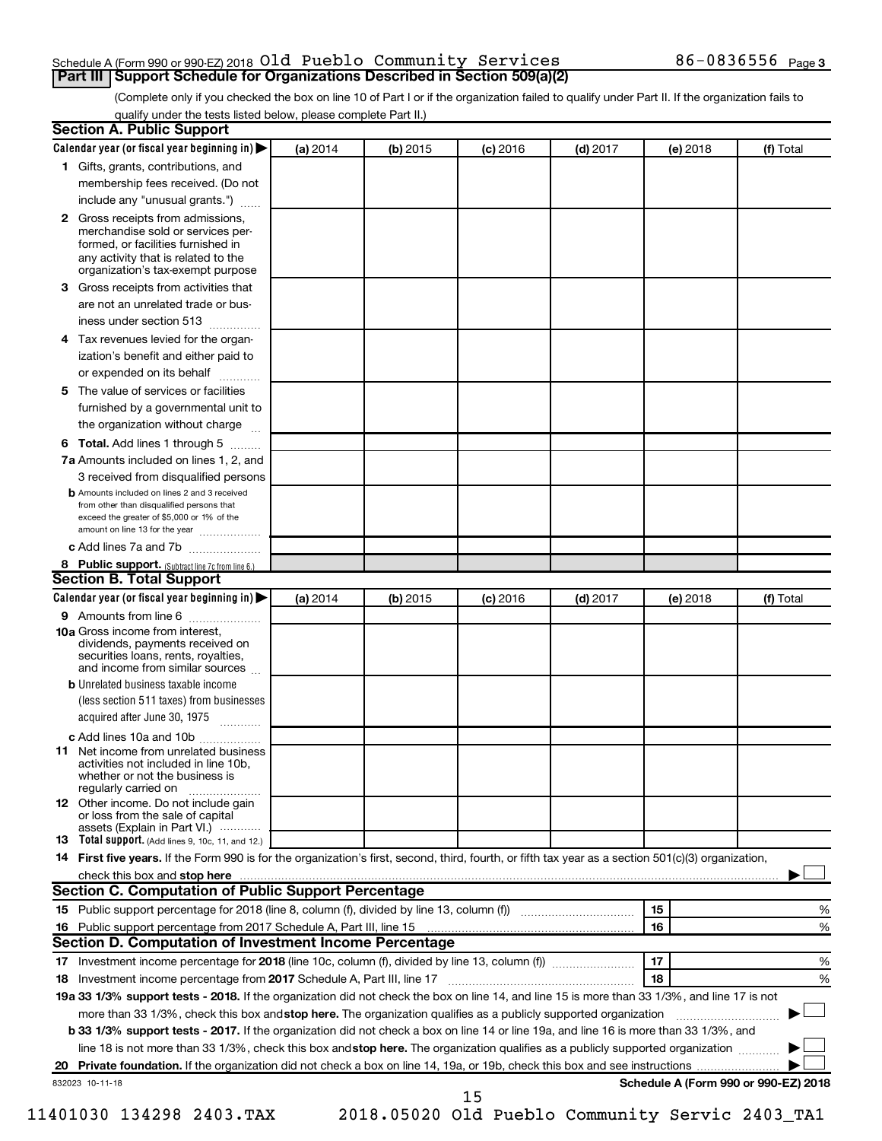### Schedule A (Form 990 or 990-EZ) 2018  $\mathsf{old}\;$  Pueblo <code>Community Services</code>  $86$ –0836556  $_\mathsf{Page}\;$ **Part III Support Schedule for Organizations Described in Section 509(a)(2)**

(Complete only if you checked the box on line 10 of Part I or if the organization failed to qualify under Part II. If the organization fails to qualify under the tests listed below, please complete Part II.)

| <b>Section A. Public Support</b>                                                                                                                                                         |          |          |            |            |          |                                      |
|------------------------------------------------------------------------------------------------------------------------------------------------------------------------------------------|----------|----------|------------|------------|----------|--------------------------------------|
| Calendar year (or fiscal year beginning in)                                                                                                                                              | (a) 2014 | (b) 2015 | $(c)$ 2016 | $(d)$ 2017 | (e) 2018 | (f) Total                            |
| 1 Gifts, grants, contributions, and                                                                                                                                                      |          |          |            |            |          |                                      |
| membership fees received. (Do not                                                                                                                                                        |          |          |            |            |          |                                      |
| include any "unusual grants.")                                                                                                                                                           |          |          |            |            |          |                                      |
| 2 Gross receipts from admissions,<br>merchandise sold or services per-<br>formed, or facilities furnished in<br>any activity that is related to the<br>organization's tax-exempt purpose |          |          |            |            |          |                                      |
| 3 Gross receipts from activities that                                                                                                                                                    |          |          |            |            |          |                                      |
| are not an unrelated trade or bus-                                                                                                                                                       |          |          |            |            |          |                                      |
| iness under section 513                                                                                                                                                                  |          |          |            |            |          |                                      |
| 4 Tax revenues levied for the organ-                                                                                                                                                     |          |          |            |            |          |                                      |
| ization's benefit and either paid to                                                                                                                                                     |          |          |            |            |          |                                      |
| or expended on its behalf<br>.                                                                                                                                                           |          |          |            |            |          |                                      |
| 5 The value of services or facilities                                                                                                                                                    |          |          |            |            |          |                                      |
| furnished by a governmental unit to                                                                                                                                                      |          |          |            |            |          |                                      |
| the organization without charge                                                                                                                                                          |          |          |            |            |          |                                      |
| 6 Total. Add lines 1 through 5                                                                                                                                                           |          |          |            |            |          |                                      |
| 7a Amounts included on lines 1, 2, and                                                                                                                                                   |          |          |            |            |          |                                      |
| 3 received from disqualified persons                                                                                                                                                     |          |          |            |            |          |                                      |
| <b>b</b> Amounts included on lines 2 and 3 received<br>from other than disqualified persons that<br>exceed the greater of \$5,000 or 1% of the<br>amount on line 13 for the year         |          |          |            |            |          |                                      |
| c Add lines 7a and 7b                                                                                                                                                                    |          |          |            |            |          |                                      |
| 8 Public support. (Subtract line 7c from line 6.)                                                                                                                                        |          |          |            |            |          |                                      |
| <b>Section B. Total Support</b>                                                                                                                                                          |          |          |            |            |          |                                      |
| Calendar year (or fiscal year beginning in)                                                                                                                                              | (a) 2014 | (b) 2015 | $(c)$ 2016 | $(d)$ 2017 | (e) 2018 | (f) Total                            |
| <b>9</b> Amounts from line 6                                                                                                                                                             |          |          |            |            |          |                                      |
| <b>10a</b> Gross income from interest,<br>dividends, payments received on<br>securities loans, rents, royalties,<br>and income from similar sources                                      |          |          |            |            |          |                                      |
| <b>b</b> Unrelated business taxable income                                                                                                                                               |          |          |            |            |          |                                      |
| (less section 511 taxes) from businesses<br>acquired after June 30, 1975                                                                                                                 |          |          |            |            |          |                                      |
| c Add lines 10a and 10b                                                                                                                                                                  |          |          |            |            |          |                                      |
| 11 Net income from unrelated business<br>activities not included in line 10b.<br>whether or not the business is<br>regularly carried on                                                  |          |          |            |            |          |                                      |
| <b>12</b> Other income. Do not include gain<br>or loss from the sale of capital<br>assets (Explain in Part VI.)                                                                          |          |          |            |            |          |                                      |
| <b>13</b> Total support. (Add lines 9, 10c, 11, and 12.)                                                                                                                                 |          |          |            |            |          |                                      |
| 14 First five years. If the Form 990 is for the organization's first, second, third, fourth, or fifth tax year as a section 501(c)(3) organization,                                      |          |          |            |            |          |                                      |
|                                                                                                                                                                                          |          |          |            |            |          |                                      |
| Section C. Computation of Public Support Percentage                                                                                                                                      |          |          |            |            |          |                                      |
| 15 Public support percentage for 2018 (line 8, column (f), divided by line 13, column (f) <i>manumeronominimal</i>                                                                       |          |          |            |            | 15       | ℅                                    |
| 16 Public support percentage from 2017 Schedule A, Part III, line 15                                                                                                                     |          |          |            |            | 16       | %                                    |
| Section D. Computation of Investment Income Percentage                                                                                                                                   |          |          |            |            |          |                                      |
|                                                                                                                                                                                          |          |          |            |            | 17       | %                                    |
| 18 Investment income percentage from 2017 Schedule A, Part III, line 17                                                                                                                  |          |          |            |            | 18       | %                                    |
| 19a 33 1/3% support tests - 2018. If the organization did not check the box on line 14, and line 15 is more than 33 1/3%, and line 17 is not                                             |          |          |            |            |          |                                      |
| more than 33 1/3%, check this box and stop here. The organization qualifies as a publicly supported organization                                                                         |          |          |            |            |          |                                      |
| b 33 1/3% support tests - 2017. If the organization did not check a box on line 14 or line 19a, and line 16 is more than 33 1/3%, and                                                    |          |          |            |            |          |                                      |
| line 18 is not more than 33 1/3%, check this box and stop here. The organization qualifies as a publicly supported organization                                                          |          |          |            |            |          |                                      |
|                                                                                                                                                                                          |          |          |            |            |          |                                      |
| 832023 10-11-18                                                                                                                                                                          |          |          |            |            |          | Schedule A (Form 990 or 990-EZ) 2018 |
|                                                                                                                                                                                          |          |          | 15         |            |          |                                      |

<sup>11401030 134298 2403.</sup>TAX 2018.05020 Old Pueblo Community Servic 2403\_TA1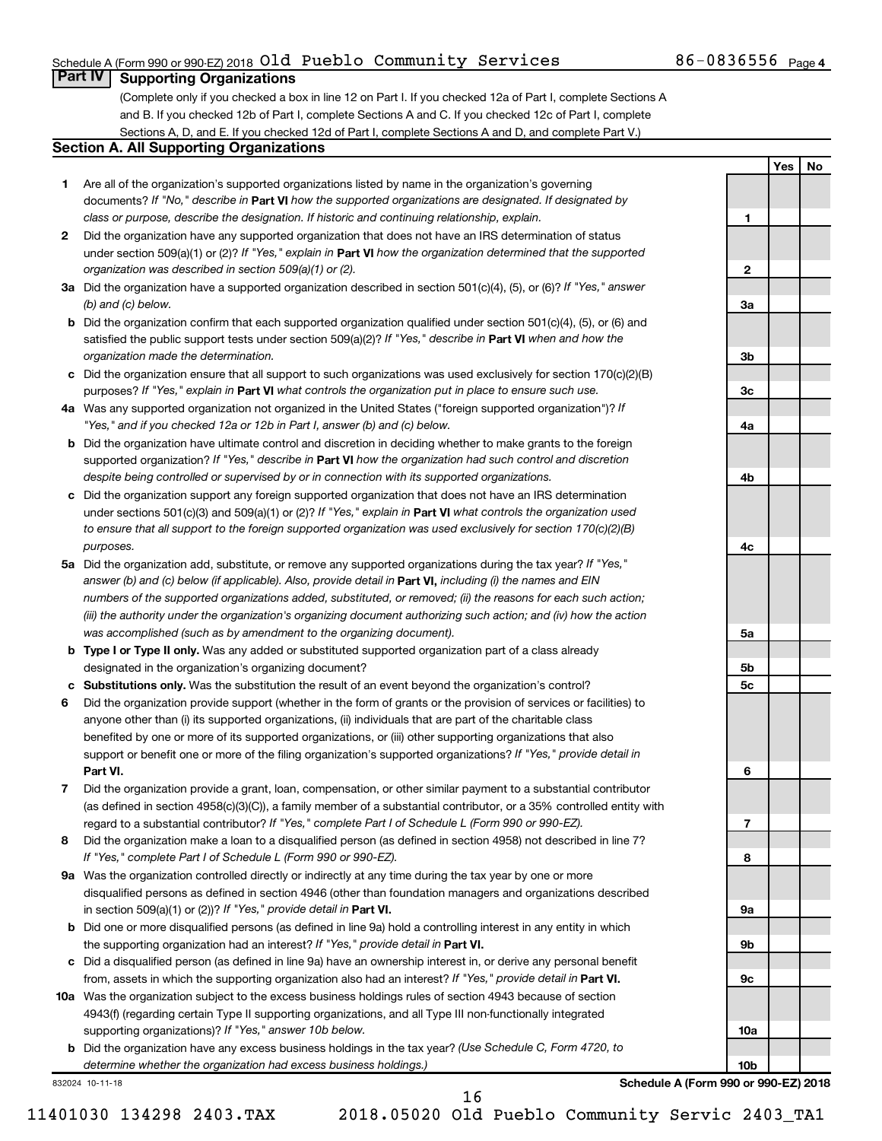### Schedule A (Form 990 or 990-EZ) 2018  $\mathsf{old}\;$  Pueblo <code>Community Services</code>  $86$ –0836556  $_\mathsf{Page}\;$

**1**

**2**

**3a**

**3b**

**3c**

**4a**

**4b**

**4c**

**5a**

**5b 5c**

**6**

**7**

**8**

**9a**

**9b**

**9c**

**10a**

**10b**

**Yes No**

### **Part IV Supporting Organizations**

(Complete only if you checked a box in line 12 on Part I. If you checked 12a of Part I, complete Sections A and B. If you checked 12b of Part I, complete Sections A and C. If you checked 12c of Part I, complete Sections A, D, and E. If you checked 12d of Part I, complete Sections A and D, and complete Part V.)

### **Section A. All Supporting Organizations**

- **1** Are all of the organization's supported organizations listed by name in the organization's governing documents? If "No," describe in Part VI how the supported organizations are designated. If designated by *class or purpose, describe the designation. If historic and continuing relationship, explain.*
- **2** Did the organization have any supported organization that does not have an IRS determination of status under section 509(a)(1) or (2)? If "Yes," explain in Part **VI** how the organization determined that the supported *organization was described in section 509(a)(1) or (2).*
- **3a** Did the organization have a supported organization described in section 501(c)(4), (5), or (6)? If "Yes," answer *(b) and (c) below.*
- **b** Did the organization confirm that each supported organization qualified under section 501(c)(4), (5), or (6) and satisfied the public support tests under section 509(a)(2)? If "Yes," describe in Part VI when and how the *organization made the determination.*
- **c** Did the organization ensure that all support to such organizations was used exclusively for section 170(c)(2)(B) purposes? If "Yes," explain in Part VI what controls the organization put in place to ensure such use.
- **4 a** *If* Was any supported organization not organized in the United States ("foreign supported organization")? *"Yes," and if you checked 12a or 12b in Part I, answer (b) and (c) below.*
- **b** Did the organization have ultimate control and discretion in deciding whether to make grants to the foreign supported organization? If "Yes," describe in Part VI how the organization had such control and discretion *despite being controlled or supervised by or in connection with its supported organizations.*
- **c** Did the organization support any foreign supported organization that does not have an IRS determination under sections 501(c)(3) and 509(a)(1) or (2)? If "Yes," explain in Part VI what controls the organization used *to ensure that all support to the foreign supported organization was used exclusively for section 170(c)(2)(B) purposes.*
- **5a** Did the organization add, substitute, or remove any supported organizations during the tax year? If "Yes," answer (b) and (c) below (if applicable). Also, provide detail in **Part VI,** including (i) the names and EIN *numbers of the supported organizations added, substituted, or removed; (ii) the reasons for each such action; (iii) the authority under the organization's organizing document authorizing such action; and (iv) how the action was accomplished (such as by amendment to the organizing document).*
- **b Type I or Type II only.** Was any added or substituted supported organization part of a class already designated in the organization's organizing document?
- **c Substitutions only.**  Was the substitution the result of an event beyond the organization's control?
- **6** Did the organization provide support (whether in the form of grants or the provision of services or facilities) to **Part VI.** support or benefit one or more of the filing organization's supported organizations? If "Yes," provide detail in anyone other than (i) its supported organizations, (ii) individuals that are part of the charitable class benefited by one or more of its supported organizations, or (iii) other supporting organizations that also
- **7** Did the organization provide a grant, loan, compensation, or other similar payment to a substantial contributor regard to a substantial contributor? If "Yes," complete Part I of Schedule L (Form 990 or 990-EZ). (as defined in section 4958(c)(3)(C)), a family member of a substantial contributor, or a 35% controlled entity with
- **8** Did the organization make a loan to a disqualified person (as defined in section 4958) not described in line 7? *If "Yes," complete Part I of Schedule L (Form 990 or 990-EZ).*
- **9 a** Was the organization controlled directly or indirectly at any time during the tax year by one or more in section 509(a)(1) or (2))? If "Yes," provide detail in **Part VI.** disqualified persons as defined in section 4946 (other than foundation managers and organizations described
- **b** Did one or more disqualified persons (as defined in line 9a) hold a controlling interest in any entity in which the supporting organization had an interest? If "Yes," provide detail in Part VI.
- **c** Did a disqualified person (as defined in line 9a) have an ownership interest in, or derive any personal benefit from, assets in which the supporting organization also had an interest? If "Yes," provide detail in Part VI.
- **10 a** Was the organization subject to the excess business holdings rules of section 4943 because of section supporting organizations)? If "Yes," answer 10b below. 4943(f) (regarding certain Type II supporting organizations, and all Type III non-functionally integrated
	- **b** Did the organization have any excess business holdings in the tax year? (Use Schedule C, Form 4720, to *determine whether the organization had excess business holdings.)*

832024 10-11-18

**Schedule A (Form 990 or 990-EZ) 2018**

11401030 134298 2403.TAX 2018.05020 Old Pueblo Community Servic 2403\_TA1

16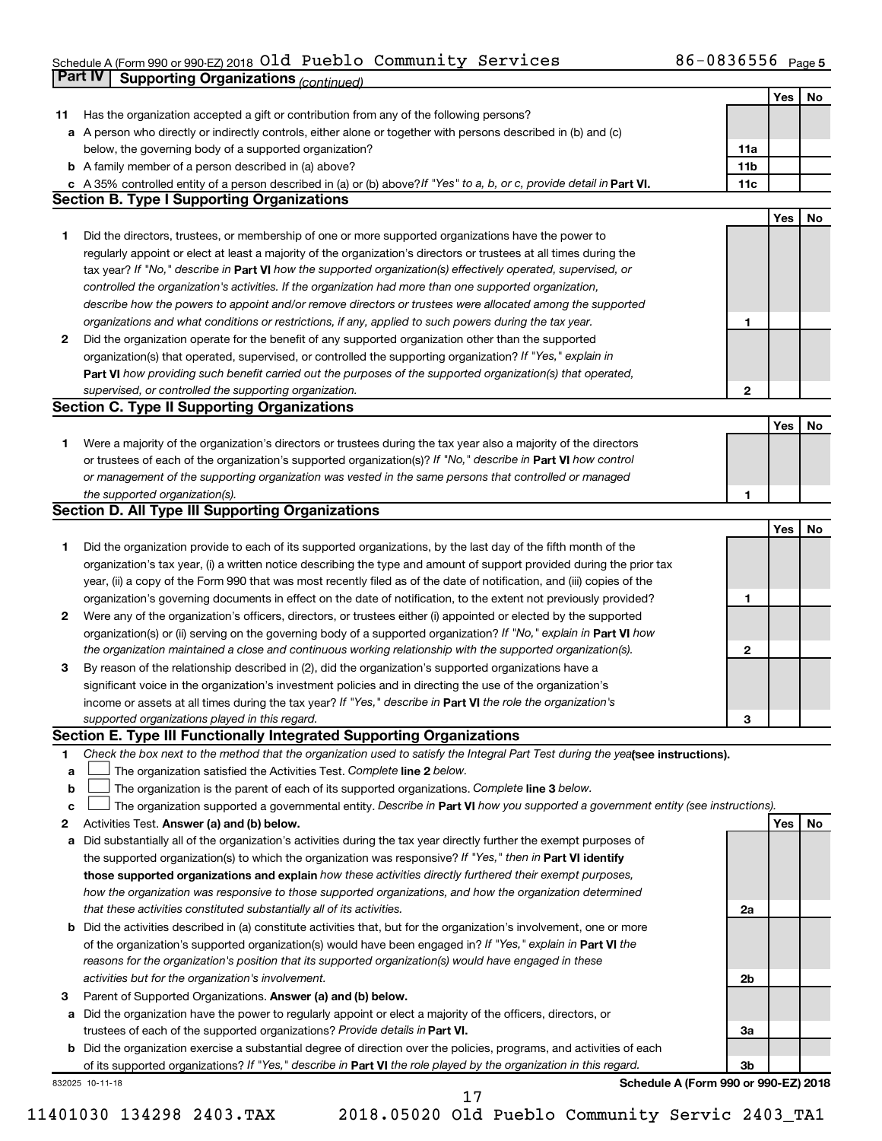### Schedule A (Form 990 or 990-EZ) 2018 UIQ PUEDIO COMMUNITY SETVICES  $80-08365556$  Page **Part IV Supporting Organizations** *(continued)* Old Pueblo Community Services 86-0836556

|    |                                                                                                                                 |                 | Yes | No |
|----|---------------------------------------------------------------------------------------------------------------------------------|-----------------|-----|----|
| 11 | Has the organization accepted a gift or contribution from any of the following persons?                                         |                 |     |    |
|    | a A person who directly or indirectly controls, either alone or together with persons described in (b) and (c)                  |                 |     |    |
|    | below, the governing body of a supported organization?                                                                          | 11a             |     |    |
|    | <b>b</b> A family member of a person described in (a) above?                                                                    | 11 <sub>b</sub> |     |    |
|    | c A 35% controlled entity of a person described in (a) or (b) above? If "Yes" to a, b, or c, provide detail in Part VI.         | 11c             |     |    |
|    | <b>Section B. Type I Supporting Organizations</b>                                                                               |                 |     |    |
|    |                                                                                                                                 |                 | Yes | No |
| 1. | Did the directors, trustees, or membership of one or more supported organizations have the power to                             |                 |     |    |
|    | regularly appoint or elect at least a majority of the organization's directors or trustees at all times during the              |                 |     |    |
|    | tax year? If "No," describe in Part VI how the supported organization(s) effectively operated, supervised, or                   |                 |     |    |
|    | controlled the organization's activities. If the organization had more than one supported organization,                         |                 |     |    |
|    | describe how the powers to appoint and/or remove directors or trustees were allocated among the supported                       |                 |     |    |
|    | organizations and what conditions or restrictions, if any, applied to such powers during the tax year.                          | 1               |     |    |
| 2  | Did the organization operate for the benefit of any supported organization other than the supported                             |                 |     |    |
|    | organization(s) that operated, supervised, or controlled the supporting organization? If "Yes," explain in                      |                 |     |    |
|    | Part VI how providing such benefit carried out the purposes of the supported organization(s) that operated,                     |                 |     |    |
|    | supervised, or controlled the supporting organization.                                                                          | 2               |     |    |
|    | <b>Section C. Type II Supporting Organizations</b>                                                                              |                 |     |    |
|    |                                                                                                                                 |                 | Yes | No |
| 1. | Were a majority of the organization's directors or trustees during the tax year also a majority of the directors                |                 |     |    |
|    | or trustees of each of the organization's supported organization(s)? If "No," describe in Part VI how control                   |                 |     |    |
|    | or management of the supporting organization was vested in the same persons that controlled or managed                          |                 |     |    |
|    | the supported organization(s).                                                                                                  | 1               |     |    |
|    | Section D. All Type III Supporting Organizations                                                                                |                 |     |    |
|    |                                                                                                                                 |                 | Yes | No |
| 1. | Did the organization provide to each of its supported organizations, by the last day of the fifth month of the                  |                 |     |    |
|    | organization's tax year, (i) a written notice describing the type and amount of support provided during the prior tax           |                 |     |    |
|    | year, (ii) a copy of the Form 990 that was most recently filed as of the date of notification, and (iii) copies of the          |                 |     |    |
|    | organization's governing documents in effect on the date of notification, to the extent not previously provided?                | 1               |     |    |
| 2  | Were any of the organization's officers, directors, or trustees either (i) appointed or elected by the supported                |                 |     |    |
|    | organization(s) or (ii) serving on the governing body of a supported organization? If "No," explain in Part VI how              |                 |     |    |
|    | the organization maintained a close and continuous working relationship with the supported organization(s).                     | 2               |     |    |
| 3  | By reason of the relationship described in (2), did the organization's supported organizations have a                           |                 |     |    |
|    | significant voice in the organization's investment policies and in directing the use of the organization's                      |                 |     |    |
|    | income or assets at all times during the tax year? If "Yes," describe in Part VI the role the organization's                    |                 |     |    |
|    | supported organizations played in this regard.                                                                                  | З               |     |    |
|    | Section E. Type III Functionally Integrated Supporting Organizations                                                            |                 |     |    |
| 1  | Check the box next to the method that the organization used to satisfy the Integral Part Test during the yealsee instructions). |                 |     |    |
| a  | The organization satisfied the Activities Test. Complete line 2 below.                                                          |                 |     |    |
| b  | The organization is the parent of each of its supported organizations. Complete line 3 below.                                   |                 |     |    |
| c  | The organization supported a governmental entity. Describe in Part VI how you supported a government entity (see instructions). |                 |     |    |
| 2  | Activities Test. Answer (a) and (b) below.                                                                                      |                 | Yes | No |
| а  | Did substantially all of the organization's activities during the tax year directly further the exempt purposes of              |                 |     |    |
|    | the supported organization(s) to which the organization was responsive? If "Yes," then in Part VI identify                      |                 |     |    |
|    | those supported organizations and explain how these activities directly furthered their exempt purposes,                        |                 |     |    |
|    | how the organization was responsive to those supported organizations, and how the organization determined                       |                 |     |    |
|    | that these activities constituted substantially all of its activities.                                                          | 2a              |     |    |
| b  | Did the activities described in (a) constitute activities that, but for the organization's involvement, one or more             |                 |     |    |
|    | of the organization's supported organization(s) would have been engaged in? If "Yes," explain in Part VI the                    |                 |     |    |
|    | reasons for the organization's position that its supported organization(s) would have engaged in these                          |                 |     |    |
|    | activities but for the organization's involvement.                                                                              | 2b              |     |    |
| з  | Parent of Supported Organizations. Answer (a) and (b) below.                                                                    |                 |     |    |
| а  | Did the organization have the power to regularly appoint or elect a majority of the officers, directors, or                     |                 |     |    |
|    | trustees of each of the supported organizations? Provide details in Part VI.                                                    | За              |     |    |
| b  | Did the organization exercise a substantial degree of direction over the policies, programs, and activities of each             |                 |     |    |
|    | of its supported organizations? If "Yes," describe in Part VI the role played by the organization in this regard.               | Зb              |     |    |
|    | Schedule A (Form 990 or 990-EZ) 2018<br>832025 10-11-18                                                                         |                 |     |    |
|    | 17                                                                                                                              |                 |     |    |

11401030 134298 2403.TAX 2018.05020 Old Pueblo Community Servic 2403\_TA1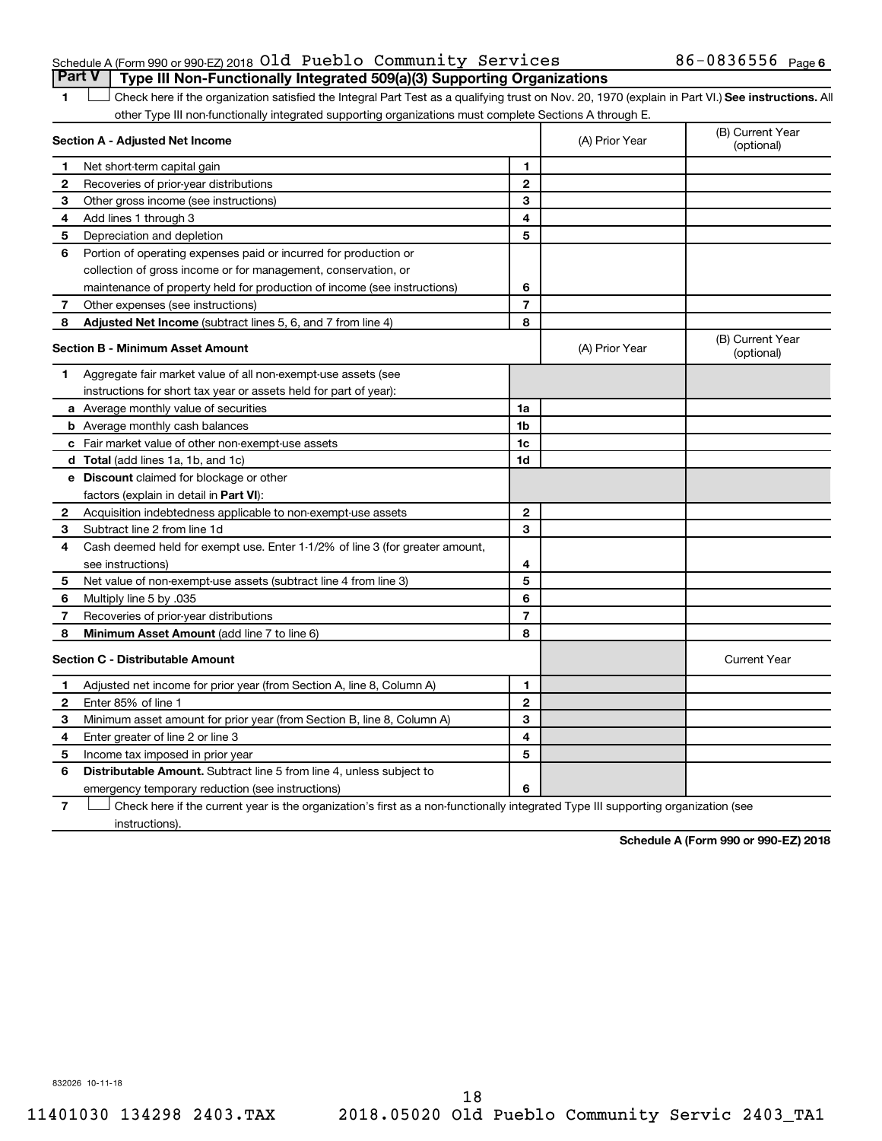### Schedule A (Form 990 or 990-EZ) 2018  $\mathsf{old}\;$  Pueblo <code>Community Services</code>  $86$ –0836556  $_\mathsf{Page}\;$ **Part V Type III Non-Functionally Integrated 509(a)(3) Supporting Organizations**

1 **Letter See instructions.** All Check here if the organization satisfied the Integral Part Test as a qualifying trust on Nov. 20, 1970 (explain in Part VI.) See instructions. All other Type III non-functionally integrated supporting organizations must complete Sections A through E.

|   | Section A - Adjusted Net Income                                              |                | (A) Prior Year | (B) Current Year<br>(optional) |
|---|------------------------------------------------------------------------------|----------------|----------------|--------------------------------|
| 1 | Net short-term capital gain                                                  | $\blacksquare$ |                |                                |
| 2 | Recoveries of prior-year distributions                                       | $\mathbf{2}$   |                |                                |
| 3 | Other gross income (see instructions)                                        | 3              |                |                                |
| 4 | Add lines 1 through 3                                                        | 4              |                |                                |
| 5 | Depreciation and depletion                                                   | 5              |                |                                |
| 6 | Portion of operating expenses paid or incurred for production or             |                |                |                                |
|   | collection of gross income or for management, conservation, or               |                |                |                                |
|   | maintenance of property held for production of income (see instructions)     | 6              |                |                                |
| 7 | Other expenses (see instructions)                                            | $\overline{7}$ |                |                                |
| 8 | Adjusted Net Income (subtract lines 5, 6, and 7 from line 4)                 | 8              |                |                                |
|   | <b>Section B - Minimum Asset Amount</b>                                      |                | (A) Prior Year | (B) Current Year<br>(optional) |
| 1 | Aggregate fair market value of all non-exempt-use assets (see                |                |                |                                |
|   | instructions for short tax year or assets held for part of year):            |                |                |                                |
|   | a Average monthly value of securities                                        | 1a             |                |                                |
|   | <b>b</b> Average monthly cash balances                                       | 1 <sub>b</sub> |                |                                |
|   | c Fair market value of other non-exempt-use assets                           | 1c             |                |                                |
|   | <b>d</b> Total (add lines 1a, 1b, and 1c)                                    | 1d             |                |                                |
|   | <b>e</b> Discount claimed for blockage or other                              |                |                |                                |
|   | factors (explain in detail in Part VI):                                      |                |                |                                |
| 2 | Acquisition indebtedness applicable to non-exempt-use assets                 | $\mathbf{2}$   |                |                                |
| З | Subtract line 2 from line 1d                                                 | 3              |                |                                |
| 4 | Cash deemed held for exempt use. Enter 1-1/2% of line 3 (for greater amount, |                |                |                                |
|   | see instructions)                                                            | 4              |                |                                |
| 5 | Net value of non-exempt-use assets (subtract line 4 from line 3)             | 5              |                |                                |
| 6 | Multiply line 5 by .035                                                      | 6              |                |                                |
| 7 | Recoveries of prior-year distributions                                       | $\overline{7}$ |                |                                |
| 8 | <b>Minimum Asset Amount (add line 7 to line 6)</b>                           | 8              |                |                                |
|   | <b>Section C - Distributable Amount</b>                                      |                |                | <b>Current Year</b>            |
| 1 | Adjusted net income for prior year (from Section A, line 8, Column A)        | 1              |                |                                |
| 2 | Enter 85% of line 1                                                          | $\mathbf{2}$   |                |                                |
| 3 | Minimum asset amount for prior year (from Section B, line 8, Column A)       | 3              |                |                                |
| 4 | Enter greater of line 2 or line 3                                            | 4              |                |                                |
| 5 | Income tax imposed in prior year                                             | 5              |                |                                |
| 6 | Distributable Amount. Subtract line 5 from line 4, unless subject to         |                |                |                                |
|   | emergency temporary reduction (see instructions)                             | 6              |                |                                |
|   |                                                                              |                |                |                                |

**7** Check here if the current year is the organization's first as a non-functionally integrated Type III supporting organization (see † instructions).

**Schedule A (Form 990 or 990-EZ) 2018**

832026 10-11-18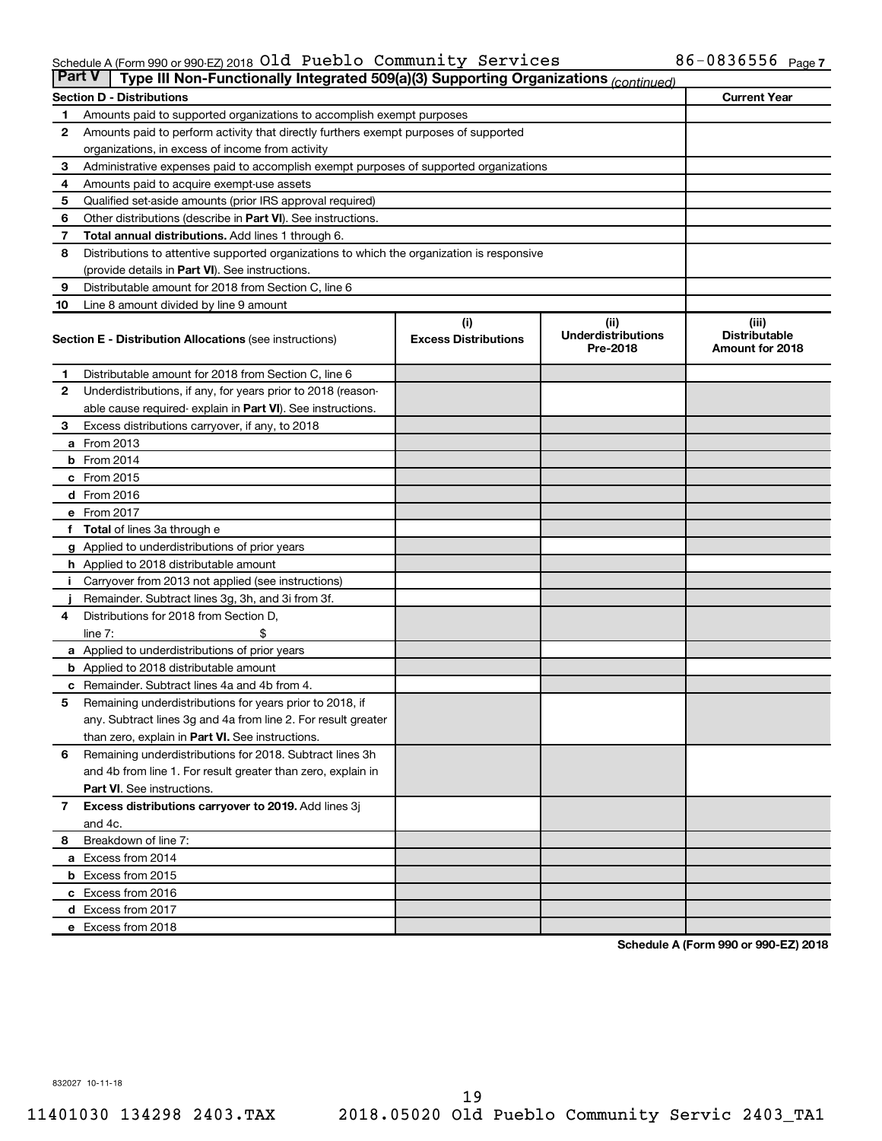### Schedule A (Form 990 or 990-EZ) 2018  $\mathsf{old}\;$  Pueblo <code>Community Services</code>  $86$ –0836556  $_\mathsf{Page}\;$

| <b>Part V</b> | Type III Non-Functionally Integrated 509(a)(3) Supporting Organizations (continued)        |                                    |                                               |                                                  |  |  |  |  |
|---------------|--------------------------------------------------------------------------------------------|------------------------------------|-----------------------------------------------|--------------------------------------------------|--|--|--|--|
|               | <b>Section D - Distributions</b>                                                           |                                    |                                               | <b>Current Year</b>                              |  |  |  |  |
| 1             | Amounts paid to supported organizations to accomplish exempt purposes                      |                                    |                                               |                                                  |  |  |  |  |
| 2             | Amounts paid to perform activity that directly furthers exempt purposes of supported       |                                    |                                               |                                                  |  |  |  |  |
|               | organizations, in excess of income from activity                                           |                                    |                                               |                                                  |  |  |  |  |
| 3             | Administrative expenses paid to accomplish exempt purposes of supported organizations      |                                    |                                               |                                                  |  |  |  |  |
| 4             | Amounts paid to acquire exempt-use assets                                                  |                                    |                                               |                                                  |  |  |  |  |
| 5             | Qualified set-aside amounts (prior IRS approval required)                                  |                                    |                                               |                                                  |  |  |  |  |
| 6             | Other distributions (describe in Part VI). See instructions.                               |                                    |                                               |                                                  |  |  |  |  |
| 7             | Total annual distributions. Add lines 1 through 6.                                         |                                    |                                               |                                                  |  |  |  |  |
| 8             | Distributions to attentive supported organizations to which the organization is responsive |                                    |                                               |                                                  |  |  |  |  |
|               | (provide details in Part VI). See instructions.                                            |                                    |                                               |                                                  |  |  |  |  |
| 9             | Distributable amount for 2018 from Section C, line 6                                       |                                    |                                               |                                                  |  |  |  |  |
| 10            | Line 8 amount divided by line 9 amount                                                     |                                    |                                               |                                                  |  |  |  |  |
|               | <b>Section E - Distribution Allocations (see instructions)</b>                             | (i)<br><b>Excess Distributions</b> | (ii)<br><b>Underdistributions</b><br>Pre-2018 | (iii)<br><b>Distributable</b><br>Amount for 2018 |  |  |  |  |
| 1.            | Distributable amount for 2018 from Section C, line 6                                       |                                    |                                               |                                                  |  |  |  |  |
| $\mathbf{2}$  | Underdistributions, if any, for years prior to 2018 (reason-                               |                                    |                                               |                                                  |  |  |  |  |
|               | able cause required- explain in Part VI). See instructions.                                |                                    |                                               |                                                  |  |  |  |  |
| 3             | Excess distributions carryover, if any, to 2018                                            |                                    |                                               |                                                  |  |  |  |  |
|               | a From 2013                                                                                |                                    |                                               |                                                  |  |  |  |  |
|               | <b>b</b> From 2014                                                                         |                                    |                                               |                                                  |  |  |  |  |
|               | c From 2015                                                                                |                                    |                                               |                                                  |  |  |  |  |
|               | d From 2016                                                                                |                                    |                                               |                                                  |  |  |  |  |
|               | e From 2017                                                                                |                                    |                                               |                                                  |  |  |  |  |
|               | f Total of lines 3a through e                                                              |                                    |                                               |                                                  |  |  |  |  |
|               | <b>g</b> Applied to underdistributions of prior years                                      |                                    |                                               |                                                  |  |  |  |  |
|               | <b>h</b> Applied to 2018 distributable amount                                              |                                    |                                               |                                                  |  |  |  |  |
|               | Carryover from 2013 not applied (see instructions)                                         |                                    |                                               |                                                  |  |  |  |  |
|               | Remainder. Subtract lines 3g, 3h, and 3i from 3f.                                          |                                    |                                               |                                                  |  |  |  |  |
| 4             | Distributions for 2018 from Section D,                                                     |                                    |                                               |                                                  |  |  |  |  |
|               | $line 7$ :                                                                                 |                                    |                                               |                                                  |  |  |  |  |
|               | a Applied to underdistributions of prior years                                             |                                    |                                               |                                                  |  |  |  |  |
|               | <b>b</b> Applied to 2018 distributable amount                                              |                                    |                                               |                                                  |  |  |  |  |
| с             | Remainder. Subtract lines 4a and 4b from 4.                                                |                                    |                                               |                                                  |  |  |  |  |
| 5             | Remaining underdistributions for years prior to 2018, if                                   |                                    |                                               |                                                  |  |  |  |  |
|               | any. Subtract lines 3g and 4a from line 2. For result greater                              |                                    |                                               |                                                  |  |  |  |  |
|               | than zero, explain in Part VI. See instructions.                                           |                                    |                                               |                                                  |  |  |  |  |
| 6             | Remaining underdistributions for 2018. Subtract lines 3h                                   |                                    |                                               |                                                  |  |  |  |  |
|               | and 4b from line 1. For result greater than zero, explain in                               |                                    |                                               |                                                  |  |  |  |  |
|               | <b>Part VI.</b> See instructions.                                                          |                                    |                                               |                                                  |  |  |  |  |
| $\mathbf{7}$  | Excess distributions carryover to 2019. Add lines 3j                                       |                                    |                                               |                                                  |  |  |  |  |
|               | and 4c.                                                                                    |                                    |                                               |                                                  |  |  |  |  |
| 8             | Breakdown of line 7:                                                                       |                                    |                                               |                                                  |  |  |  |  |
|               | a Excess from 2014                                                                         |                                    |                                               |                                                  |  |  |  |  |
|               | <b>b</b> Excess from 2015                                                                  |                                    |                                               |                                                  |  |  |  |  |
|               | c Excess from 2016                                                                         |                                    |                                               |                                                  |  |  |  |  |
|               | d Excess from 2017                                                                         |                                    |                                               |                                                  |  |  |  |  |
|               | e Excess from 2018                                                                         |                                    |                                               |                                                  |  |  |  |  |

**Schedule A (Form 990 or 990-EZ) 2018**

832027 10-11-18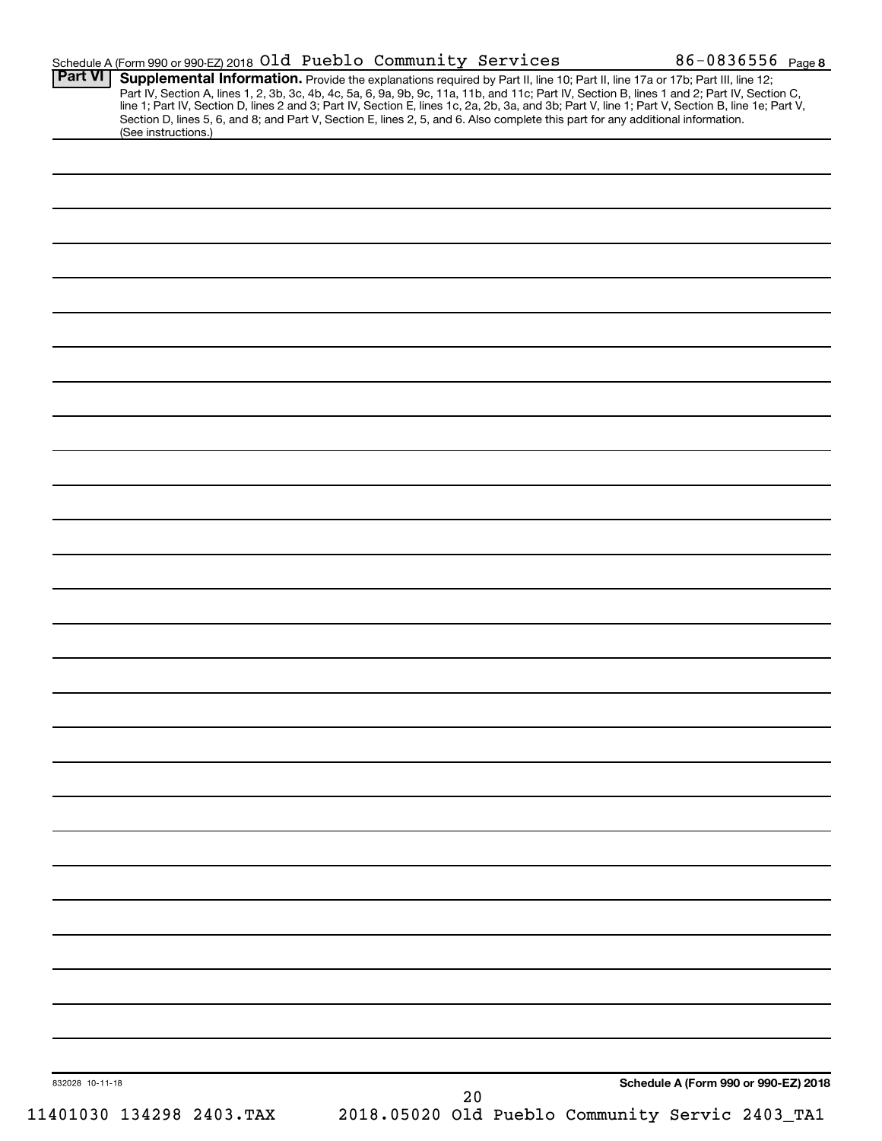| <b>Part VI</b>  | Schedule A (Form 990 or 990 EZ) 2018 Old Pueblo Community Services                                                                                                                                                                                                                  |  |    |  |                                                 | 86-0836556 Page 8 |
|-----------------|-------------------------------------------------------------------------------------------------------------------------------------------------------------------------------------------------------------------------------------------------------------------------------------|--|----|--|-------------------------------------------------|-------------------|
|                 | Supplemental Information. Provide the explanations required by Part II, line 10; Part II, line 17a or 17b; Part III, line 12;<br>Part IV, Section A, lines 1, 2, 3b, 3c, 4b, 4c, 5a, 6, 9a, 9b, 9c, 11a, 11b, and 11c; Part IV, Section B, lines 1 and 2; Part IV, Section C,       |  |    |  |                                                 |                   |
|                 | line 1; Part IV, Section D, lines 2 and 3; Part IV, Section E, lines 1c, 2a, 2b, 3a, and 3b; Part V, line 1; Part V, Section B, line 1e; Part V,<br>Section D, lines 5, 6, and 8; and Part V, Section E, lines 2, 5, and 6. Also complete this part for any additional information. |  |    |  |                                                 |                   |
|                 | (See instructions.)                                                                                                                                                                                                                                                                 |  |    |  |                                                 |                   |
|                 |                                                                                                                                                                                                                                                                                     |  |    |  |                                                 |                   |
|                 |                                                                                                                                                                                                                                                                                     |  |    |  |                                                 |                   |
|                 |                                                                                                                                                                                                                                                                                     |  |    |  |                                                 |                   |
|                 |                                                                                                                                                                                                                                                                                     |  |    |  |                                                 |                   |
|                 |                                                                                                                                                                                                                                                                                     |  |    |  |                                                 |                   |
|                 |                                                                                                                                                                                                                                                                                     |  |    |  |                                                 |                   |
|                 |                                                                                                                                                                                                                                                                                     |  |    |  |                                                 |                   |
|                 |                                                                                                                                                                                                                                                                                     |  |    |  |                                                 |                   |
|                 |                                                                                                                                                                                                                                                                                     |  |    |  |                                                 |                   |
|                 |                                                                                                                                                                                                                                                                                     |  |    |  |                                                 |                   |
|                 |                                                                                                                                                                                                                                                                                     |  |    |  |                                                 |                   |
|                 |                                                                                                                                                                                                                                                                                     |  |    |  |                                                 |                   |
|                 |                                                                                                                                                                                                                                                                                     |  |    |  |                                                 |                   |
|                 |                                                                                                                                                                                                                                                                                     |  |    |  |                                                 |                   |
|                 |                                                                                                                                                                                                                                                                                     |  |    |  |                                                 |                   |
|                 |                                                                                                                                                                                                                                                                                     |  |    |  |                                                 |                   |
|                 |                                                                                                                                                                                                                                                                                     |  |    |  |                                                 |                   |
|                 |                                                                                                                                                                                                                                                                                     |  |    |  |                                                 |                   |
|                 |                                                                                                                                                                                                                                                                                     |  |    |  |                                                 |                   |
|                 |                                                                                                                                                                                                                                                                                     |  |    |  |                                                 |                   |
|                 |                                                                                                                                                                                                                                                                                     |  |    |  |                                                 |                   |
|                 |                                                                                                                                                                                                                                                                                     |  |    |  |                                                 |                   |
|                 |                                                                                                                                                                                                                                                                                     |  |    |  |                                                 |                   |
|                 |                                                                                                                                                                                                                                                                                     |  |    |  |                                                 |                   |
|                 |                                                                                                                                                                                                                                                                                     |  |    |  |                                                 |                   |
|                 |                                                                                                                                                                                                                                                                                     |  |    |  |                                                 |                   |
|                 |                                                                                                                                                                                                                                                                                     |  |    |  |                                                 |                   |
|                 |                                                                                                                                                                                                                                                                                     |  |    |  |                                                 |                   |
|                 |                                                                                                                                                                                                                                                                                     |  |    |  |                                                 |                   |
|                 |                                                                                                                                                                                                                                                                                     |  |    |  |                                                 |                   |
|                 |                                                                                                                                                                                                                                                                                     |  |    |  |                                                 |                   |
|                 |                                                                                                                                                                                                                                                                                     |  |    |  |                                                 |                   |
|                 |                                                                                                                                                                                                                                                                                     |  |    |  |                                                 |                   |
|                 |                                                                                                                                                                                                                                                                                     |  |    |  |                                                 |                   |
|                 |                                                                                                                                                                                                                                                                                     |  |    |  |                                                 |                   |
|                 |                                                                                                                                                                                                                                                                                     |  |    |  |                                                 |                   |
|                 |                                                                                                                                                                                                                                                                                     |  |    |  |                                                 |                   |
|                 |                                                                                                                                                                                                                                                                                     |  |    |  |                                                 |                   |
|                 |                                                                                                                                                                                                                                                                                     |  |    |  |                                                 |                   |
|                 |                                                                                                                                                                                                                                                                                     |  |    |  |                                                 |                   |
|                 |                                                                                                                                                                                                                                                                                     |  |    |  |                                                 |                   |
|                 |                                                                                                                                                                                                                                                                                     |  |    |  |                                                 |                   |
|                 |                                                                                                                                                                                                                                                                                     |  |    |  |                                                 |                   |
| 832028 10-11-18 |                                                                                                                                                                                                                                                                                     |  | 20 |  | Schedule A (Form 990 or 990-EZ) 2018            |                   |
|                 | 11401030 134298 2403. TAX                                                                                                                                                                                                                                                           |  |    |  | 2018.05020 Old Pueblo Community Servic 2403_TA1 |                   |
|                 |                                                                                                                                                                                                                                                                                     |  |    |  |                                                 |                   |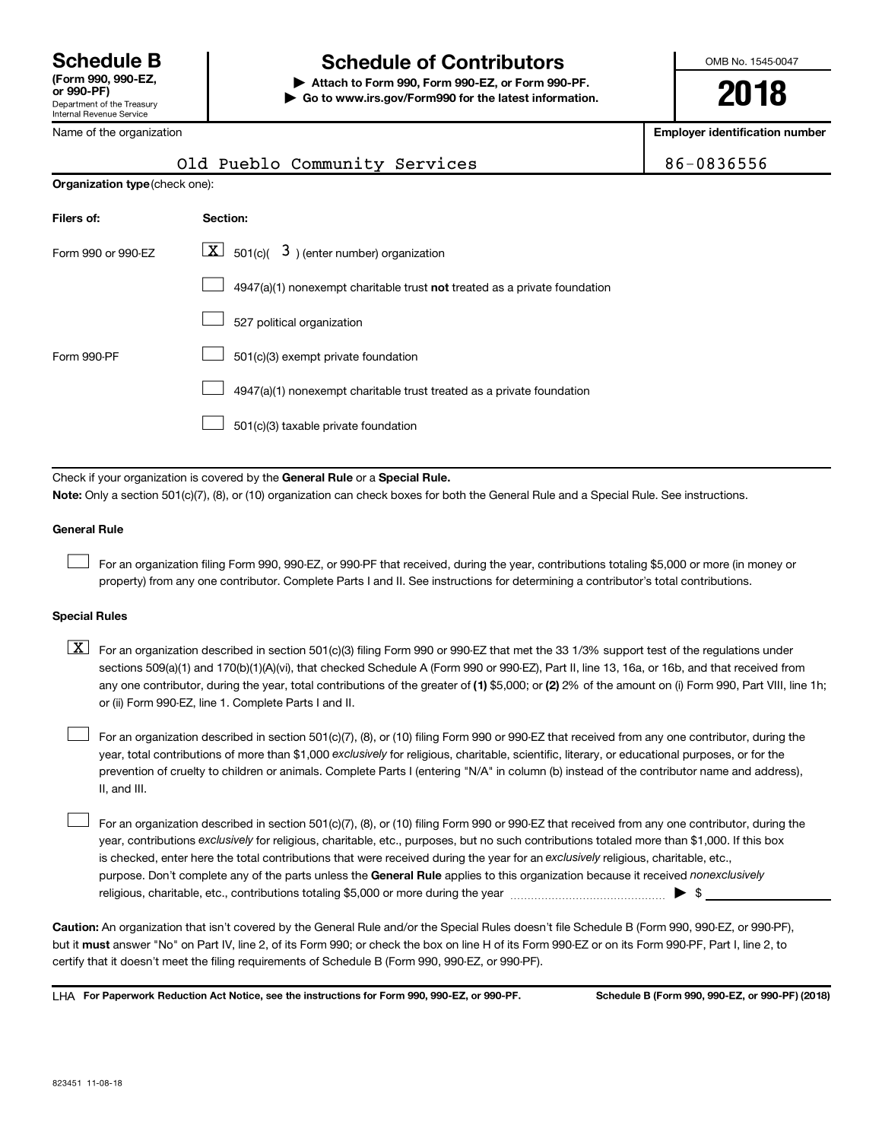# **Schedule B Schedule of Contributors**

**or 990-PF) | Attach to Form 990, Form 990-EZ, or Form 990-PF. | Go to www.irs.gov/Form990 for the latest information.** OMB No. 1545-0047

**2018**

**Employer identification number**

| Department of the Treasury<br><b>Internal Revenue Service</b> |                                                                              | LV IV                               |
|---------------------------------------------------------------|------------------------------------------------------------------------------|-------------------------------------|
| Name of the organization                                      |                                                                              | <b>Employer identification numb</b> |
|                                                               | Old Pueblo Community Services                                                | 86-0836556                          |
| Organization type (check one):                                |                                                                              |                                     |
| Filers of:                                                    | Section:                                                                     |                                     |
| Form 990 or 990-EZ                                            | $\boxed{\textbf{X}}$ 501(c)( 3) (enter number) organization                  |                                     |
|                                                               | 4947(a)(1) nonexempt charitable trust not treated as a private foundation    |                                     |
|                                                               | 527 political organization                                                   |                                     |
| Form 990-PF                                                   | 501(c)(3) exempt private foundation                                          |                                     |
|                                                               | 4947(a)(1) nonexempt charitable trust treated as a private foundation        |                                     |
|                                                               | 501(c)(3) taxable private foundation                                         |                                     |
|                                                               |                                                                              |                                     |
|                                                               | Check if your organization is covered by the General Rule or a Special Rule. |                                     |

**Note:**  Only a section 501(c)(7), (8), or (10) organization can check boxes for both the General Rule and a Special Rule. See instructions.

### **General Rule**

 $\Box$ 

For an organization filing Form 990, 990-EZ, or 990-PF that received, during the year, contributions totaling \$5,000 or more (in money or property) from any one contributor. Complete Parts I and II. See instructions for determining a contributor's total contributions.

### **Special Rules**

any one contributor, during the year, total contributions of the greater of (1) \$5,000; or (2) 2% of the amount on (i) Form 990, Part VIII, line 1h;  $\boxed{\text{X}}$  For an organization described in section 501(c)(3) filing Form 990 or 990-EZ that met the 33 1/3% support test of the regulations under sections 509(a)(1) and 170(b)(1)(A)(vi), that checked Schedule A (Form 990 or 990-EZ), Part II, line 13, 16a, or 16b, and that received from or (ii) Form 990-EZ, line 1. Complete Parts I and II.

year, total contributions of more than \$1,000 *exclusively* for religious, charitable, scientific, literary, or educational purposes, or for the For an organization described in section 501(c)(7), (8), or (10) filing Form 990 or 990-EZ that received from any one contributor, during the prevention of cruelty to children or animals. Complete Parts I (entering "N/A" in column (b) instead of the contributor name and address), II, and III.  $\Box$ 

purpose. Don't complete any of the parts unless the General Rule applies to this organization because it received nonexclusively year, contributions exclusively for religious, charitable, etc., purposes, but no such contributions totaled more than \$1,000. If this box is checked, enter here the total contributions that were received during the year for an exclusively religious, charitable, etc., For an organization described in section 501(c)(7), (8), or (10) filing Form 990 or 990-EZ that received from any one contributor, during the religious, charitable, etc., contributions totaling \$5,000 or more during the year  $\ldots$  $\ldots$  $\ldots$  $\ldots$  $\ldots$  $\ldots$  $\Box$ 

**Caution:**  An organization that isn't covered by the General Rule and/or the Special Rules doesn't file Schedule B (Form 990, 990-EZ, or 990-PF),  **must** but it answer "No" on Part IV, line 2, of its Form 990; or check the box on line H of its Form 990-EZ or on its Form 990-PF, Part I, line 2, to certify that it doesn't meet the filing requirements of Schedule B (Form 990, 990-EZ, or 990-PF).

**For Paperwork Reduction Act Notice, see the instructions for Form 990, 990-EZ, or 990-PF. Schedule B (Form 990, 990-EZ, or 990-PF) (2018)** LHA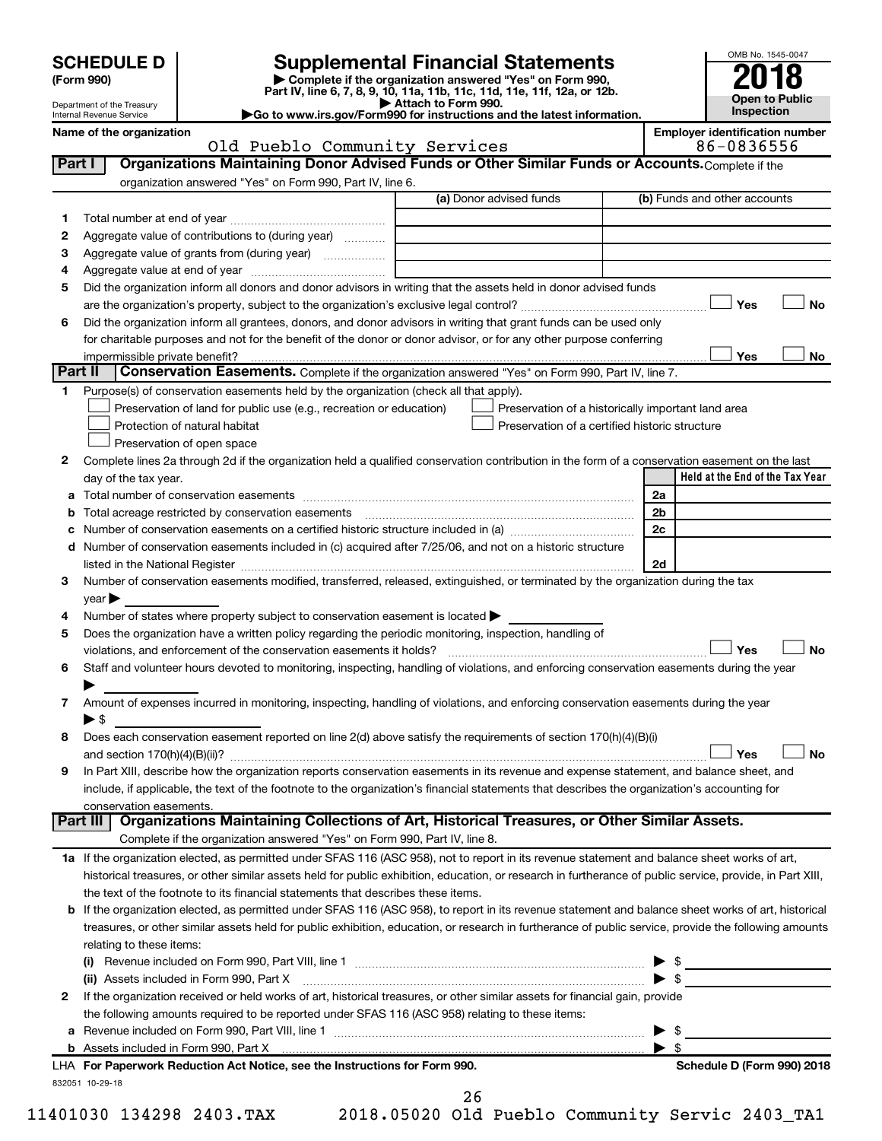# **SCHEDULE D Supplemental Financial Statements**<br> **Form 990 2018**<br> **Part IV** line 6.7.8.9.10, 11a, 11b, 11d, 11d, 11d, 11d, 11d, 12a, 0r, 12b

**(Form 990) | Complete if the organization answered "Yes" on Form 990, Part IV, line 6, 7, 8, 9, 10, 11a, 11b, 11c, 11d, 11e, 11f, 12a, or 12b.**

**| Attach to Form 990. |Go to www.irs.gov/Form990 for instructions and the latest information.**



Department of the Treasury Internal Revenue Service

## Old Pueblo Community Services 86-0836556

| Name of the organization |                                                                                                                                                                                | <b>Emplover identification number</b> |
|--------------------------|--------------------------------------------------------------------------------------------------------------------------------------------------------------------------------|---------------------------------------|
|                          | $\bigcap_{n=1}^{\infty}$ $\bigcap_{n=1}^{\infty}$ $\bigcap_{n=1}^{\infty}$ $\bigcap_{n=1}^{\infty}$ $\bigcap_{n=1}^{\infty}$ $\bigcap_{n=1}^{\infty}$ $\bigcap_{n=1}^{\infty}$ | OC OODCEEC                            |

|         | OIG PUEDIO COMMUNILY SERVICES                                                                                                                                                                                                      |                                                             | 00-0000000                                         |    |
|---------|------------------------------------------------------------------------------------------------------------------------------------------------------------------------------------------------------------------------------------|-------------------------------------------------------------|----------------------------------------------------|----|
| Part I  | Organizations Maintaining Donor Advised Funds or Other Similar Funds or Accounts. Complete if the                                                                                                                                  |                                                             |                                                    |    |
|         | organization answered "Yes" on Form 990, Part IV, line 6.                                                                                                                                                                          |                                                             |                                                    |    |
|         |                                                                                                                                                                                                                                    | (a) Donor advised funds                                     | (b) Funds and other accounts                       |    |
| 1.      |                                                                                                                                                                                                                                    |                                                             |                                                    |    |
| 2       | Aggregate value of contributions to (during year)                                                                                                                                                                                  |                                                             |                                                    |    |
| 3       | Aggregate value of grants from (during year)                                                                                                                                                                                       | the control of the control of the control of the control of |                                                    |    |
| 4       |                                                                                                                                                                                                                                    |                                                             |                                                    |    |
| 5       | Did the organization inform all donors and donor advisors in writing that the assets held in donor advised funds                                                                                                                   |                                                             |                                                    |    |
|         |                                                                                                                                                                                                                                    |                                                             | Yes                                                | No |
| 6       | Did the organization inform all grantees, donors, and donor advisors in writing that grant funds can be used only                                                                                                                  |                                                             |                                                    |    |
|         | for charitable purposes and not for the benefit of the donor or donor advisor, or for any other purpose conferring                                                                                                                 |                                                             |                                                    |    |
|         | impermissible private benefit?                                                                                                                                                                                                     |                                                             | Yes                                                | No |
| Part II | Conservation Easements. Complete if the organization answered "Yes" on Form 990, Part IV, line 7.                                                                                                                                  |                                                             |                                                    |    |
| 1.      | Purpose(s) of conservation easements held by the organization (check all that apply).                                                                                                                                              |                                                             |                                                    |    |
|         | Preservation of land for public use (e.g., recreation or education)                                                                                                                                                                |                                                             | Preservation of a historically important land area |    |
|         | Protection of natural habitat                                                                                                                                                                                                      | Preservation of a certified historic structure              |                                                    |    |
|         | Preservation of open space                                                                                                                                                                                                         |                                                             |                                                    |    |
|         |                                                                                                                                                                                                                                    |                                                             |                                                    |    |
| 2       | Complete lines 2a through 2d if the organization held a qualified conservation contribution in the form of a conservation easement on the last                                                                                     |                                                             |                                                    |    |
|         | day of the tax year.                                                                                                                                                                                                               |                                                             | Held at the End of the Tax Year                    |    |
|         |                                                                                                                                                                                                                                    |                                                             | 2a                                                 |    |
|         | <b>b</b> Total acreage restricted by conservation easements manufactured conservation conservation of the set of the set of the set of the set of the set of the set of the set of the set of the set of the set of the set of the |                                                             | 2b                                                 |    |
|         | Number of conservation easements on a certified historic structure included in (a) manufacture included in (a)                                                                                                                     |                                                             | 2c                                                 |    |
|         | d Number of conservation easements included in (c) acquired after 7/25/06, and not on a historic structure                                                                                                                         |                                                             |                                                    |    |
|         |                                                                                                                                                                                                                                    |                                                             | 2d                                                 |    |
| 3       | Number of conservation easements modified, transferred, released, extinguished, or terminated by the organization during the tax                                                                                                   |                                                             |                                                    |    |
|         | year                                                                                                                                                                                                                               |                                                             |                                                    |    |
| 4       | Number of states where property subject to conservation easement is located >                                                                                                                                                      |                                                             |                                                    |    |
| 5       | Does the organization have a written policy regarding the periodic monitoring, inspection, handling of                                                                                                                             |                                                             |                                                    |    |
|         | violations, and enforcement of the conservation easements it holds? [11] matter conservation can be reader to the conservation easements it holds? [11] matter conservation easements it holds? [11] matter conservation entri     |                                                             | Yes                                                | No |
| 6       | Staff and volunteer hours devoted to monitoring, inspecting, handling of violations, and enforcing conservation easements during the year                                                                                          |                                                             |                                                    |    |
|         |                                                                                                                                                                                                                                    |                                                             |                                                    |    |
| 7       | Amount of expenses incurred in monitoring, inspecting, handling of violations, and enforcing conservation easements during the year                                                                                                |                                                             |                                                    |    |
|         | $\blacktriangleright$ \$                                                                                                                                                                                                           |                                                             |                                                    |    |
| 8       | Does each conservation easement reported on line 2(d) above satisfy the requirements of section 170(h)(4)(B)(i)                                                                                                                    |                                                             |                                                    |    |
|         |                                                                                                                                                                                                                                    |                                                             | Yes                                                | No |
| 9       | In Part XIII, describe how the organization reports conservation easements in its revenue and expense statement, and balance sheet, and                                                                                            |                                                             |                                                    |    |
|         | include, if applicable, the text of the footnote to the organization's financial statements that describes the organization's accounting for                                                                                       |                                                             |                                                    |    |
|         | conservation easements.                                                                                                                                                                                                            |                                                             |                                                    |    |
|         | Organizations Maintaining Collections of Art, Historical Treasures, or Other Similar Assets.<br>Part III                                                                                                                           |                                                             |                                                    |    |
|         | Complete if the organization answered "Yes" on Form 990, Part IV, line 8.                                                                                                                                                          |                                                             |                                                    |    |
|         | 1a If the organization elected, as permitted under SFAS 116 (ASC 958), not to report in its revenue statement and balance sheet works of art,                                                                                      |                                                             |                                                    |    |
|         |                                                                                                                                                                                                                                    |                                                             |                                                    |    |
|         | historical treasures, or other similar assets held for public exhibition, education, or research in furtherance of public service, provide, in Part XIII,                                                                          |                                                             |                                                    |    |
|         | the text of the footnote to its financial statements that describes these items.                                                                                                                                                   |                                                             |                                                    |    |
|         | <b>b</b> If the organization elected, as permitted under SFAS 116 (ASC 958), to report in its revenue statement and balance sheet works of art, historical                                                                         |                                                             |                                                    |    |
|         | treasures, or other similar assets held for public exhibition, education, or research in furtherance of public service, provide the following amounts                                                                              |                                                             |                                                    |    |
|         | relating to these items:                                                                                                                                                                                                           |                                                             |                                                    |    |
|         |                                                                                                                                                                                                                                    |                                                             | - \$                                               |    |
|         | (ii) Assets included in Form 990, Part X                                                                                                                                                                                           |                                                             | $\blacktriangleright$ \$                           |    |
| 2       | If the organization received or held works of art, historical treasures, or other similar assets for financial gain, provide                                                                                                       |                                                             |                                                    |    |
|         | the following amounts required to be reported under SFAS 116 (ASC 958) relating to these items:                                                                                                                                    |                                                             |                                                    |    |
| а       |                                                                                                                                                                                                                                    |                                                             | - \$                                               |    |
|         |                                                                                                                                                                                                                                    |                                                             | - \$<br>▸                                          |    |
|         | LHA For Paperwork Reduction Act Notice, see the Instructions for Form 990.                                                                                                                                                         |                                                             | Schedule D (Form 990) 2018                         |    |

11401030 134298 2403.TAX 2018.05020 Old Pueblo Community Servic 2403\_TA1

832051 10-29-18

26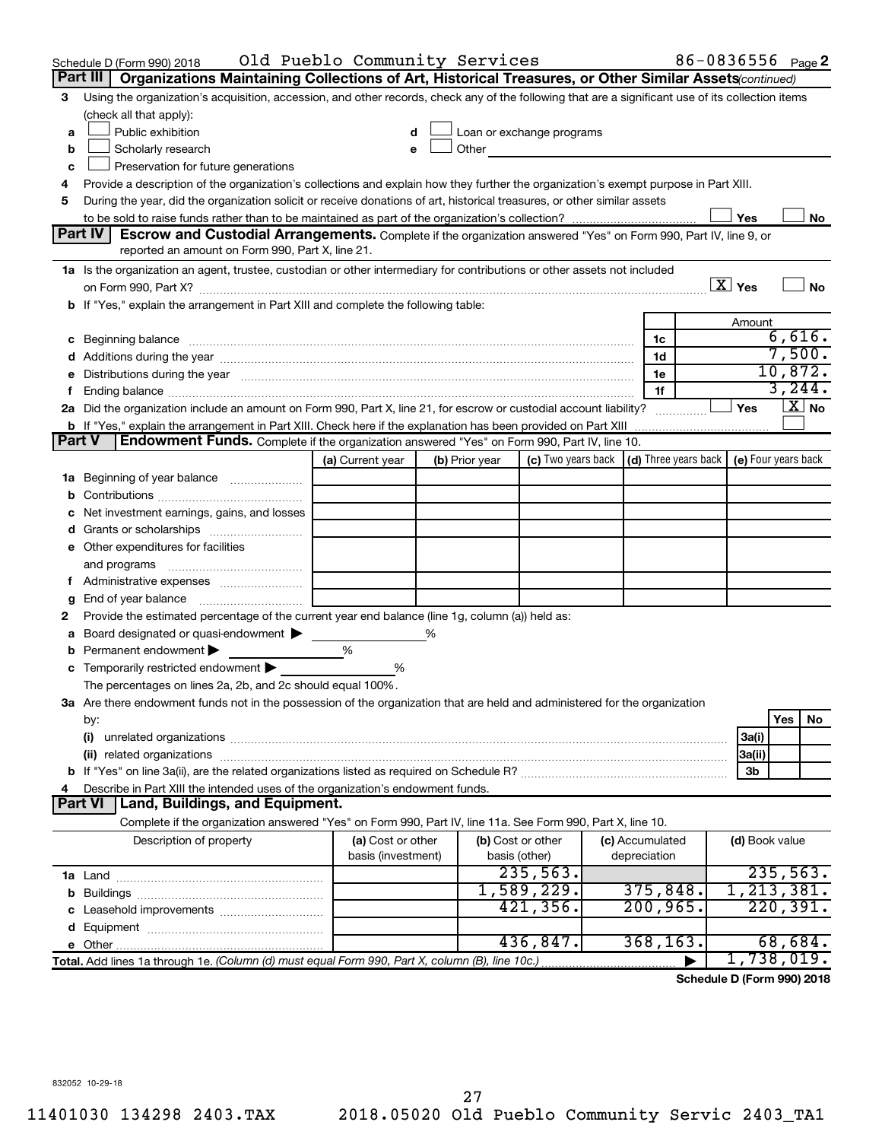|   | Schedule D (Form 990) 2018                                                                                                                                                                                                     | Old Pueblo Community Services |   |                |                                                                             |                 | 86-0836556 <sub>Page</sub> 2 |                        |                  |                       |
|---|--------------------------------------------------------------------------------------------------------------------------------------------------------------------------------------------------------------------------------|-------------------------------|---|----------------|-----------------------------------------------------------------------------|-----------------|------------------------------|------------------------|------------------|-----------------------|
|   | Part III<br>Organizations Maintaining Collections of Art, Historical Treasures, or Other Similar Assets (continued)                                                                                                            |                               |   |                |                                                                             |                 |                              |                        |                  |                       |
| З | Using the organization's acquisition, accession, and other records, check any of the following that are a significant use of its collection items                                                                              |                               |   |                |                                                                             |                 |                              |                        |                  |                       |
|   | (check all that apply):                                                                                                                                                                                                        |                               |   |                |                                                                             |                 |                              |                        |                  |                       |
| a | Public exhibition                                                                                                                                                                                                              |                               |   |                | Loan or exchange programs                                                   |                 |                              |                        |                  |                       |
| b | Scholarly research                                                                                                                                                                                                             |                               |   |                | Other <b>Communication</b>                                                  |                 |                              |                        |                  |                       |
| c | Preservation for future generations                                                                                                                                                                                            |                               |   |                |                                                                             |                 |                              |                        |                  |                       |
|   | Provide a description of the organization's collections and explain how they further the organization's exempt purpose in Part XIII.                                                                                           |                               |   |                |                                                                             |                 |                              |                        |                  |                       |
| 5 | During the year, did the organization solicit or receive donations of art, historical treasures, or other similar assets                                                                                                       |                               |   |                |                                                                             |                 |                              |                        |                  |                       |
|   |                                                                                                                                                                                                                                |                               |   |                |                                                                             |                 |                              | Yes                    |                  | No                    |
|   | Part IV<br><b>Escrow and Custodial Arrangements.</b> Complete if the organization answered "Yes" on Form 990, Part IV, line 9, or                                                                                              |                               |   |                |                                                                             |                 |                              |                        |                  |                       |
|   | reported an amount on Form 990, Part X, line 21.                                                                                                                                                                               |                               |   |                |                                                                             |                 |                              |                        |                  |                       |
|   | 1a Is the organization an agent, trustee, custodian or other intermediary for contributions or other assets not included                                                                                                       |                               |   |                |                                                                             |                 |                              |                        |                  |                       |
|   | on Form 990, Part X? [11] matter and the contract of the contract of the contract of the contract of the contract of the contract of the contract of the contract of the contract of the contract of the contract of the contr |                               |   |                |                                                                             |                 |                              | $\boxed{\text{X}}$ Yes |                  | No                    |
|   | b If "Yes," explain the arrangement in Part XIII and complete the following table:                                                                                                                                             |                               |   |                |                                                                             |                 |                              |                        |                  |                       |
|   |                                                                                                                                                                                                                                |                               |   |                |                                                                             |                 |                              | Amount                 |                  |                       |
|   | c Beginning balance measurements and the contract of the contract of the contract of the contract of the contract of the contract of the contract of the contract of the contract of the contract of the contract of the contr |                               |   |                |                                                                             | 1c              |                              |                        | 6,616.<br>7,500. |                       |
|   | d Additions during the year manufactured and an account of a state of the state of an account of the state of the state of the state of the state of the state of the state of the state of the state of the state of the stat |                               |   |                |                                                                             | 1d              |                              |                        | 10,872.          |                       |
|   | e Distributions during the year manufactured and continuum control of the control of the control of the state of the control of the control of the control of the control of the control of the control of the control of the  |                               |   |                |                                                                             | 1e              |                              |                        | 3, 244.          |                       |
|   | 2a Did the organization include an amount on Form 990, Part X, line 21, for escrow or custodial account liability?                                                                                                             |                               |   |                |                                                                             | 1f              |                              | Yes                    |                  | $\boxed{\text{X}}$ No |
|   |                                                                                                                                                                                                                                |                               |   |                |                                                                             |                 |                              |                        |                  |                       |
|   | Endowment Funds. Complete if the organization answered "Yes" on Form 990, Part IV, line 10.<br><b>Part V</b>                                                                                                                   |                               |   |                |                                                                             |                 |                              |                        |                  |                       |
|   |                                                                                                                                                                                                                                | (a) Current year              |   | (b) Prior year | (c) Two years back $\vert$ (d) Three years back $\vert$ (e) Four years back |                 |                              |                        |                  |                       |
|   | <b>1a</b> Beginning of year balance                                                                                                                                                                                            |                               |   |                |                                                                             |                 |                              |                        |                  |                       |
|   |                                                                                                                                                                                                                                |                               |   |                |                                                                             |                 |                              |                        |                  |                       |
|   | Net investment earnings, gains, and losses                                                                                                                                                                                     |                               |   |                |                                                                             |                 |                              |                        |                  |                       |
|   |                                                                                                                                                                                                                                |                               |   |                |                                                                             |                 |                              |                        |                  |                       |
|   | e Other expenditures for facilities                                                                                                                                                                                            |                               |   |                |                                                                             |                 |                              |                        |                  |                       |
|   | and programs                                                                                                                                                                                                                   |                               |   |                |                                                                             |                 |                              |                        |                  |                       |
|   |                                                                                                                                                                                                                                |                               |   |                |                                                                             |                 |                              |                        |                  |                       |
| g |                                                                                                                                                                                                                                |                               |   |                |                                                                             |                 |                              |                        |                  |                       |
| 2 | Provide the estimated percentage of the current year end balance (line 1g, column (a)) held as:                                                                                                                                |                               |   |                |                                                                             |                 |                              |                        |                  |                       |
| а | Board designated or quasi-endowment >                                                                                                                                                                                          |                               | % |                |                                                                             |                 |                              |                        |                  |                       |
|   | <b>b</b> Permanent endowment $\blacktriangleright$                                                                                                                                                                             | %                             |   |                |                                                                             |                 |                              |                        |                  |                       |
|   | c Temporarily restricted endowment $\blacktriangleright$                                                                                                                                                                       | %                             |   |                |                                                                             |                 |                              |                        |                  |                       |
|   | The percentages on lines 2a, 2b, and 2c should equal 100%.                                                                                                                                                                     |                               |   |                |                                                                             |                 |                              |                        |                  |                       |
|   | 3a Are there endowment funds not in the possession of the organization that are held and administered for the organization                                                                                                     |                               |   |                |                                                                             |                 |                              |                        |                  |                       |
|   | by:                                                                                                                                                                                                                            |                               |   |                |                                                                             |                 |                              |                        | Yes              | No                    |
|   | (i)                                                                                                                                                                                                                            |                               |   |                |                                                                             |                 |                              | 3a(i)                  |                  |                       |
|   |                                                                                                                                                                                                                                |                               |   |                |                                                                             |                 |                              | 3a(ii)                 |                  |                       |
|   |                                                                                                                                                                                                                                |                               |   |                |                                                                             |                 |                              | 3b                     |                  |                       |
| 4 | Describe in Part XIII the intended uses of the organization's endowment funds.                                                                                                                                                 |                               |   |                |                                                                             |                 |                              |                        |                  |                       |
|   | Land, Buildings, and Equipment.<br><b>Part VI</b>                                                                                                                                                                              |                               |   |                |                                                                             |                 |                              |                        |                  |                       |
|   | Complete if the organization answered "Yes" on Form 990, Part IV, line 11a. See Form 990, Part X, line 10.                                                                                                                     |                               |   |                |                                                                             |                 |                              |                        |                  |                       |
|   | Description of property                                                                                                                                                                                                        | (a) Cost or other             |   |                | (b) Cost or other                                                           | (c) Accumulated |                              | (d) Book value         |                  |                       |
|   |                                                                                                                                                                                                                                | basis (investment)            |   |                | basis (other)                                                               | depreciation    |                              |                        |                  |                       |
|   |                                                                                                                                                                                                                                |                               |   |                | 235,563.                                                                    |                 |                              |                        | 235,563.         |                       |
|   |                                                                                                                                                                                                                                |                               |   |                | 1,589,229.                                                                  | 375,848.        |                              | 1, 213, 381.           |                  |                       |
|   |                                                                                                                                                                                                                                |                               |   |                | 421,356.                                                                    | 200, 965.       |                              |                        | 220,391.         |                       |
|   |                                                                                                                                                                                                                                |                               |   |                |                                                                             |                 |                              |                        |                  |                       |
|   |                                                                                                                                                                                                                                |                               |   |                | 436,847.                                                                    | 368, 163.       |                              |                        | 68,684.          |                       |
|   | Total. Add lines 1a through 1e. (Column (d) must equal Form 990, Part X, column (B), line 10c.)                                                                                                                                |                               |   |                |                                                                             |                 |                              | 1,738,019.             |                  |                       |

**Schedule D (Form 990) 2018**

832052 10-29-18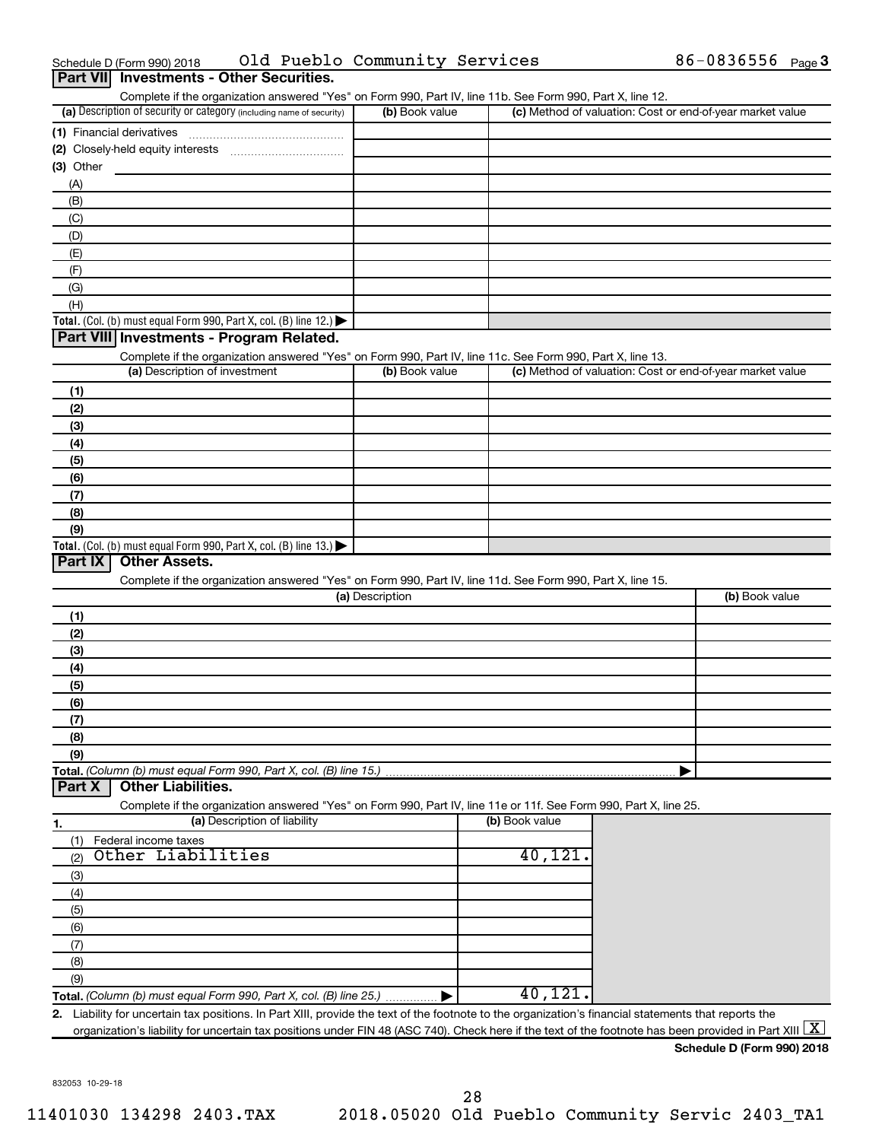|  | 0 (Form 990) 2018<br>Schedule I |  | Pueblo | Community Services |  | $-08$<br>36556 | Page $3$ |
|--|---------------------------------|--|--------|--------------------|--|----------------|----------|
|--|---------------------------------|--|--------|--------------------|--|----------------|----------|

| Part VII Investments - Other Securities.                                                                                                             |                 |                |                                                           |
|------------------------------------------------------------------------------------------------------------------------------------------------------|-----------------|----------------|-----------------------------------------------------------|
| Complete if the organization answered "Yes" on Form 990, Part IV, line 11b. See Form 990, Part X, line 12.                                           |                 |                |                                                           |
| (a) Description of security or category (including name of security)                                                                                 | (b) Book value  |                | (c) Method of valuation: Cost or end-of-year market value |
|                                                                                                                                                      |                 |                |                                                           |
|                                                                                                                                                      |                 |                |                                                           |
| $(3)$ Other                                                                                                                                          |                 |                |                                                           |
| (A)                                                                                                                                                  |                 |                |                                                           |
| (B)                                                                                                                                                  |                 |                |                                                           |
| (C)                                                                                                                                                  |                 |                |                                                           |
| (D)                                                                                                                                                  |                 |                |                                                           |
| (E)                                                                                                                                                  |                 |                |                                                           |
| (F)                                                                                                                                                  |                 |                |                                                           |
| (G)                                                                                                                                                  |                 |                |                                                           |
| (H)                                                                                                                                                  |                 |                |                                                           |
| <b>Total.</b> (Col. (b) must equal Form 990, Part X, col. (B) line 12.) $\blacktriangleright$<br>Part VIII Investments - Program Related.            |                 |                |                                                           |
|                                                                                                                                                      |                 |                |                                                           |
| Complete if the organization answered "Yes" on Form 990, Part IV, line 11c. See Form 990, Part X, line 13.<br>(a) Description of investment          | (b) Book value  |                | (c) Method of valuation: Cost or end-of-year market value |
|                                                                                                                                                      |                 |                |                                                           |
| (1)                                                                                                                                                  |                 |                |                                                           |
| (2)                                                                                                                                                  |                 |                |                                                           |
| (3)<br>(4)                                                                                                                                           |                 |                |                                                           |
|                                                                                                                                                      |                 |                |                                                           |
| (5)<br>(6)                                                                                                                                           |                 |                |                                                           |
| (7)                                                                                                                                                  |                 |                |                                                           |
| (8)                                                                                                                                                  |                 |                |                                                           |
| (9)                                                                                                                                                  |                 |                |                                                           |
| <b>Total.</b> (Col. (b) must equal Form 990, Part X, col. (B) line 13.) $\blacktriangleright$                                                        |                 |                |                                                           |
| Part IX<br><b>Other Assets.</b>                                                                                                                      |                 |                |                                                           |
| Complete if the organization answered "Yes" on Form 990, Part IV, line 11d. See Form 990, Part X, line 15.                                           |                 |                |                                                           |
|                                                                                                                                                      | (a) Description |                | (b) Book value                                            |
| (1)                                                                                                                                                  |                 |                |                                                           |
| (2)                                                                                                                                                  |                 |                |                                                           |
| (3)                                                                                                                                                  |                 |                |                                                           |
| (4)                                                                                                                                                  |                 |                |                                                           |
| (5)                                                                                                                                                  |                 |                |                                                           |
| (6)                                                                                                                                                  |                 |                |                                                           |
| (7)                                                                                                                                                  |                 |                |                                                           |
| (8)                                                                                                                                                  |                 |                |                                                           |
| (9)                                                                                                                                                  |                 |                |                                                           |
| Total. (Column (b) must equal Form 990, Part X, col. (B) line 15.)                                                                                   |                 |                |                                                           |
| <b>Other Liabilities.</b><br>Part X                                                                                                                  |                 |                |                                                           |
| Complete if the organization answered "Yes" on Form 990, Part IV, line 11e or 11f. See Form 990, Part X, line 25.                                    |                 |                |                                                           |
| (a) Description of liability<br>1.                                                                                                                   |                 | (b) Book value |                                                           |
| Federal income taxes<br>(1)                                                                                                                          |                 |                |                                                           |
| Other Liabilities<br>(2)                                                                                                                             |                 | 40,121.        |                                                           |
| (3)                                                                                                                                                  |                 |                |                                                           |
| (4)                                                                                                                                                  |                 |                |                                                           |
| (5)                                                                                                                                                  |                 |                |                                                           |
| (6)                                                                                                                                                  |                 |                |                                                           |
|                                                                                                                                                      |                 |                |                                                           |
|                                                                                                                                                      |                 |                |                                                           |
| (7)                                                                                                                                                  |                 |                |                                                           |
| (8)                                                                                                                                                  |                 |                |                                                           |
| (9)                                                                                                                                                  |                 | 40,121         |                                                           |
| 2. Liability for uncertain tax positions. In Part XIII, provide the text of the footnote to the organization's financial statements that reports the |                 |                |                                                           |

832053 10-29-18

**Schedule D (Form 990) 2018**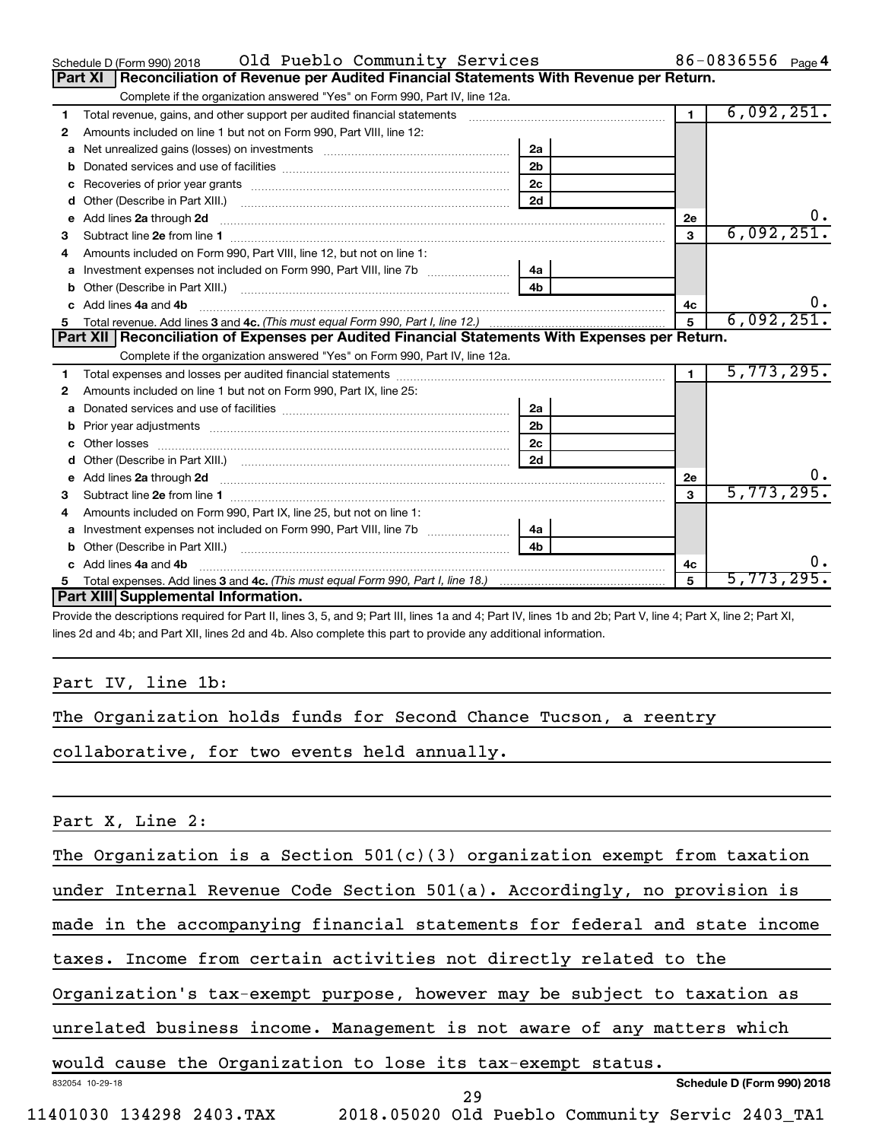|    | Old Pueblo Community Services<br>Schedule D (Form 990) 2018                                                                                                                                                                          |                |                | 86-0836556 $_{Page 4}$ |
|----|--------------------------------------------------------------------------------------------------------------------------------------------------------------------------------------------------------------------------------------|----------------|----------------|------------------------|
|    | Reconciliation of Revenue per Audited Financial Statements With Revenue per Return.<br>Part XI                                                                                                                                       |                |                |                        |
|    | Complete if the organization answered "Yes" on Form 990, Part IV, line 12a.                                                                                                                                                          |                |                |                        |
| 1. | Total revenue, gains, and other support per audited financial statements [11] [11] Total revenue, gains, and other support per audited financial statements                                                                          |                | $\blacksquare$ | 6,092,251.             |
| 2  | Amounts included on line 1 but not on Form 990, Part VIII, line 12:                                                                                                                                                                  |                |                |                        |
| a  | Net unrealized gains (losses) on investments [111] [12] matter contracts and a local metal of the university of the university of the university of the university of the university of the university of the university of th       | 2a             |                |                        |
|    |                                                                                                                                                                                                                                      | 2 <sub>b</sub> |                |                        |
|    |                                                                                                                                                                                                                                      | 2 <sub>c</sub> |                |                        |
| d  |                                                                                                                                                                                                                                      | 2d             |                |                        |
| е  | Add lines 2a through 2d <b>continuum continuum contract and continuum contract and continuum contract and continuum contract and continuum contract and continuum contract and continuum contract and continuum contract and con</b> |                | 2е             | 0.                     |
| 3  |                                                                                                                                                                                                                                      |                | 3              | 6,092,251.             |
| 4  | Amounts included on Form 990, Part VIII, line 12, but not on line 1:                                                                                                                                                                 |                |                |                        |
|    |                                                                                                                                                                                                                                      | 4a             |                |                        |
|    |                                                                                                                                                                                                                                      | 4 <sub>b</sub> |                |                        |
|    | c Add lines 4a and 4b                                                                                                                                                                                                                |                | 4c             | 0.                     |
|    |                                                                                                                                                                                                                                      |                | 5              | 6,092,251.             |
|    |                                                                                                                                                                                                                                      |                |                |                        |
|    | Part XII   Reconciliation of Expenses per Audited Financial Statements With Expenses per Return.                                                                                                                                     |                |                |                        |
|    | Complete if the organization answered "Yes" on Form 990, Part IV, line 12a.                                                                                                                                                          |                |                |                        |
| 1. |                                                                                                                                                                                                                                      |                | $\blacksquare$ | 5,773,295.             |
| 2  | Amounts included on line 1 but not on Form 990, Part IX, line 25:                                                                                                                                                                    |                |                |                        |
| a  |                                                                                                                                                                                                                                      | 2a             |                |                        |
| b  |                                                                                                                                                                                                                                      | 2 <sub>b</sub> |                |                        |
|    |                                                                                                                                                                                                                                      | 2 <sub>c</sub> |                |                        |
|    |                                                                                                                                                                                                                                      | 2d             |                |                        |
|    |                                                                                                                                                                                                                                      |                | <b>2e</b>      | 0.                     |
| 3  |                                                                                                                                                                                                                                      |                | $\mathbf{a}$   | 5,773,295.             |
| 4  | Amounts included on Form 990, Part IX, line 25, but not on line 1:                                                                                                                                                                   |                |                |                        |
| a  |                                                                                                                                                                                                                                      | 4a             |                |                        |
| b  | Other (Describe in Part XIII.) [2000] [2010] [2010] [2010] [2010] [2010] [2010] [2010] [2010] [2010] [2010] [2010] [2010] [2010] [2010] [2010] [2010] [2010] [2010] [2010] [2010] [2010] [2010] [2010] [2010] [2010] [2010] [2       | 4 <sub>b</sub> |                |                        |
|    | c Add lines 4a and 4b                                                                                                                                                                                                                |                | 4c             | 0.                     |
|    | Part XIII Supplemental Information.                                                                                                                                                                                                  |                | 5              | 5,773,295.             |

Provide the descriptions required for Part II, lines 3, 5, and 9; Part III, lines 1a and 4; Part IV, lines 1b and 2b; Part V, line 4; Part X, line 2; Part XI, lines 2d and 4b; and Part XII, lines 2d and 4b. Also complete this part to provide any additional information.

### Part IV, line 1b:

|  |  | The Organization holds funds for Second Chance Tucson, a reentry |  |  |  |  |  |  |  |  |
|--|--|------------------------------------------------------------------|--|--|--|--|--|--|--|--|
|--|--|------------------------------------------------------------------|--|--|--|--|--|--|--|--|

collaborative, for two events held annually.

### Part X, Line 2:

The Organization is a Section 501(c)(3) organization exempt from taxation

under Internal Revenue Code Section 501(a). Accordingly, no provision is

made in the accompanying financial statements for federal and state income

taxes. Income from certain activities not directly related to the

Organization's tax-exempt purpose, however may be subject to taxation as

unrelated business income. Management is not aware of any matters which

would cause the Organization to lose its tax-exempt status.

11401030 134298 2403.TAX 2018.05020 Old Pueblo Community Servic 2403\_TA1

29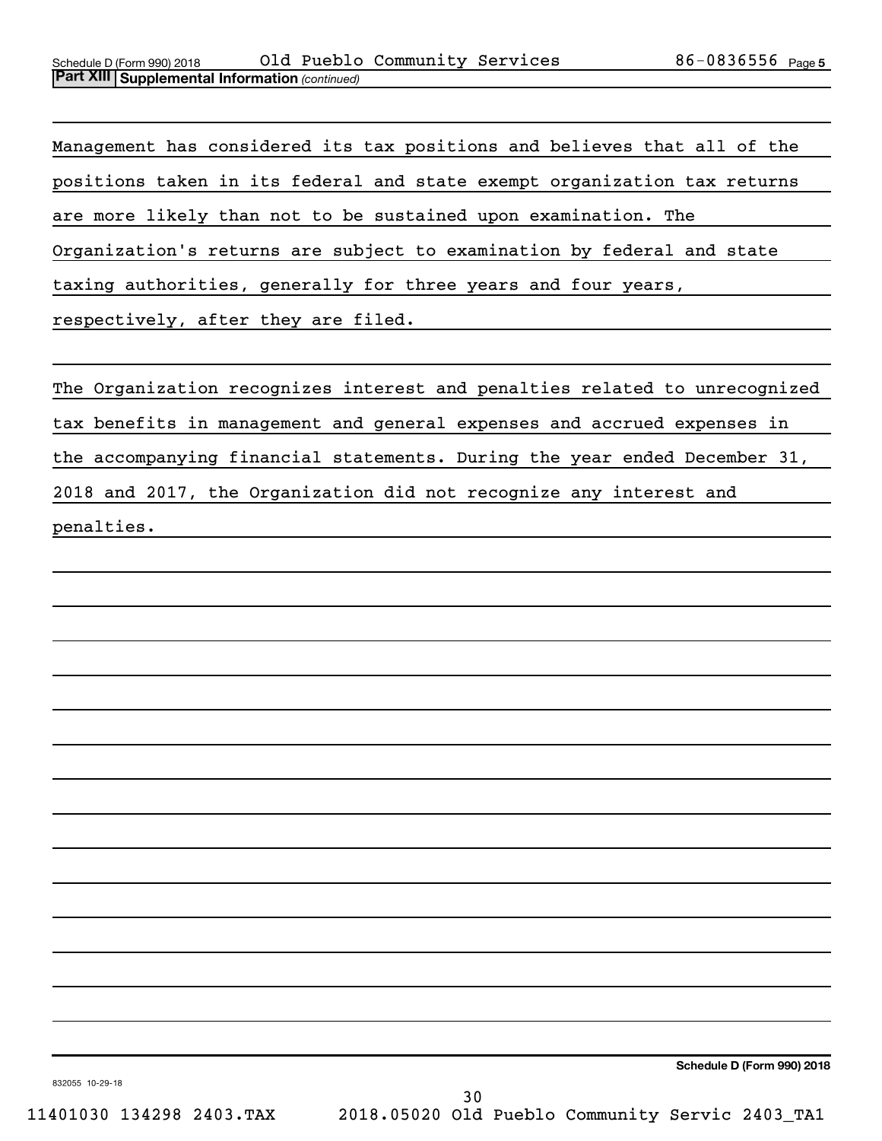Management has considered its tax positions and believes that all of the positions taken in its federal and state exempt organization tax returns are more likely than not to be sustained upon examination. The Organization's returns are subject to examination by federal and state taxing authorities, generally for three years and four years, respectively, after they are filed.

The Organization recognizes interest and penalties related to unrecognized tax benefits in management and general expenses and accrued expenses in the accompanying financial statements. During the year ended December 31, 2018 and 2017, the Organization did not recognize any interest and penalties.

**Schedule D (Form 990) 2018**

832055 10-29-18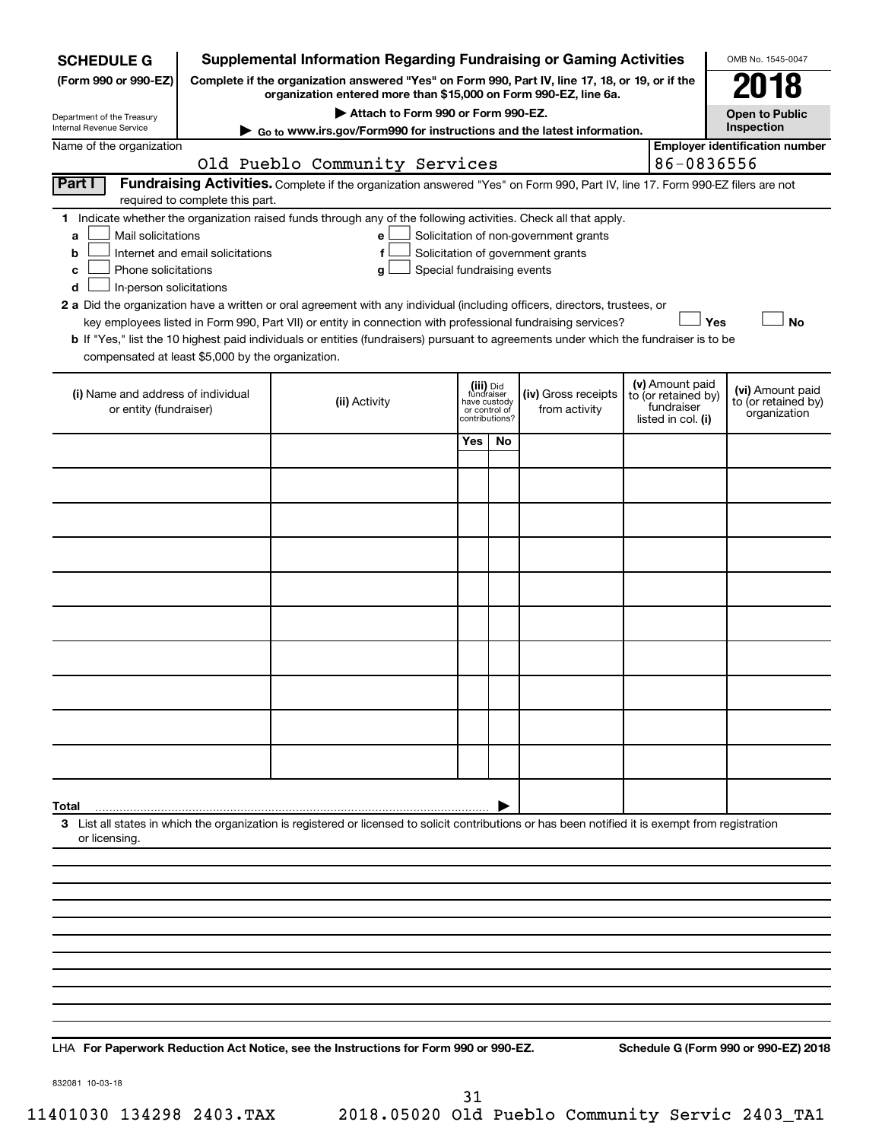| <b>SCHEDULE G</b>                                                                        |                                                                                                                                                                     | <b>Supplemental Information Regarding Fundraising or Gaming Activities</b>                                                                                                                                                                                                                 |                                                          |                |                                                                            |  |                                                                            | OMB No. 1545-0047                                       |
|------------------------------------------------------------------------------------------|---------------------------------------------------------------------------------------------------------------------------------------------------------------------|--------------------------------------------------------------------------------------------------------------------------------------------------------------------------------------------------------------------------------------------------------------------------------------------|----------------------------------------------------------|----------------|----------------------------------------------------------------------------|--|----------------------------------------------------------------------------|---------------------------------------------------------|
| (Form 990 or 990-EZ)                                                                     | Complete if the organization answered "Yes" on Form 990, Part IV, line 17, 18, or 19, or if the<br>organization entered more than \$15,000 on Form 990-EZ, line 6a. |                                                                                                                                                                                                                                                                                            | 018                                                      |                |                                                                            |  |                                                                            |                                                         |
| Department of the Treasury<br>Internal Revenue Service                                   |                                                                                                                                                                     |                                                                                                                                                                                                                                                                                            | <b>Open to Public</b><br>Inspection                      |                |                                                                            |  |                                                                            |                                                         |
| Name of the organization                                                                 |                                                                                                                                                                     | ► Go to www.irs.gov/Form990 for instructions and the latest information.                                                                                                                                                                                                                   |                                                          |                |                                                                            |  |                                                                            | <b>Employer identification number</b>                   |
|                                                                                          |                                                                                                                                                                     | Old Pueblo Community Services                                                                                                                                                                                                                                                              |                                                          |                |                                                                            |  | 86-0836556                                                                 |                                                         |
| Part I                                                                                   | required to complete this part.                                                                                                                                     | Fundraising Activities. Complete if the organization answered "Yes" on Form 990, Part IV, line 17. Form 990-EZ filers are not                                                                                                                                                              |                                                          |                |                                                                            |  |                                                                            |                                                         |
| Mail solicitations<br>a<br>b<br>Phone solicitations<br>с<br>In-person solicitations<br>d | Internet and email solicitations                                                                                                                                    | 1 Indicate whether the organization raised funds through any of the following activities. Check all that apply.<br>e<br>f<br>Special fundraising events<br>g<br>2 a Did the organization have a written or oral agreement with any individual (including officers, directors, trustees, or |                                                          |                | Solicitation of non-government grants<br>Solicitation of government grants |  |                                                                            |                                                         |
| compensated at least \$5,000 by the organization.                                        |                                                                                                                                                                     | key employees listed in Form 990, Part VII) or entity in connection with professional fundraising services?<br>b If "Yes," list the 10 highest paid individuals or entities (fundraisers) pursuant to agreements under which the fundraiser is to be                                       |                                                          |                |                                                                            |  | Yes                                                                        | <b>No</b>                                               |
| (i) Name and address of individual<br>or entity (fundraiser)                             |                                                                                                                                                                     | (ii) Activity                                                                                                                                                                                                                                                                              | (iii) Did<br>fundraiser<br>have custody<br>or control of | contributions? | (iv) Gross receipts<br>from activity                                       |  | (v) Amount paid<br>to (or retained by)<br>fundraiser<br>listed in col. (i) | (vi) Amount paid<br>to (or retained by)<br>organization |
|                                                                                          |                                                                                                                                                                     |                                                                                                                                                                                                                                                                                            | Yes                                                      | No             |                                                                            |  |                                                                            |                                                         |
|                                                                                          |                                                                                                                                                                     |                                                                                                                                                                                                                                                                                            |                                                          |                |                                                                            |  |                                                                            |                                                         |
|                                                                                          |                                                                                                                                                                     |                                                                                                                                                                                                                                                                                            |                                                          |                |                                                                            |  |                                                                            |                                                         |
|                                                                                          |                                                                                                                                                                     |                                                                                                                                                                                                                                                                                            |                                                          |                |                                                                            |  |                                                                            |                                                         |
|                                                                                          |                                                                                                                                                                     |                                                                                                                                                                                                                                                                                            |                                                          |                |                                                                            |  |                                                                            |                                                         |
|                                                                                          |                                                                                                                                                                     |                                                                                                                                                                                                                                                                                            |                                                          |                |                                                                            |  |                                                                            |                                                         |
|                                                                                          |                                                                                                                                                                     |                                                                                                                                                                                                                                                                                            |                                                          |                |                                                                            |  |                                                                            |                                                         |
|                                                                                          |                                                                                                                                                                     |                                                                                                                                                                                                                                                                                            |                                                          |                |                                                                            |  |                                                                            |                                                         |
|                                                                                          |                                                                                                                                                                     |                                                                                                                                                                                                                                                                                            |                                                          |                |                                                                            |  |                                                                            |                                                         |
|                                                                                          |                                                                                                                                                                     |                                                                                                                                                                                                                                                                                            |                                                          |                |                                                                            |  |                                                                            |                                                         |
| Total                                                                                    |                                                                                                                                                                     |                                                                                                                                                                                                                                                                                            |                                                          |                |                                                                            |  |                                                                            |                                                         |
| or licensing.                                                                            |                                                                                                                                                                     | 3 List all states in which the organization is registered or licensed to solicit contributions or has been notified it is exempt from registration                                                                                                                                         |                                                          |                |                                                                            |  |                                                                            |                                                         |
|                                                                                          |                                                                                                                                                                     |                                                                                                                                                                                                                                                                                            |                                                          |                |                                                                            |  |                                                                            |                                                         |
|                                                                                          |                                                                                                                                                                     |                                                                                                                                                                                                                                                                                            |                                                          |                |                                                                            |  |                                                                            |                                                         |
|                                                                                          |                                                                                                                                                                     |                                                                                                                                                                                                                                                                                            |                                                          |                |                                                                            |  |                                                                            |                                                         |
|                                                                                          |                                                                                                                                                                     |                                                                                                                                                                                                                                                                                            |                                                          |                |                                                                            |  |                                                                            |                                                         |
|                                                                                          |                                                                                                                                                                     |                                                                                                                                                                                                                                                                                            |                                                          |                |                                                                            |  |                                                                            |                                                         |
|                                                                                          |                                                                                                                                                                     |                                                                                                                                                                                                                                                                                            |                                                          |                |                                                                            |  |                                                                            |                                                         |
|                                                                                          |                                                                                                                                                                     |                                                                                                                                                                                                                                                                                            |                                                          |                |                                                                            |  |                                                                            |                                                         |
|                                                                                          |                                                                                                                                                                     |                                                                                                                                                                                                                                                                                            |                                                          |                |                                                                            |  |                                                                            |                                                         |

**For Paperwork Reduction Act Notice, see the Instructions for Form 990 or 990-EZ. Schedule G (Form 990 or 990-EZ) 2018** LHA

832081 10-03-18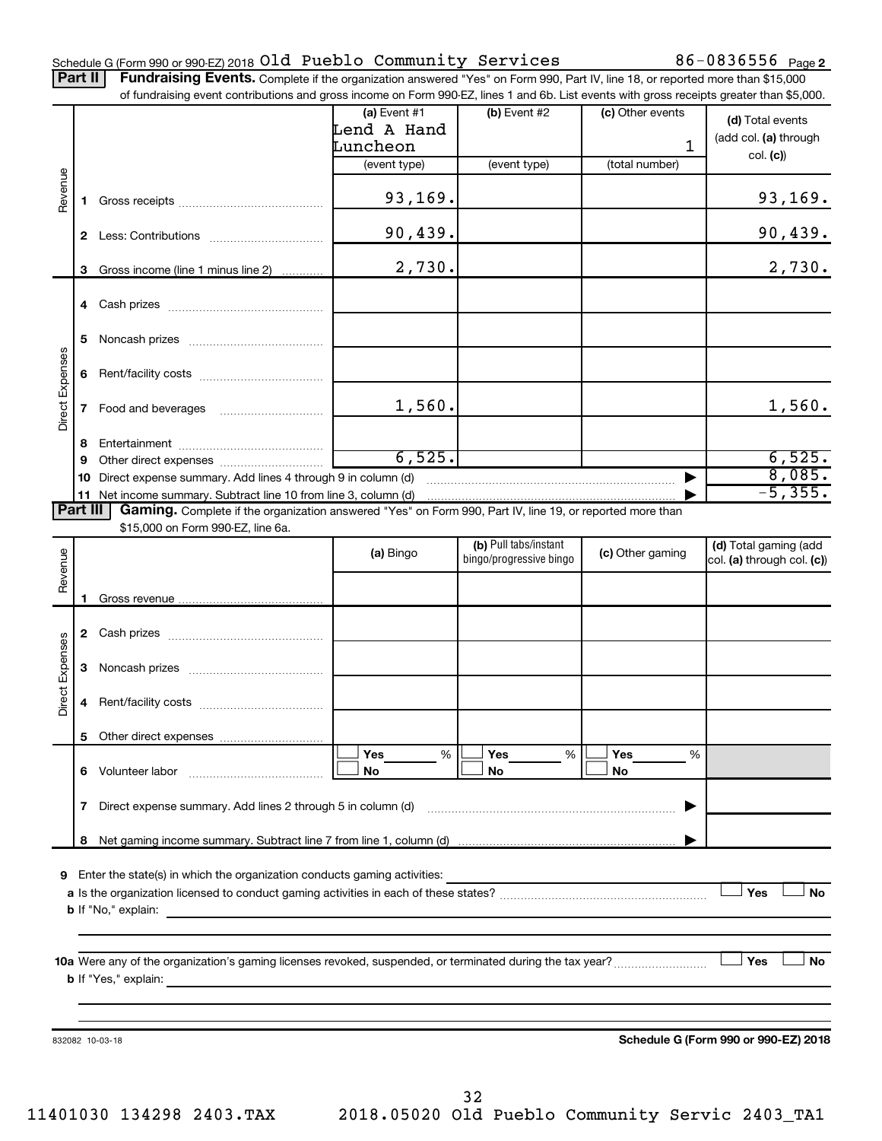### Schedule G (Form 990 or 990-EZ) 2018 UIQ PUEDIO COMMUNITY SETVICES  $80-08365556$  Page Old Pueblo Community Services 86-0836556

86-0836556 Page 2

| Part II   Fundraising Events. Complete if the organization answered "Yes" on Form 990, Part IV, line 18, or reported more than \$15,000   |
|-------------------------------------------------------------------------------------------------------------------------------------------|
| of fundraising event contributions and gross income on Form 990-EZ, lines 1 and 6b. List events with gross receipts greater than \$5,000. |

|                        |              | of fundraising event contributions and gross income on Form 990-EZ, lines T and 6D. List events with gross receipts greater than \$5,000.                                                                                                 |                |                         |                  |                                      |
|------------------------|--------------|-------------------------------------------------------------------------------------------------------------------------------------------------------------------------------------------------------------------------------------------|----------------|-------------------------|------------------|--------------------------------------|
|                        |              |                                                                                                                                                                                                                                           | (a) Event $#1$ | $(b)$ Event #2          | (c) Other events | (d) Total events                     |
|                        |              |                                                                                                                                                                                                                                           | Lend A Hand    |                         |                  |                                      |
|                        |              |                                                                                                                                                                                                                                           | Luncheon       |                         | 1                | (add col. (a) through                |
|                        |              |                                                                                                                                                                                                                                           | (event type)   | (event type)            | (total number)   | col. (c)                             |
| Revenue                |              |                                                                                                                                                                                                                                           |                |                         |                  |                                      |
|                        | 1.           |                                                                                                                                                                                                                                           | 93, 169.       |                         |                  | 93, 169.                             |
|                        |              |                                                                                                                                                                                                                                           |                |                         |                  |                                      |
|                        |              |                                                                                                                                                                                                                                           | 90,439.        |                         |                  | 90,439.                              |
|                        |              |                                                                                                                                                                                                                                           |                |                         |                  |                                      |
|                        |              | Gross income (line 1 minus line 2)                                                                                                                                                                                                        | 2,730.         |                         |                  | 2,730.                               |
|                        | 3            |                                                                                                                                                                                                                                           |                |                         |                  |                                      |
|                        |              |                                                                                                                                                                                                                                           |                |                         |                  |                                      |
|                        |              |                                                                                                                                                                                                                                           |                |                         |                  |                                      |
|                        |              |                                                                                                                                                                                                                                           |                |                         |                  |                                      |
|                        | 5            |                                                                                                                                                                                                                                           |                |                         |                  |                                      |
|                        |              |                                                                                                                                                                                                                                           |                |                         |                  |                                      |
| Direct Expenses        | 6            |                                                                                                                                                                                                                                           |                |                         |                  |                                      |
|                        |              |                                                                                                                                                                                                                                           |                |                         |                  |                                      |
|                        | $\mathbf{7}$ |                                                                                                                                                                                                                                           | 1,560.         |                         |                  | 1,560.                               |
|                        |              |                                                                                                                                                                                                                                           |                |                         |                  |                                      |
|                        | 8            |                                                                                                                                                                                                                                           |                |                         |                  |                                      |
|                        | 9            |                                                                                                                                                                                                                                           | 6,525.         |                         |                  | 6,525.                               |
|                        |              | 10 Direct expense summary. Add lines 4 through 9 in column (d)                                                                                                                                                                            |                |                         |                  | 8,085.                               |
|                        |              |                                                                                                                                                                                                                                           |                |                         |                  | $-5, 355.$                           |
| Part III               |              | Gaming. Complete if the organization answered "Yes" on Form 990, Part IV, line 19, or reported more than                                                                                                                                  |                |                         |                  |                                      |
|                        |              | \$15,000 on Form 990-EZ, line 6a.                                                                                                                                                                                                         |                |                         |                  |                                      |
|                        |              |                                                                                                                                                                                                                                           | (a) Bingo      | (b) Pull tabs/instant   | (c) Other gaming | (d) Total gaming (add                |
|                        |              |                                                                                                                                                                                                                                           |                | bingo/progressive bingo |                  | col. (a) through col. (c))           |
| Revenue                |              |                                                                                                                                                                                                                                           |                |                         |                  |                                      |
|                        | 1.           |                                                                                                                                                                                                                                           |                |                         |                  |                                      |
|                        |              |                                                                                                                                                                                                                                           |                |                         |                  |                                      |
|                        |              |                                                                                                                                                                                                                                           |                |                         |                  |                                      |
|                        |              |                                                                                                                                                                                                                                           |                |                         |                  |                                      |
| <b>Direct Expenses</b> | 3            |                                                                                                                                                                                                                                           |                |                         |                  |                                      |
|                        |              |                                                                                                                                                                                                                                           |                |                         |                  |                                      |
|                        | 4            |                                                                                                                                                                                                                                           |                |                         |                  |                                      |
|                        |              |                                                                                                                                                                                                                                           |                |                         |                  |                                      |
|                        |              |                                                                                                                                                                                                                                           |                |                         |                  |                                      |
|                        |              |                                                                                                                                                                                                                                           | Yes<br>%       | Yes<br>%                | Yes<br>%         |                                      |
|                        |              |                                                                                                                                                                                                                                           | No             | No                      | No               |                                      |
|                        |              |                                                                                                                                                                                                                                           |                |                         |                  |                                      |
|                        | 7            | Direct expense summary. Add lines 2 through 5 in column (d)                                                                                                                                                                               |                |                         |                  |                                      |
|                        |              |                                                                                                                                                                                                                                           |                |                         |                  |                                      |
|                        |              |                                                                                                                                                                                                                                           |                |                         |                  |                                      |
|                        |              |                                                                                                                                                                                                                                           |                |                         |                  |                                      |
|                        |              | 9 Enter the state(s) in which the organization conducts gaming activities:                                                                                                                                                                |                |                         |                  |                                      |
|                        |              |                                                                                                                                                                                                                                           |                |                         |                  | Yes<br>No                            |
|                        |              |                                                                                                                                                                                                                                           |                |                         |                  |                                      |
|                        |              |                                                                                                                                                                                                                                           |                |                         |                  |                                      |
|                        |              |                                                                                                                                                                                                                                           |                |                         |                  |                                      |
|                        |              |                                                                                                                                                                                                                                           |                |                         |                  | Yes<br>No                            |
|                        |              |                                                                                                                                                                                                                                           |                |                         |                  |                                      |
|                        |              |                                                                                                                                                                                                                                           |                |                         |                  |                                      |
|                        |              | <b>b</b> If "Yes," explain: <u>And a set of the set of the set of the set of the set of the set of the set of the set of the set of the set of the set of the set of the set of the set of the set of the set of the set of the set o</u> |                |                         |                  |                                      |
|                        |              |                                                                                                                                                                                                                                           |                |                         |                  |                                      |
|                        |              |                                                                                                                                                                                                                                           |                |                         |                  |                                      |
|                        |              | 832082 10-03-18                                                                                                                                                                                                                           |                |                         |                  | Schedule G (Form 990 or 990-EZ) 2018 |
|                        |              |                                                                                                                                                                                                                                           |                |                         |                  |                                      |

32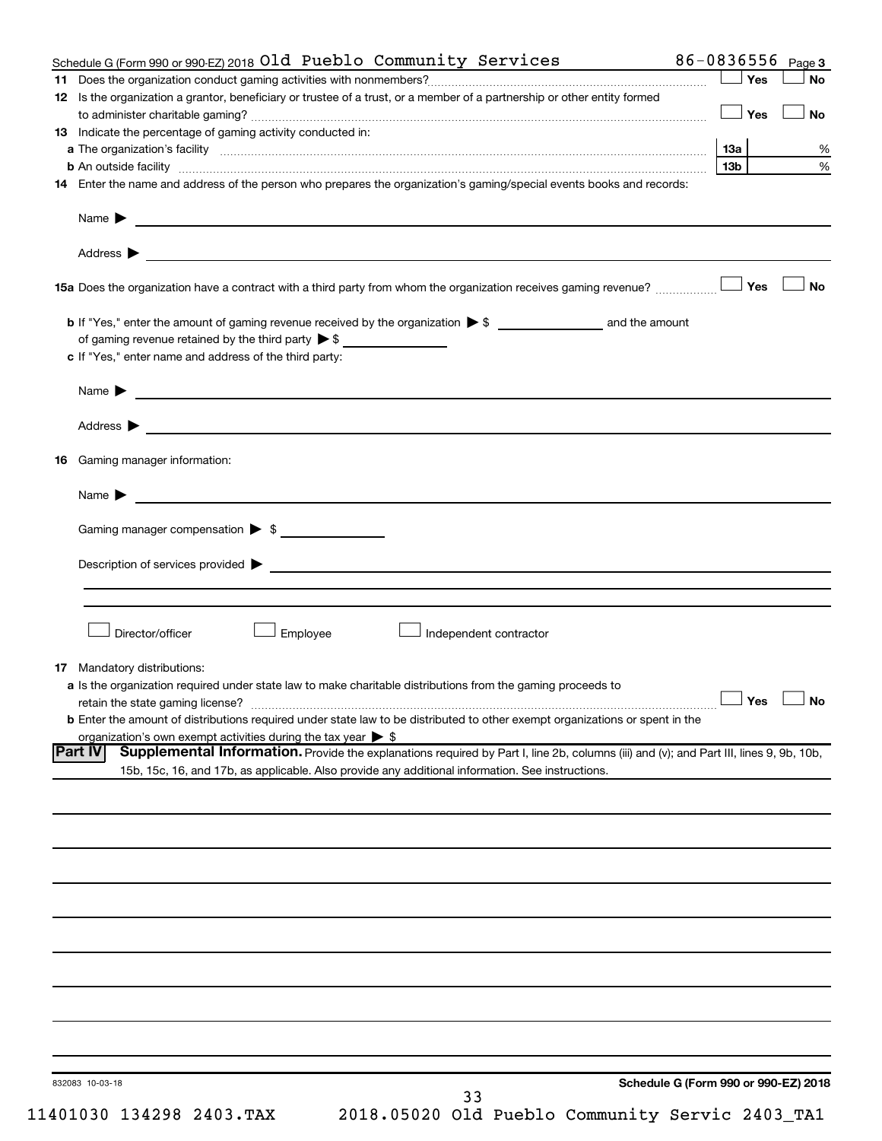|    | Schedule G (Form 990 or 990-EZ) 2018 Old Pueblo Community Services                                                                                       | 86-0836556      | Page 3               |
|----|----------------------------------------------------------------------------------------------------------------------------------------------------------|-----------------|----------------------|
|    |                                                                                                                                                          | ∣ Yes           | <b>No</b>            |
|    | 12 Is the organization a grantor, beneficiary or trustee of a trust, or a member of a partnership or other entity formed                                 |                 |                      |
|    |                                                                                                                                                          | Yes             | <b>No</b>            |
|    | 13 Indicate the percentage of gaming activity conducted in:                                                                                              |                 |                      |
|    |                                                                                                                                                          | 13а             | %                    |
|    | <b>b</b> An outside facility <i>www.communicality.communicality.communicality www.communicality.communicality.communicality</i>                          | 13 <sub>b</sub> | %                    |
|    | 14 Enter the name and address of the person who prepares the organization's gaming/special events books and records:                                     |                 |                      |
|    | Name $\blacktriangleright$<br><u> 1989 - Johann Barn, fransk politik formuler (d. 1989)</u>                                                              |                 |                      |
|    |                                                                                                                                                          |                 |                      |
|    |                                                                                                                                                          |                 | <b>No</b>            |
|    |                                                                                                                                                          |                 |                      |
|    |                                                                                                                                                          |                 |                      |
|    | c If "Yes," enter name and address of the third party:                                                                                                   |                 |                      |
|    | <u>and the contract of the contract of the contract of the contract of the contract of the contract of the contract of</u><br>Name $\blacktriangleright$ |                 |                      |
|    |                                                                                                                                                          |                 |                      |
| 16 | Gaming manager information:                                                                                                                              |                 |                      |
|    |                                                                                                                                                          |                 |                      |
|    | <u> 1989 - Johann Barbara, martin da basar a shekara 1989 - An tsaran a shekara 1989 - An tsara 1989 - An tsara</u><br>Name $\blacktriangleright$        |                 |                      |
|    | Gaming manager compensation > \$                                                                                                                         |                 |                      |
|    |                                                                                                                                                          |                 |                      |
|    |                                                                                                                                                          |                 |                      |
|    |                                                                                                                                                          |                 |                      |
|    | Director/officer<br>Employee<br>Independent contractor                                                                                                   |                 |                      |
|    |                                                                                                                                                          |                 |                      |
|    | <b>17</b> Mandatory distributions:                                                                                                                       |                 |                      |
|    | a Is the organization required under state law to make charitable distributions from the gaming proceeds to                                              |                 |                      |
|    | retain the state gaming license?                                                                                                                         |                 | $\Box$ Yes $\Box$ No |
|    | <b>b</b> Enter the amount of distributions required under state law to be distributed to other exempt organizations or spent in the                      |                 |                      |
|    | organization's own exempt activities during the tax year $\triangleright$ \$                                                                             |                 |                      |
|    | <b>Part IV</b><br>Supplemental Information. Provide the explanations required by Part I, line 2b, columns (iii) and (v); and Part III, lines 9, 9b, 10b, |                 |                      |
|    | 15b, 15c, 16, and 17b, as applicable. Also provide any additional information. See instructions.                                                         |                 |                      |
|    |                                                                                                                                                          |                 |                      |
|    |                                                                                                                                                          |                 |                      |
|    |                                                                                                                                                          |                 |                      |
|    |                                                                                                                                                          |                 |                      |
|    |                                                                                                                                                          |                 |                      |
|    |                                                                                                                                                          |                 |                      |
|    |                                                                                                                                                          |                 |                      |
|    |                                                                                                                                                          |                 |                      |
|    |                                                                                                                                                          |                 |                      |
|    |                                                                                                                                                          |                 |                      |
|    |                                                                                                                                                          |                 |                      |
|    |                                                                                                                                                          |                 |                      |
|    |                                                                                                                                                          |                 |                      |
|    |                                                                                                                                                          |                 |                      |
|    |                                                                                                                                                          |                 |                      |
|    | Schedule G (Form 990 or 990-EZ) 2018<br>832083 10-03-18<br>33                                                                                            |                 |                      |
|    |                                                                                                                                                          |                 |                      |

11401030 134298 2403.TAX 2018.05020 Old Pueblo Community Servic 2403\_TA1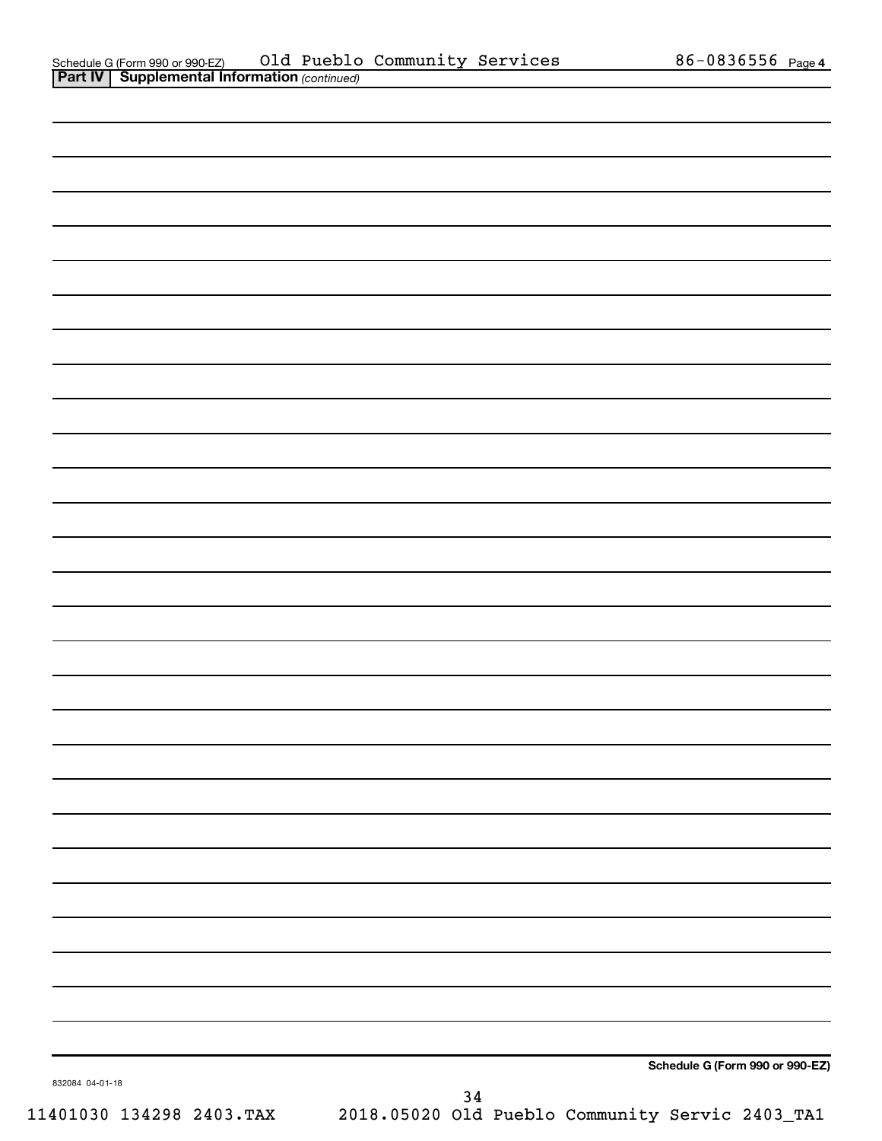| . .             | $\overline{\phantom{a}}$ |    |                                 |
|-----------------|--------------------------|----|---------------------------------|
|                 |                          |    |                                 |
|                 |                          |    |                                 |
|                 |                          |    |                                 |
|                 |                          |    |                                 |
|                 |                          |    |                                 |
|                 |                          |    |                                 |
|                 |                          |    |                                 |
|                 |                          |    |                                 |
|                 |                          |    |                                 |
|                 |                          |    |                                 |
|                 |                          |    |                                 |
|                 |                          |    |                                 |
|                 |                          |    |                                 |
|                 |                          |    |                                 |
|                 |                          |    |                                 |
|                 |                          |    |                                 |
|                 |                          |    |                                 |
|                 |                          |    |                                 |
|                 |                          |    |                                 |
|                 |                          |    |                                 |
|                 |                          |    |                                 |
|                 |                          |    |                                 |
|                 |                          |    |                                 |
|                 |                          |    |                                 |
|                 |                          |    |                                 |
|                 |                          |    |                                 |
|                 |                          |    |                                 |
|                 |                          |    |                                 |
|                 |                          |    |                                 |
|                 |                          |    |                                 |
|                 |                          |    |                                 |
|                 |                          |    |                                 |
| 832084 04-01-18 |                          |    | Schedule G (Form 990 or 990-EZ) |
|                 |                          | 34 |                                 |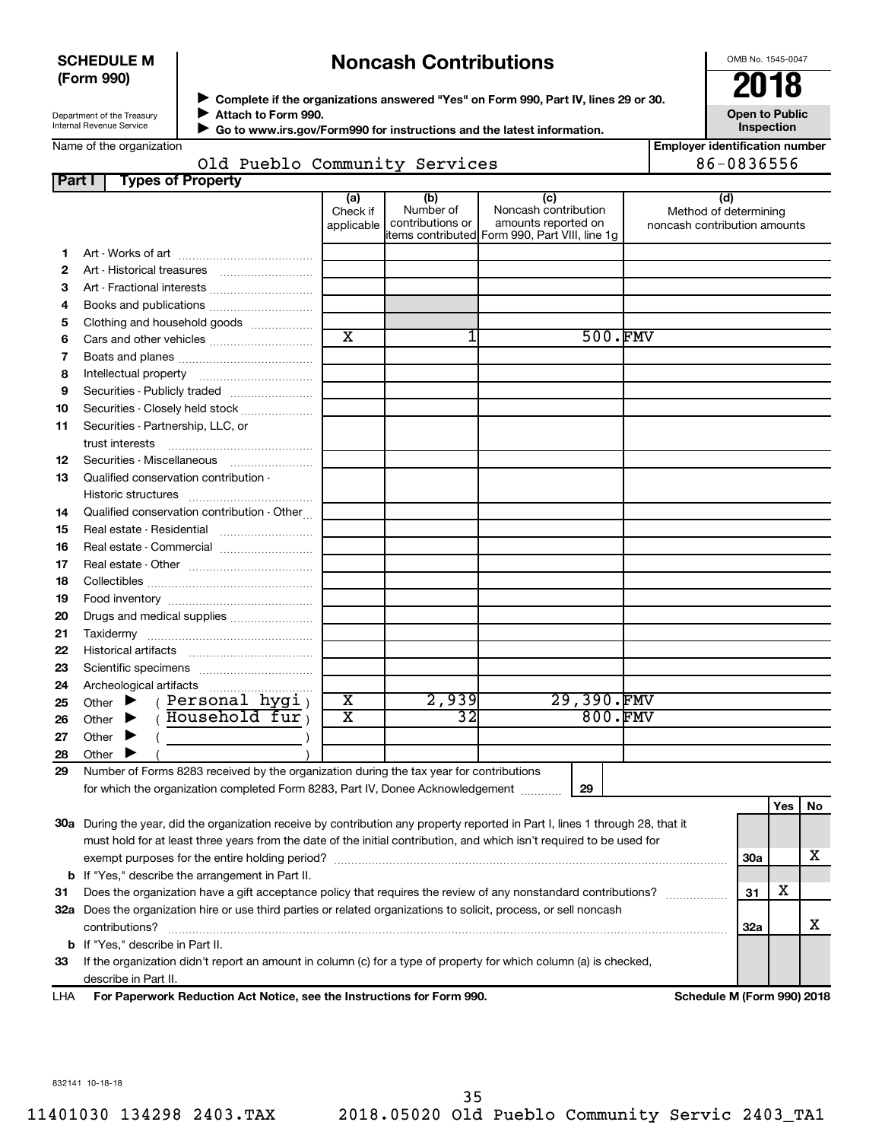### **SCHEDULE M (Form 990)**

# **Noncash Contributions**

OMB No. 1545-0047

| Department of the Treasury |
|----------------------------|
| Internal Revenue Service   |

◆ Complete if the organizations answered "Yes" on Form 990, Part IV, lines 29 or 30.<br>▶ Complete if the organizations answered "Yes" on Form 990, Part IV, lines 29 or 30. **Attach to Form 990.**  $\blacktriangleright$ 

 **Go to www.irs.gov/Form990 for instructions and the latest information.** J

**Inspection Employer identification number** 86-0836556

**Open to Public**

| Name of the organization |  |                               |  |
|--------------------------|--|-------------------------------|--|
|                          |  | Old Pueblo Community Services |  |

| Part I | <b>Types of Property</b>                                                                                                       |                               |                                      |                                                                                                      |                                                              |            |     |    |
|--------|--------------------------------------------------------------------------------------------------------------------------------|-------------------------------|--------------------------------------|------------------------------------------------------------------------------------------------------|--------------------------------------------------------------|------------|-----|----|
|        |                                                                                                                                | (a)<br>Check if<br>applicable | (b)<br>Number of<br>contributions or | (c)<br>Noncash contribution<br>amounts reported on<br>items contributed Form 990, Part VIII, line 1g | (d)<br>Method of determining<br>noncash contribution amounts |            |     |    |
| 1.     |                                                                                                                                |                               |                                      |                                                                                                      |                                                              |            |     |    |
| 2      |                                                                                                                                |                               |                                      |                                                                                                      |                                                              |            |     |    |
| З      | Art - Fractional interests                                                                                                     |                               |                                      |                                                                                                      |                                                              |            |     |    |
| 4      |                                                                                                                                |                               |                                      |                                                                                                      |                                                              |            |     |    |
| 5      | Clothing and household goods                                                                                                   |                               |                                      |                                                                                                      |                                                              |            |     |    |
| 6      |                                                                                                                                | $\overline{\text{x}}$         | 1                                    | 500.FMV                                                                                              |                                                              |            |     |    |
| 7      |                                                                                                                                |                               |                                      |                                                                                                      |                                                              |            |     |    |
| 8      |                                                                                                                                |                               |                                      |                                                                                                      |                                                              |            |     |    |
| 9      | Securities - Publicly traded                                                                                                   |                               |                                      |                                                                                                      |                                                              |            |     |    |
| 10     | Securities - Closely held stock                                                                                                |                               |                                      |                                                                                                      |                                                              |            |     |    |
| 11     | Securities - Partnership, LLC, or<br>trust interests                                                                           |                               |                                      |                                                                                                      |                                                              |            |     |    |
| 12     |                                                                                                                                |                               |                                      |                                                                                                      |                                                              |            |     |    |
| 13     | Qualified conservation contribution -                                                                                          |                               |                                      |                                                                                                      |                                                              |            |     |    |
|        |                                                                                                                                |                               |                                      |                                                                                                      |                                                              |            |     |    |
| 14     | Qualified conservation contribution - Other                                                                                    |                               |                                      |                                                                                                      |                                                              |            |     |    |
| 15     | Real estate - Residential                                                                                                      |                               |                                      |                                                                                                      |                                                              |            |     |    |
| 16     | Real estate - Commercial                                                                                                       |                               |                                      |                                                                                                      |                                                              |            |     |    |
| 17     |                                                                                                                                |                               |                                      |                                                                                                      |                                                              |            |     |    |
| 18     |                                                                                                                                |                               |                                      |                                                                                                      |                                                              |            |     |    |
| 19     |                                                                                                                                |                               |                                      |                                                                                                      |                                                              |            |     |    |
| 20     | Drugs and medical supplies                                                                                                     |                               |                                      |                                                                                                      |                                                              |            |     |    |
| 21     |                                                                                                                                |                               |                                      |                                                                                                      |                                                              |            |     |    |
| 22     |                                                                                                                                |                               |                                      |                                                                                                      |                                                              |            |     |    |
| 23     |                                                                                                                                |                               |                                      |                                                                                                      |                                                              |            |     |    |
| 24     | Archeological artifacts                                                                                                        |                               |                                      |                                                                                                      |                                                              |            |     |    |
| 25     | (Personal hygi)<br>Other $\blacktriangleright$                                                                                 | $\overline{\textbf{x}}$       | 2,939                                | 29,390.FMV                                                                                           |                                                              |            |     |    |
| 26     | $($ Household fur<br>Other $\blacktriangleright$                                                                               | х                             | $\overline{32}$                      | 800.FMV                                                                                              |                                                              |            |     |    |
| 27     | Other $\blacktriangleright$                                                                                                    |                               |                                      |                                                                                                      |                                                              |            |     |    |
| 28     | Other $\blacktriangleright$                                                                                                    |                               |                                      |                                                                                                      |                                                              |            |     |    |
| 29     | Number of Forms 8283 received by the organization during the tax year for contributions                                        |                               |                                      |                                                                                                      |                                                              |            |     |    |
|        | for which the organization completed Form 8283, Part IV, Donee Acknowledgement                                                 |                               |                                      | 29                                                                                                   |                                                              |            |     |    |
|        |                                                                                                                                |                               |                                      |                                                                                                      |                                                              |            | Yes | No |
|        | 30a During the year, did the organization receive by contribution any property reported in Part I, lines 1 through 28, that it |                               |                                      |                                                                                                      |                                                              |            |     |    |
|        | must hold for at least three years from the date of the initial contribution, and which isn't required to be used for          |                               |                                      |                                                                                                      |                                                              |            |     |    |
|        | exempt purposes for the entire holding period?                                                                                 |                               |                                      |                                                                                                      |                                                              | <b>30a</b> |     | x  |
| b      | If "Yes," describe the arrangement in Part II.                                                                                 |                               |                                      |                                                                                                      |                                                              |            |     |    |
| 31     | Does the organization have a gift acceptance policy that requires the review of any nonstandard contributions?                 |                               |                                      |                                                                                                      |                                                              | 31         | х   |    |
|        | 32a Does the organization hire or use third parties or related organizations to solicit, process, or sell noncash              |                               |                                      |                                                                                                      |                                                              |            |     |    |
|        | contributions?                                                                                                                 |                               |                                      |                                                                                                      |                                                              | 32a        |     | х  |
| b      | If "Yes," describe in Part II.                                                                                                 |                               |                                      |                                                                                                      |                                                              |            |     |    |
| 33     | If the organization didn't report an amount in column (c) for a type of property for which column (a) is checked,              |                               |                                      |                                                                                                      |                                                              |            |     |    |
|        | describe in Part II.                                                                                                           |                               |                                      |                                                                                                      |                                                              |            |     |    |

**For Paperwork Reduction Act Notice, see the Instructions for Form 990. Schedule M (Form 990) 2018** LHA

832141 10-18-18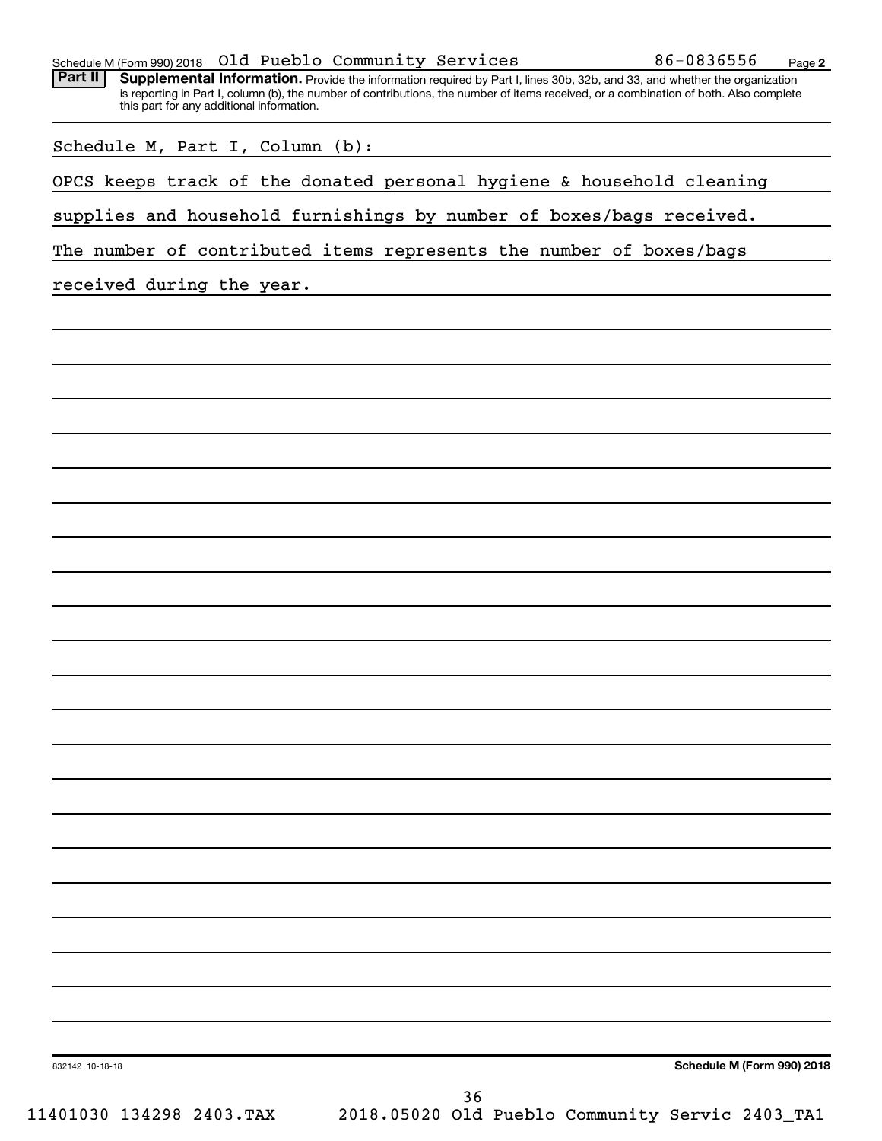Part II | Supplemental Information. Provide the information required by Part I, lines 30b, 32b, and 33, and whether the organization is reporting in Part I, column (b), the number of contributions, the number of items received, or a combination of both. Also complete this part for any additional information.

| Schedule M, Part I, Column (b): |  |  |  |  |  |  |
|---------------------------------|--|--|--|--|--|--|
|---------------------------------|--|--|--|--|--|--|

OPCS keeps track of the donated personal hygiene & household cleaning

supplies and household furnishings by number of boxes/bags received.

The number of contributed items represents the number of boxes/bags

received during the year.

832142 10-18-18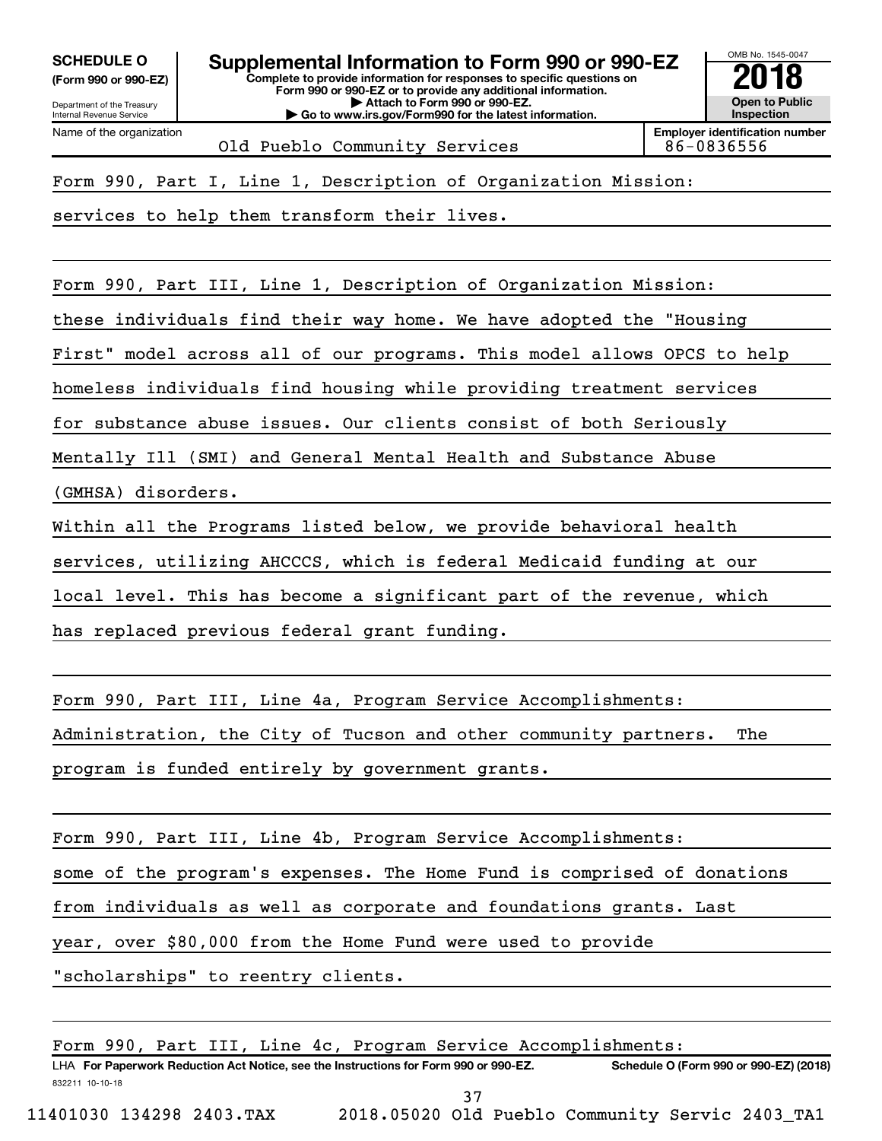**(Form 990 or 990-EZ)**

**Complete to provide information for responses to specific questions on Form 990 or 990-EZ or to provide any additional information. | Attach to Form 990 or 990-EZ. | Go to www.irs.gov/Form990 for the latest information.** SCHEDULE O **Supplemental Information to Form 990 or 990-EZ** 2018 No. 1545-004<br>(Form 990 or 990-EZ)



Old Pueblo Community Services 186-0836556

Form 990, Part I, Line 1, Description of Organization Mission:

services to help them transform their lives.

Form 990, Part III, Line 1, Description of Organization Mission:

these individuals find their way home. We have adopted the "Housing

First" model across all of our programs. This model allows OPCS to help

homeless individuals find housing while providing treatment services

for substance abuse issues. Our clients consist of both Seriously

Mentally Ill (SMI) and General Mental Health and Substance Abuse

(GMHSA) disorders.

Within all the Programs listed below, we provide behavioral health

services, utilizing AHCCCS, which is federal Medicaid funding at our

local level. This has become a significant part of the revenue, which

has replaced previous federal grant funding.

Form 990, Part III, Line 4a, Program Service Accomplishments:

Administration, the City of Tucson and other community partners. The

program is funded entirely by government grants.

Form 990, Part III, Line 4b, Program Service Accomplishments:

some of the program's expenses. The Home Fund is comprised of donations

from individuals as well as corporate and foundations grants. Last

year, over \$80,000 from the Home Fund were used to provide

"scholarships" to reentry clients.

832211 10-10-18 LHA For Paperwork Reduction Act Notice, see the Instructions for Form 990 or 990-EZ. Schedule O (Form 990 or 990-EZ) (2018) Form 990, Part III, Line 4c, Program Service Accomplishments: 37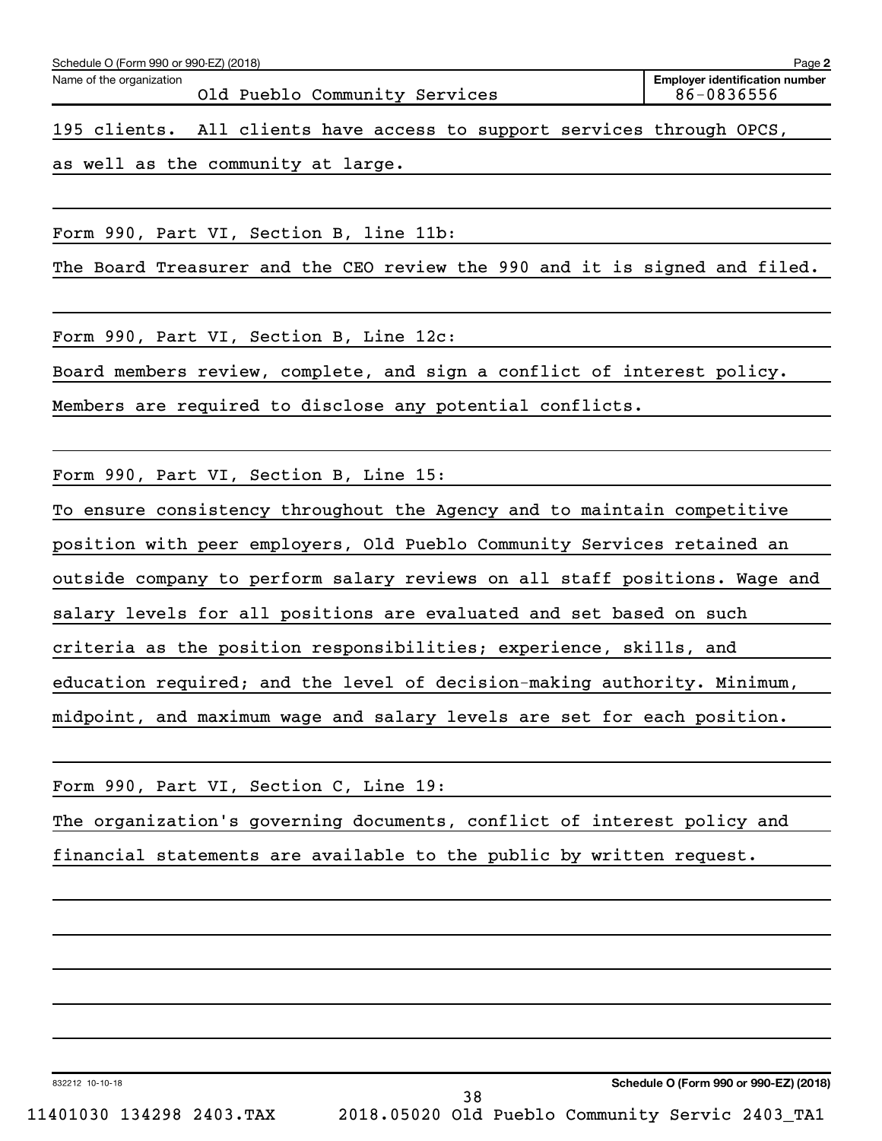195 clients. All clients have access to support services through OPCS,

as well as the community at large.

Form 990, Part VI, Section B, line 11b:

The Board Treasurer and the CEO review the 990 and it is signed and filed.

Form 990, Part VI, Section B, Line 12c:

Board members review, complete, and sign a conflict of interest policy.

Members are required to disclose any potential conflicts.

Form 990, Part VI, Section B, Line 15:

To ensure consistency throughout the Agency and to maintain competitive position with peer employers, Old Pueblo Community Services retained an outside company to perform salary reviews on all staff positions. Wage and salary levels for all positions are evaluated and set based on such criteria as the position responsibilities; experience, skills, and education required; and the level of decision-making authority. Minimum, midpoint, and maximum wage and salary levels are set for each position.

|  |  | Form 990, Part VI, Section C, Line 19: |  |  |  |                                                                         |  |
|--|--|----------------------------------------|--|--|--|-------------------------------------------------------------------------|--|
|  |  |                                        |  |  |  | The organization's governing documents, conflict of interest policy and |  |
|  |  |                                        |  |  |  | financial statements are available to the public by written request.    |  |

38

832212 10-10-18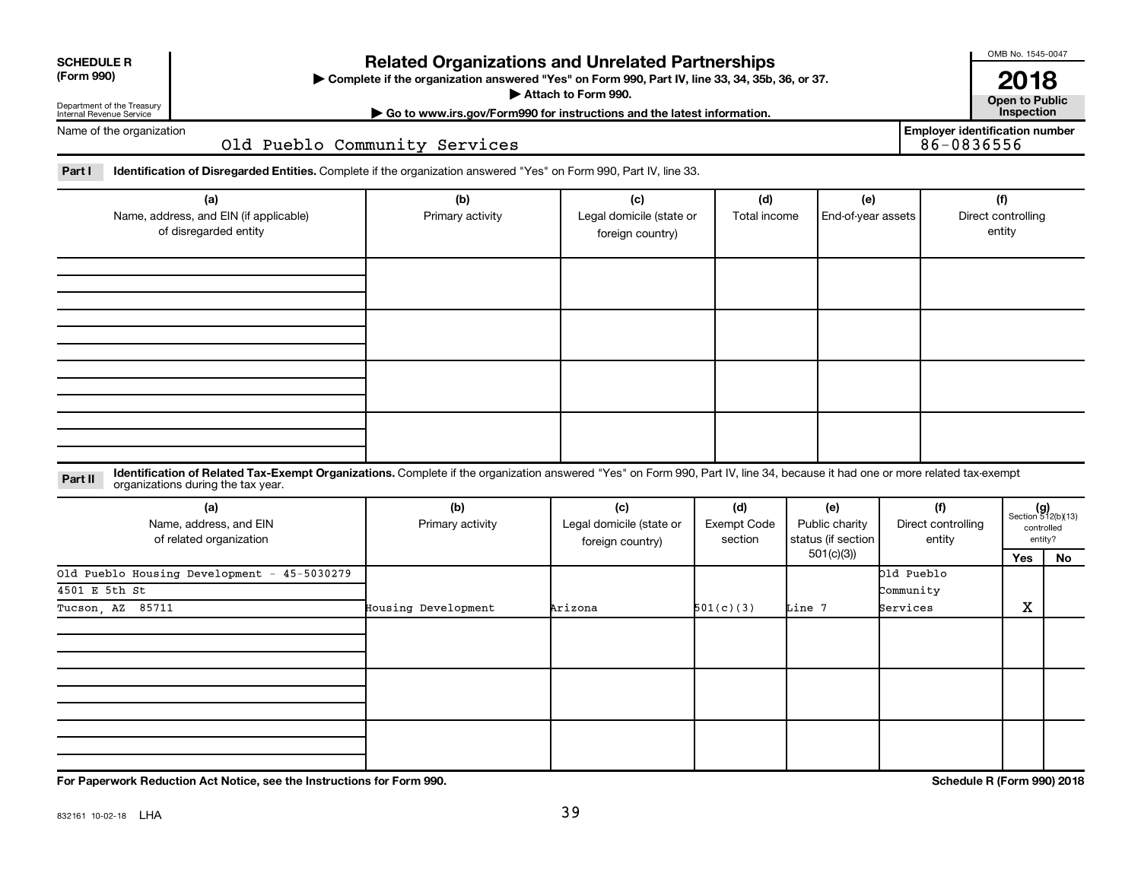| <b>SCHEDULE R</b> |  |
|-------------------|--|
|                   |  |

## Department of the Treasury

Internal Revenue Service

## **Related Organizations and Unrelated Partnerships**

**(Form 990) Complete if the organization answered "Yes" on Form 990, Part IV, line 33, 34, 35b, 36, or 37.** |

**Attach to Form 990. Contract to Public** 

**| Go to www.irs.gov/Form990 for instructions and the latest information. Inspection 2018**<br>Open to Public

**Employer identification number**

OMB No. 1545-0047

Name of the organization

Old Pueblo Community Services

Part I ldentification of Disregarded Entities. Complete if the organization answered "Yes" on Form 990, Part IV, line 33.

| (a)<br>Name, address, and EIN (if applicable)<br>of disregarded entity | (b)<br>Primary activity | (c)<br>Legal domicile (state or<br>foreign country) | (d)<br>Total income | (e)<br>End-of-year assets | (f)<br>Direct controlling<br>entity |
|------------------------------------------------------------------------|-------------------------|-----------------------------------------------------|---------------------|---------------------------|-------------------------------------|
|                                                                        |                         |                                                     |                     |                           |                                     |
|                                                                        |                         |                                                     |                     |                           |                                     |
|                                                                        |                         |                                                     |                     |                           |                                     |
|                                                                        |                         |                                                     |                     |                           |                                     |

**Part II** Identification of Related Tax-Exempt Organizations. Complete if the organization answered "Yes" on Form 990, Part IV, line 34, because it had one or more related tax-exempt<br>Part II acconizations during the tax ye organizations during the tax year.

| (a)<br>Name, address, and EIN<br>of related organization | (b)<br>Primary activity | (c)<br>Legal domicile (state or<br>foreign country) | (d)<br>Exempt Code<br>section | (e)<br>Public charity<br>status (if section | (f)<br>Direct controlling<br>entity |   | $(g)$<br>Section 512(b)(13)<br>controlled<br>entity? |
|----------------------------------------------------------|-------------------------|-----------------------------------------------------|-------------------------------|---------------------------------------------|-------------------------------------|---|------------------------------------------------------|
|                                                          | 501(c)(3))              |                                                     |                               | Yes                                         | No                                  |   |                                                      |
| Old Pueblo Housing Development - 45-5030279              |                         |                                                     |                               |                                             | Old Pueblo                          |   |                                                      |
| 4501 E 5th St                                            |                         |                                                     |                               |                                             | Community                           |   |                                                      |
| Tucson, AZ 85711                                         | Housing Development     | Arizona                                             | 501(c)(3)                     | Line 7                                      | Services                            | х |                                                      |
|                                                          |                         |                                                     |                               |                                             |                                     |   |                                                      |
|                                                          |                         |                                                     |                               |                                             |                                     |   |                                                      |
|                                                          |                         |                                                     |                               |                                             |                                     |   |                                                      |

**For Paperwork Reduction Act Notice, see the Instructions for Form 990. Schedule R (Form 990) 2018**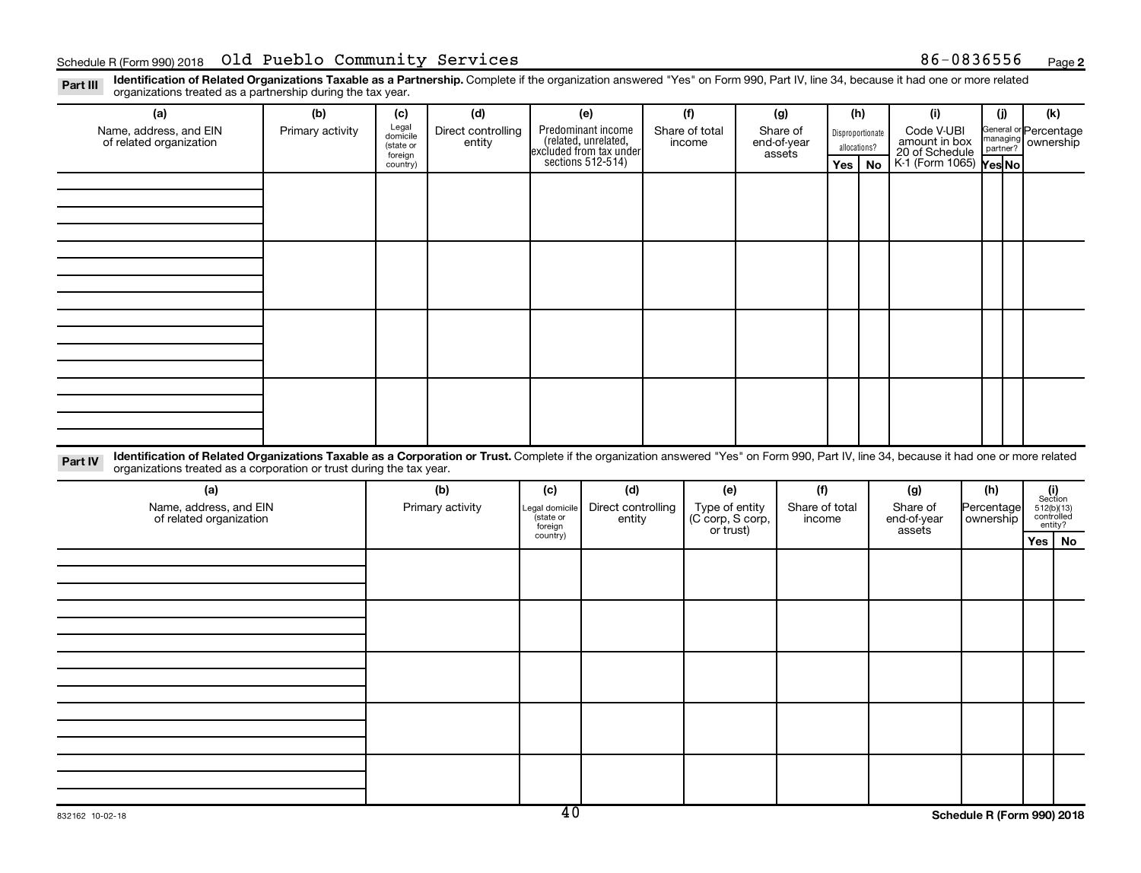Part III Identification of Related Organizations Taxable as a Partnership. Complete if the organization answered "Yes" on Form 990, Part IV, line 34, because it had one or more related<br>Read to the organizations tracted as organizations treated as a partnership during the tax year.

| (a)                                                                                                                                                                                                                                                                         | (b)              | (c)                                       | (d)                          |                      | (e)                                                                                        | (f)                           | (g)                               | (h)                              |           | (i)                                           | (i)                                                     | (k)            |         |
|-----------------------------------------------------------------------------------------------------------------------------------------------------------------------------------------------------------------------------------------------------------------------------|------------------|-------------------------------------------|------------------------------|----------------------|--------------------------------------------------------------------------------------------|-------------------------------|-----------------------------------|----------------------------------|-----------|-----------------------------------------------|---------------------------------------------------------|----------------|---------|
| Name, address, and EIN<br>of related organization                                                                                                                                                                                                                           | Primary activity | Legal<br>domicile<br>(state or<br>foreign | Direct controlling<br>entity |                      | Predominant income<br>(related, unrelated,<br>excluded from tax under<br>sections 512-514) | Share of total<br>income      | Share of<br>end-of-year<br>assets | Disproportionate<br>allocations? |           | Code V-UBI<br>amount in box<br>20 of Schedule | General or Percentage<br>managing<br>partner? ownership |                |         |
|                                                                                                                                                                                                                                                                             |                  | country)                                  |                              |                      |                                                                                            |                               |                                   | Yes                              | <b>No</b> | K-1 (Form 1065) Yes No                        |                                                         |                |         |
|                                                                                                                                                                                                                                                                             |                  |                                           |                              |                      |                                                                                            |                               |                                   |                                  |           |                                               |                                                         |                |         |
|                                                                                                                                                                                                                                                                             |                  |                                           |                              |                      |                                                                                            |                               |                                   |                                  |           |                                               |                                                         |                |         |
|                                                                                                                                                                                                                                                                             |                  |                                           |                              |                      |                                                                                            |                               |                                   |                                  |           |                                               |                                                         |                |         |
|                                                                                                                                                                                                                                                                             |                  |                                           |                              |                      |                                                                                            |                               |                                   |                                  |           |                                               |                                                         |                |         |
|                                                                                                                                                                                                                                                                             |                  |                                           |                              |                      |                                                                                            |                               |                                   |                                  |           |                                               |                                                         |                |         |
|                                                                                                                                                                                                                                                                             |                  |                                           |                              |                      |                                                                                            |                               |                                   |                                  |           |                                               |                                                         |                |         |
|                                                                                                                                                                                                                                                                             |                  |                                           |                              |                      |                                                                                            |                               |                                   |                                  |           |                                               |                                                         |                |         |
|                                                                                                                                                                                                                                                                             |                  |                                           |                              |                      |                                                                                            |                               |                                   |                                  |           |                                               |                                                         |                |         |
|                                                                                                                                                                                                                                                                             |                  |                                           |                              |                      |                                                                                            |                               |                                   |                                  |           |                                               |                                                         |                |         |
|                                                                                                                                                                                                                                                                             |                  |                                           |                              |                      |                                                                                            |                               |                                   |                                  |           |                                               |                                                         |                |         |
|                                                                                                                                                                                                                                                                             |                  |                                           |                              |                      |                                                                                            |                               |                                   |                                  |           |                                               |                                                         |                |         |
|                                                                                                                                                                                                                                                                             |                  |                                           |                              |                      |                                                                                            |                               |                                   |                                  |           |                                               |                                                         |                |         |
|                                                                                                                                                                                                                                                                             |                  |                                           |                              |                      |                                                                                            |                               |                                   |                                  |           |                                               |                                                         |                |         |
|                                                                                                                                                                                                                                                                             |                  |                                           |                              |                      |                                                                                            |                               |                                   |                                  |           |                                               |                                                         |                |         |
|                                                                                                                                                                                                                                                                             |                  |                                           |                              |                      |                                                                                            |                               |                                   |                                  |           |                                               |                                                         |                |         |
|                                                                                                                                                                                                                                                                             |                  |                                           |                              |                      |                                                                                            |                               |                                   |                                  |           |                                               |                                                         |                |         |
| Identification of Related Organizations Taxable as a Corporation or Trust. Complete if the organization answered "Yes" on Form 990, Part IV, line 34, because it had one or more related<br>Part IV<br>organizations treated as a corporation or trust during the tax year. |                  |                                           |                              |                      |                                                                                            |                               |                                   |                                  |           |                                               |                                                         |                |         |
| (a)                                                                                                                                                                                                                                                                         |                  |                                           | (b)                          | (c)                  | (d)                                                                                        | (e)                           | (f)                               |                                  |           | (g)                                           | (h)                                                     | (i)<br>Section |         |
| Name, address, and EIN                                                                                                                                                                                                                                                      |                  |                                           | Primary activity             | Legal domicile       | Direct controlling                                                                         | Type of entity                | Share of total                    |                                  |           | Share of                                      | Percentage                                              | 512(b)(13)     |         |
| of related organization                                                                                                                                                                                                                                                     |                  |                                           |                              | (state or<br>foreign | entity                                                                                     | (C corp, S corp,<br>or trust) | income                            |                                  |           | end-of-year<br>assets                         | ownership                                               | controlled     | entity? |
|                                                                                                                                                                                                                                                                             |                  |                                           |                              | country)             |                                                                                            |                               |                                   |                                  |           |                                               |                                                         | Yes            | No      |
|                                                                                                                                                                                                                                                                             |                  |                                           |                              |                      |                                                                                            |                               |                                   |                                  |           |                                               |                                                         |                |         |
|                                                                                                                                                                                                                                                                             |                  |                                           |                              |                      |                                                                                            |                               |                                   |                                  |           |                                               |                                                         |                |         |
|                                                                                                                                                                                                                                                                             |                  |                                           |                              |                      |                                                                                            |                               |                                   |                                  |           |                                               |                                                         |                |         |
|                                                                                                                                                                                                                                                                             |                  |                                           |                              |                      |                                                                                            |                               |                                   |                                  |           |                                               |                                                         |                |         |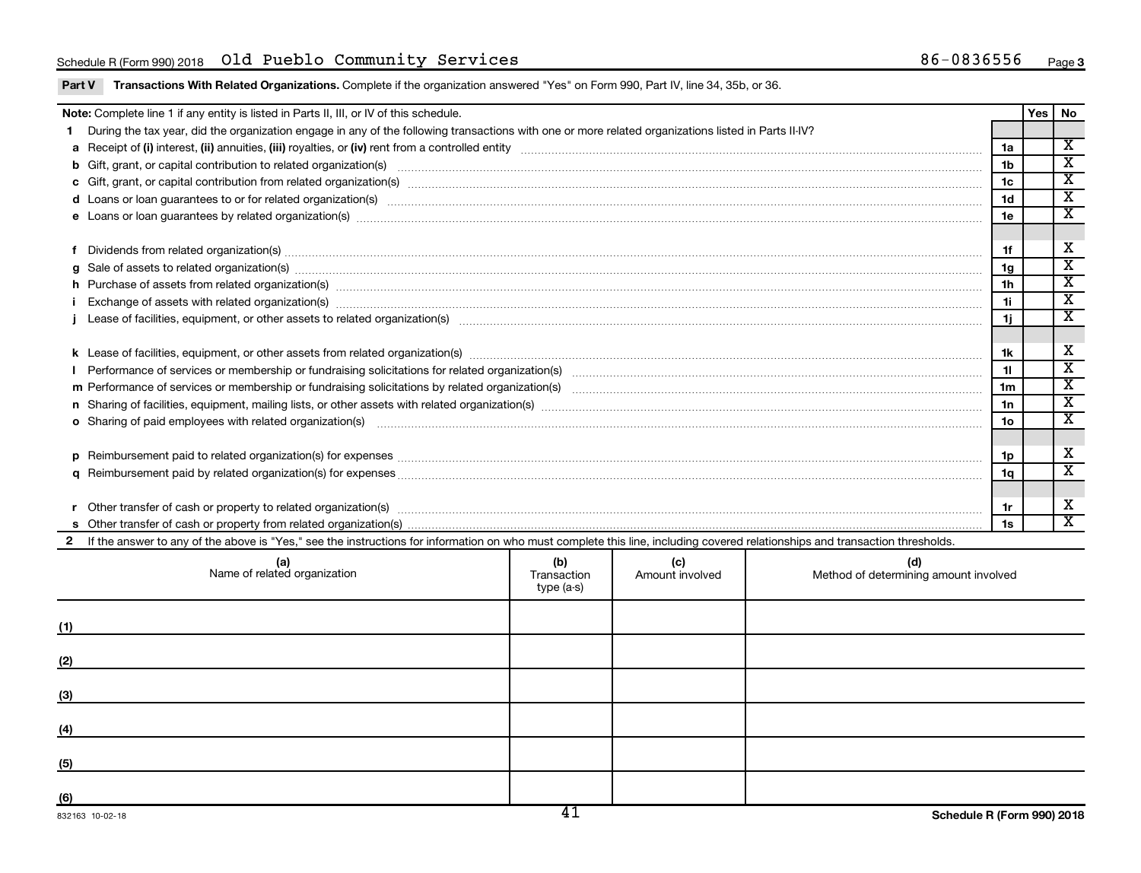| <b>Part V</b> Transactions With Related Organizations. Complete if the organization answered "Yes" on Form 990, Part IV, line 34, 35b, or 36. |  |
|-----------------------------------------------------------------------------------------------------------------------------------------------|--|
|                                                                                                                                               |  |

|   | Note: Complete line 1 if any entity is listed in Parts II, III, or IV of this schedule.                                                                                                                                        |                    |                        |                                              |                | <b>Yes</b> | No                      |
|---|--------------------------------------------------------------------------------------------------------------------------------------------------------------------------------------------------------------------------------|--------------------|------------------------|----------------------------------------------|----------------|------------|-------------------------|
|   | During the tax year, did the organization engage in any of the following transactions with one or more related organizations listed in Parts II-IV?                                                                            |                    |                        |                                              |                |            |                         |
|   |                                                                                                                                                                                                                                |                    |                        |                                              | 1a             |            | $\overline{\mathbf{x}}$ |
|   | b Gift, grant, or capital contribution to related organization(s) manufaction content to content the contribution to related organization(s) manufactured content to content to content of the content of the content of the c |                    |                        |                                              | 1 <sub>b</sub> |            | $\overline{\texttt{x}}$ |
|   |                                                                                                                                                                                                                                |                    |                        |                                              | 1 <sub>c</sub> |            | $\overline{\texttt{x}}$ |
|   | d Loans or loan guarantees to or for related organization(s) www.communities.com/www.communities.com/www.communities.com/www.communities.com/www.communities.com/www.communities.com/www.communities.com/www.communities.com/w |                    |                        |                                              | 1 <sub>d</sub> |            | $\overline{\texttt{x}}$ |
|   | e Loans or loan guarantees by related organization(s) www.assession.com/www.assession.com/www.assession.com/www.assession.com/www.assession.com/www.assession.com/www.assession.com/www.assession.com/www.assession.com/www.as |                    |                        |                                              | 1e             |            | $\overline{\textbf{x}}$ |
|   |                                                                                                                                                                                                                                |                    |                        |                                              |                |            |                         |
|   | Dividends from related organization(s) manufactured and contract and contract or produced and contract and contract and contract and contract and contract and contract and contract and contract and contract and contract an |                    |                        |                                              | 1f             |            | X                       |
| a | Sale of assets to related organization(s) macrocommunically contained and contained and contained and contained and contained and contained and contained and contained and contained and contained and contained and containe |                    |                        |                                              | 1 <sub>g</sub> |            | $\overline{\texttt{x}}$ |
|   | h Purchase of assets from related organization(s) www.assettion.com/www.assettion.com/www.assettion.com/www.assettion.com/www.assettion.com/www.assettion.com/www.assettion.com/www.assettion.com/www.assettion.com/www.assett |                    |                        |                                              | 1 <sub>h</sub> |            | $\overline{\texttt{x}}$ |
|   | Exchange of assets with related organization(s) macrocommutation material control and a set of the control of the control of the control of the control of the control of the control of the control of the control of the con |                    |                        |                                              | 11             |            | $\overline{\textbf{x}}$ |
|   |                                                                                                                                                                                                                                |                    |                        |                                              | 1j             |            | $\overline{\texttt{x}}$ |
|   |                                                                                                                                                                                                                                |                    |                        |                                              |                |            |                         |
|   |                                                                                                                                                                                                                                |                    |                        |                                              | 1k             |            | X                       |
|   |                                                                                                                                                                                                                                |                    |                        |                                              | 11             |            | $\overline{\texttt{x}}$ |
|   |                                                                                                                                                                                                                                |                    |                        |                                              | 1 <sub>m</sub> |            | $\overline{\texttt{x}}$ |
|   |                                                                                                                                                                                                                                |                    |                        |                                              | 1n             |            | $\overline{\texttt{x}}$ |
|   | <b>o</b> Sharing of paid employees with related organization(s)                                                                                                                                                                |                    |                        |                                              | 1 <sub>o</sub> |            | $\overline{\texttt{x}}$ |
|   |                                                                                                                                                                                                                                |                    |                        |                                              |                |            |                         |
| D | Reimbursement paid to related organization(s) for expenses [111] Research Manuscritics [21] Reimbursement paid to related organization(s) for expenses [11] Manuscritics [21] Manuscritics [21] Manuscritics [21] Manuscritics |                    |                        |                                              | 1p             |            | X                       |
|   |                                                                                                                                                                                                                                |                    |                        |                                              | 1q             |            | $\overline{\mathbf{x}}$ |
|   |                                                                                                                                                                                                                                |                    |                        |                                              |                |            |                         |
|   | Other transfer of cash or property to related organization(s) www.communities.com/www.communities/communities/                                                                                                                 |                    |                        |                                              | 1r             |            | X                       |
|   |                                                                                                                                                                                                                                |                    |                        |                                              |                |            | X                       |
|   | 2 If the answer to any of the above is "Yes," see the instructions for information on who must complete this line, including covered relationships and transaction thresholds.                                                 |                    |                        |                                              |                |            |                         |
|   | (a)<br>Name of related organization                                                                                                                                                                                            | (b)<br>Transaction | (c)<br>Amount involved | (d)<br>Method of determining amount involved |                |            |                         |

|     | (a)<br>Name of related organization | (b)<br>Transaction<br>type (a-s) | (C)<br>Amount involved | (d)<br>Method of determining amount involved |
|-----|-------------------------------------|----------------------------------|------------------------|----------------------------------------------|
| (1) |                                     |                                  |                        |                                              |
| (2) |                                     |                                  |                        |                                              |
| (3) |                                     |                                  |                        |                                              |
| (4) |                                     |                                  |                        |                                              |
| (5) |                                     |                                  |                        |                                              |
| (6) |                                     | $\overline{11}$                  |                        |                                              |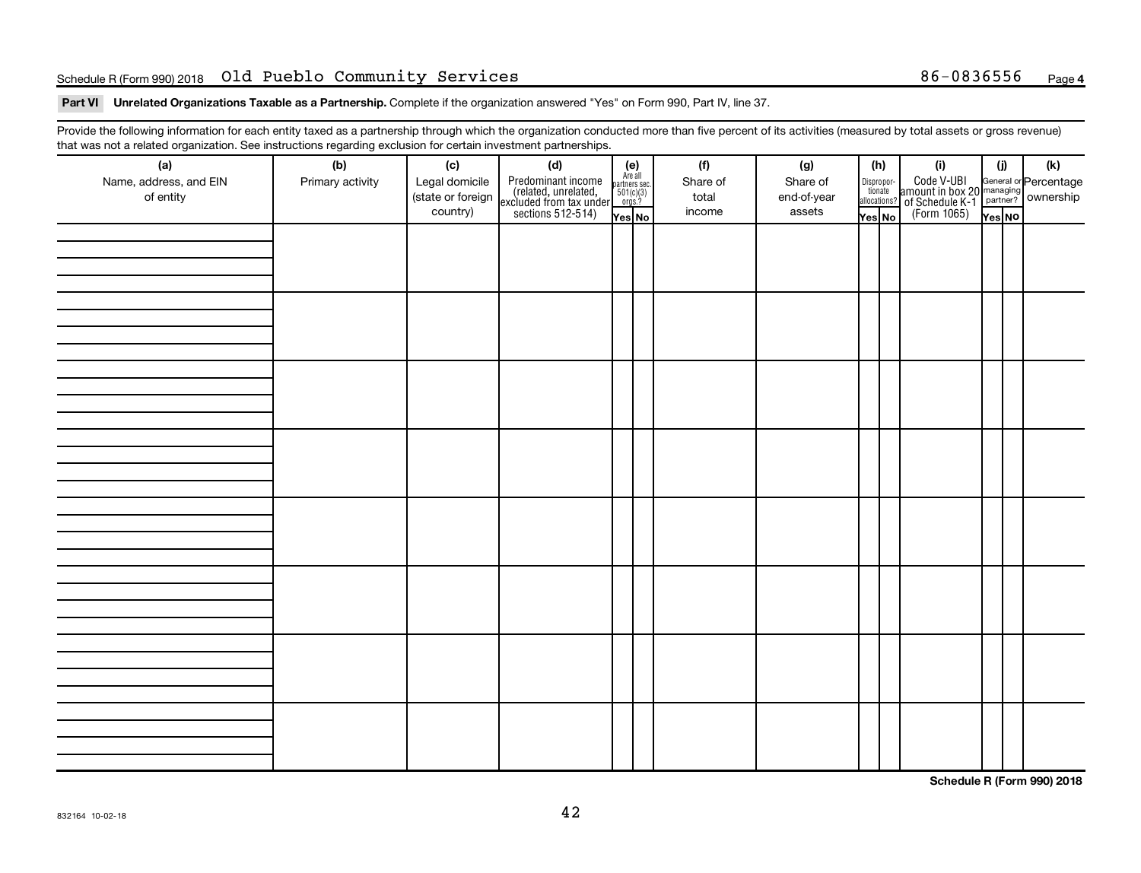### Schedule R (Form 990) 2018 **Old Pueblo Community Services** 86-0836556 <sub>Page</sub>

Part VI Unrelated Organizations Taxable as a Partnership. Complete if the organization answered "Yes" on Form 990, Part IV, line 37.

Provide the following information for each entity taxed as a partnership through which the organization conducted more than five percent of its activities (measured by total assets or gross revenue) that was not a related organization. See instructions regarding exclusion for certain investment partnerships.

| (a)<br>Name, address, and EIN<br>of entity | - - -<br>(b)<br>Primary activity | (c)<br>Legal domicile<br>(state or foreign<br>country) | - - - - <sub>1</sub> - - 1<br>(d)<br>Predominant income<br>(related, unrelated,<br>excluded from tax under<br>sections 512-514) | (e)<br>Are all<br>partners sec.<br>$\frac{501(c)(3)}{0rgs?}$<br>Yes No | (f)<br>Share of<br>total<br>income | (g)<br>Share of<br>end-of-year<br>assets | Dispropor-<br>tionate<br>allocations?<br>Yes No | (h) | (i)<br>Code V-UBI<br>amount in box 20 managing<br>of Schedule K-1<br>(Form 1065)<br>$\overline{Y_{\text{res}}}\overline{NQ}$ | (i)<br>Yes NO | (k) |
|--------------------------------------------|----------------------------------|--------------------------------------------------------|---------------------------------------------------------------------------------------------------------------------------------|------------------------------------------------------------------------|------------------------------------|------------------------------------------|-------------------------------------------------|-----|------------------------------------------------------------------------------------------------------------------------------|---------------|-----|
|                                            |                                  |                                                        |                                                                                                                                 |                                                                        |                                    |                                          |                                                 |     |                                                                                                                              |               |     |
|                                            |                                  |                                                        |                                                                                                                                 |                                                                        |                                    |                                          |                                                 |     |                                                                                                                              |               |     |
|                                            |                                  |                                                        |                                                                                                                                 |                                                                        |                                    |                                          |                                                 |     |                                                                                                                              |               |     |
|                                            |                                  |                                                        |                                                                                                                                 |                                                                        |                                    |                                          |                                                 |     |                                                                                                                              |               |     |
|                                            |                                  |                                                        |                                                                                                                                 |                                                                        |                                    |                                          |                                                 |     |                                                                                                                              |               |     |
|                                            |                                  |                                                        |                                                                                                                                 |                                                                        |                                    |                                          |                                                 |     |                                                                                                                              |               |     |
|                                            |                                  |                                                        |                                                                                                                                 |                                                                        |                                    |                                          |                                                 |     |                                                                                                                              |               |     |
|                                            |                                  |                                                        |                                                                                                                                 |                                                                        |                                    |                                          |                                                 |     |                                                                                                                              |               |     |

**Schedule R (Form 990) 2018**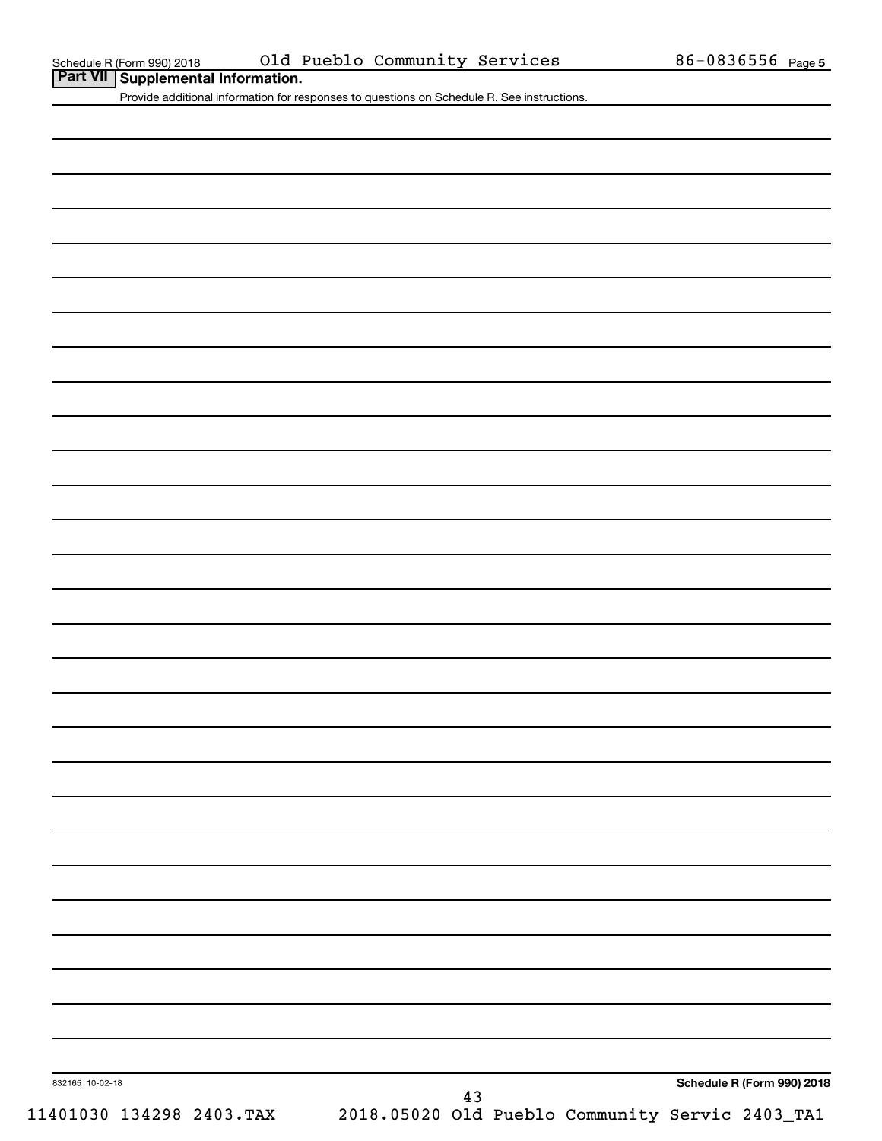**Part VII Schedule R (Form 990) 2018 COLD COLD Part VII Supplemental Information.** 

Provide additional information for responses to questions on Schedule R. See instructions.

**Schedule R (Form 990) 2018**

832165 10-02-18